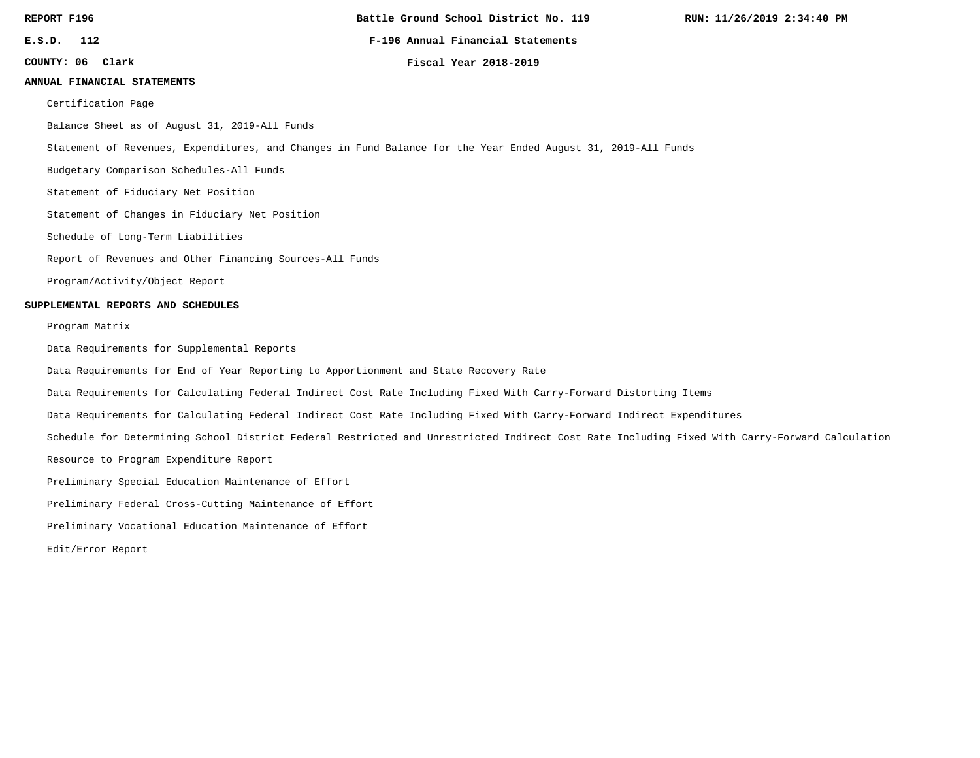**Battle Ground School District No. 119**

**E.S.D. 112 F-196 Annual Financial Statements**

**Clark Fiscal Year 2018-2019**

**COUNTY: 06**

#### **ANNUAL FINANCIAL STATEMENTS**

Certification Page

Balance Sheet as of August 31, 2019-All Funds

Statement of Revenues, Expenditures, and Changes in Fund Balance for the Year Ended August 31, 2019-All Funds

Budgetary Comparison Schedules-All Funds

Statement of Fiduciary Net Position

Statement of Changes in Fiduciary Net Position

Schedule of Long-Term Liabilities

Report of Revenues and Other Financing Sources-All Funds

Program/Activity/Object Report

#### **SUPPLEMENTAL REPORTS AND SCHEDULES**

#### Program Matrix

Data Requirements for Supplemental Reports

Data Requirements for End of Year Reporting to Apportionment and State Recovery Rate

Data Requirements for Calculating Federal Indirect Cost Rate Including Fixed With Carry-Forward Distorting Items

Data Requirements for Calculating Federal Indirect Cost Rate Including Fixed With Carry-Forward Indirect Expenditures

Schedule for Determining School District Federal Restricted and Unrestricted Indirect Cost Rate Including Fixed With Carry-Forward Calculation

Resource to Program Expenditure Report

Preliminary Special Education Maintenance of Effort

Preliminary Federal Cross-Cutting Maintenance of Effort

Preliminary Vocational Education Maintenance of Effort

Edit/Error Report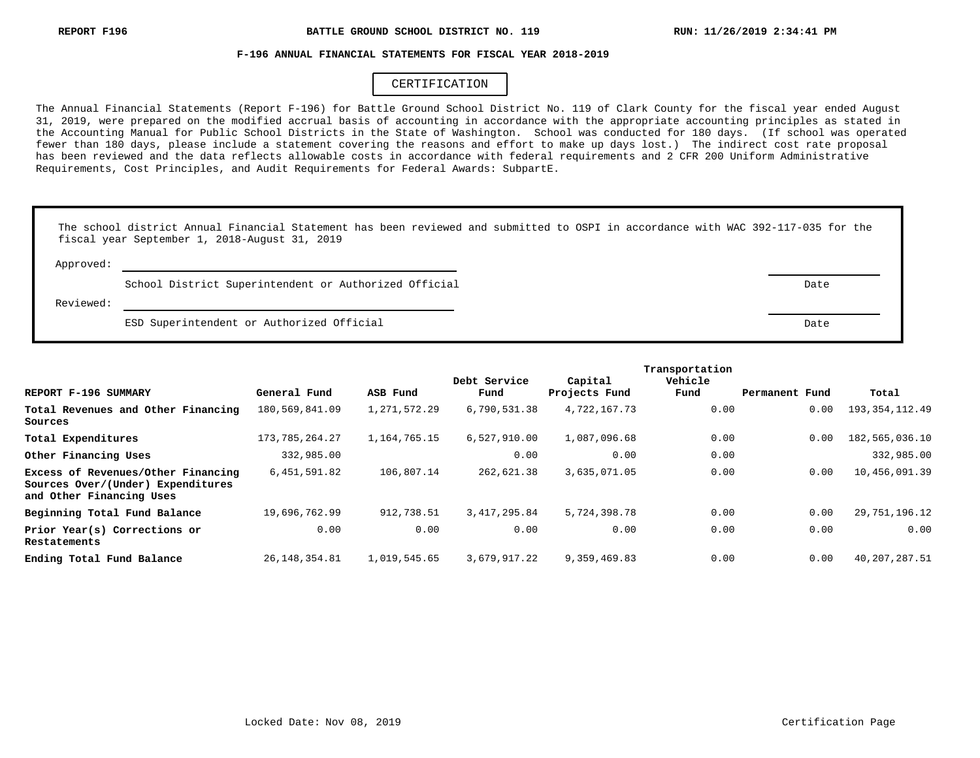#### **F-196 ANNUAL FINANCIAL STATEMENTS FOR FISCAL YEAR 2018-2019**

# CERTIFICATION

The Annual Financial Statements (Report F-196) for Battle Ground School District No. 119 of Clark County for the fiscal year ended August 31, 2019, were prepared on the modified accrual basis of accounting in accordance with the appropriate accounting principles as stated in the Accounting Manual for Public School Districts in the State of Washington. School was conducted for 180 days. (If school was operated fewer than 180 days, please include a statement covering the reasons and effort to make up days lost.) The indirect cost rate proposal has been reviewed and the data reflects allowable costs in accordance with federal requirements and 2 CFR 200 Uniform Administrative Requirements, Cost Principles, and Audit Requirements for Federal Awards: SubpartE.

|           | The school district Annual Financial Statement has been reviewed and submitted to OSPI in accordance with WAC 392-117-035 for the<br>fiscal year September 1, 2018-August 31, 2019 |      |
|-----------|------------------------------------------------------------------------------------------------------------------------------------------------------------------------------------|------|
| Approved: |                                                                                                                                                                                    |      |
|           | School District Superintendent or Authorized Official                                                                                                                              | Date |
| Reviewed: |                                                                                                                                                                                    |      |
|           | ESD Superintendent or Authorized Official                                                                                                                                          | Date |

|                                                                                                     |                   |              | Debt Service   | Capital       | Vehicle |                |                   |
|-----------------------------------------------------------------------------------------------------|-------------------|--------------|----------------|---------------|---------|----------------|-------------------|
| REPORT F-196 SUMMARY                                                                                | General Fund      | ASB Fund     | Fund           | Projects Fund | Fund    | Permanent Fund | Total             |
| Total Revenues and Other Financing<br>Sources                                                       | 180,569,841.09    | 1,271,572.29 | 6,790,531.38   | 4,722,167.73  | 0.00    | 0.00           | 193, 354, 112. 49 |
| Total Expenditures                                                                                  | 173, 785, 264. 27 | 1,164,765.15 | 6,527,910.00   | 1,087,096.68  | 0.00    | 0.00           | 182,565,036.10    |
| Other Financing Uses                                                                                | 332,985.00        |              | 0.00           | 0.00          | 0.00    |                | 332,985.00        |
| Excess of Revenues/Other Financing<br>Sources Over/(Under) Expenditures<br>and Other Financing Uses | 6,451,591.82      | 106,807.14   | 262,621.38     | 3,635,071.05  | 0.00    | 0.00           | 10,456,091.39     |
| Beginning Total Fund Balance                                                                        | 19,696,762.99     | 912,738.51   | 3, 417, 295.84 | 5,724,398.78  | 0.00    | 0.00           | 29, 751, 196. 12  |
| Prior Year(s) Corrections or<br>Restatements                                                        | 0.00              | 0.00         | 0.00           | 0.00          | 0.00    | 0.00           | 0.00              |
| Ending Total Fund Balance                                                                           | 26, 148, 354.81   | 1,019,545.65 | 3,679,917.22   | 9,359,469.83  | 0.00    | 0.00           | 40, 207, 287.51   |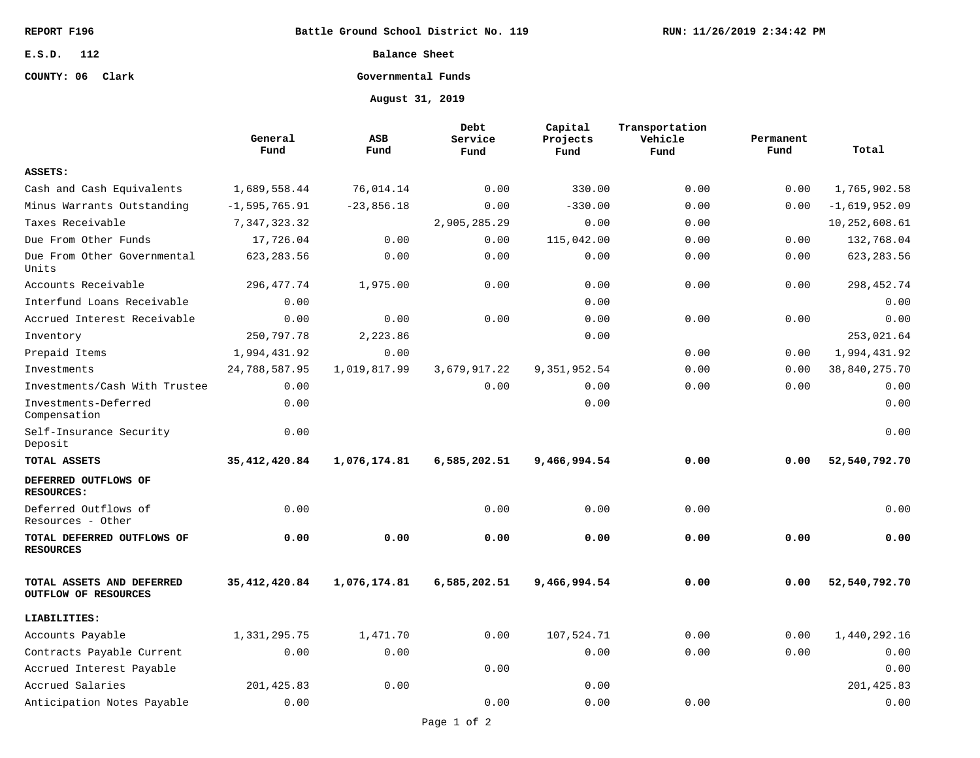**Battle Ground School District No. 119**

# **E.S.D. 112**

# **COUNTY: 06 Clark**

**Balance Sheet**

# **Governmental Funds**

**August 31, 2019**

|                                                   | General<br>Fund   | ASB<br>Fund  | Debt<br>Service<br>Fund | Capital<br>Projects<br>Fund | Transportation<br>Vehicle<br>Fund | Permanent<br>Fund | Total           |
|---------------------------------------------------|-------------------|--------------|-------------------------|-----------------------------|-----------------------------------|-------------------|-----------------|
| ASSETS:                                           |                   |              |                         |                             |                                   |                   |                 |
| Cash and Cash Equivalents                         | 1,689,558.44      | 76,014.14    | 0.00                    | 330.00                      | 0.00                              | 0.00              | 1,765,902.58    |
| Minus Warrants Outstanding                        | $-1, 595, 765.91$ | $-23,856.18$ | 0.00                    | $-330.00$                   | 0.00                              | 0.00              | $-1,619,952.09$ |
| Taxes Receivable                                  | 7,347,323.32      |              | 2,905,285.29            | 0.00                        | 0.00                              |                   | 10,252,608.61   |
| Due From Other Funds                              | 17,726.04         | 0.00         | 0.00                    | 115,042.00                  | 0.00                              | 0.00              | 132,768.04      |
| Due From Other Governmental<br>Units              | 623, 283.56       | 0.00         | 0.00                    | 0.00                        | 0.00                              | 0.00              | 623, 283.56     |
| Accounts Receivable                               | 296, 477.74       | 1,975.00     | 0.00                    | 0.00                        | 0.00                              | 0.00              | 298, 452. 74    |
| Interfund Loans Receivable                        | 0.00              |              |                         | 0.00                        |                                   |                   | 0.00            |
| Accrued Interest Receivable                       | 0.00              | 0.00         | 0.00                    | 0.00                        | 0.00                              | 0.00              | 0.00            |
| Inventory                                         | 250,797.78        | 2,223.86     |                         | 0.00                        |                                   |                   | 253,021.64      |
| Prepaid Items                                     | 1,994,431.92      | 0.00         |                         |                             | 0.00                              | 0.00              | 1,994,431.92    |
| Investments                                       | 24,788,587.95     | 1,019,817.99 | 3,679,917.22            | 9,351,952.54                | 0.00                              | 0.00              | 38,840,275.70   |
| Investments/Cash With Trustee                     | 0.00              |              | 0.00                    | 0.00                        | 0.00                              | 0.00              | 0.00            |
| Investments-Deferred<br>Compensation              | 0.00              |              |                         | 0.00                        |                                   |                   | 0.00            |
| Self-Insurance Security<br>Deposit                | 0.00              |              |                         |                             |                                   |                   | 0.00            |
| TOTAL ASSETS                                      | 35, 412, 420.84   | 1,076,174.81 | 6,585,202.51            | 9,466,994.54                | 0.00                              | 0.00              | 52,540,792.70   |
| DEFERRED OUTFLOWS OF<br><b>RESOURCES:</b>         |                   |              |                         |                             |                                   |                   |                 |
| Deferred Outflows of<br>Resources - Other         | 0.00              |              | 0.00                    | 0.00                        | 0.00                              |                   | 0.00            |
| TOTAL DEFERRED OUTFLOWS OF<br><b>RESOURCES</b>    | 0.00              | 0.00         | 0.00                    | 0.00                        | 0.00                              | 0.00              | 0.00            |
| TOTAL ASSETS AND DEFERRED<br>OUTFLOW OF RESOURCES | 35, 412, 420.84   | 1,076,174.81 | 6,585,202.51            | 9,466,994.54                | 0.00                              | 0.00              | 52,540,792.70   |
| LIABILITIES:                                      |                   |              |                         |                             |                                   |                   |                 |
| Accounts Payable                                  | 1,331,295.75      | 1,471.70     | 0.00                    | 107,524.71                  | 0.00                              | 0.00              | 1,440,292.16    |
| Contracts Payable Current                         | 0.00              | 0.00         |                         | 0.00                        | 0.00                              | 0.00              | 0.00            |
| Accrued Interest Payable                          |                   |              | 0.00                    |                             |                                   |                   | 0.00            |
| Accrued Salaries                                  | 201,425.83        | 0.00         |                         | 0.00                        |                                   |                   | 201, 425.83     |
| Anticipation Notes Payable                        | 0.00              |              | 0.00                    | 0.00                        | 0.00                              |                   | 0.00            |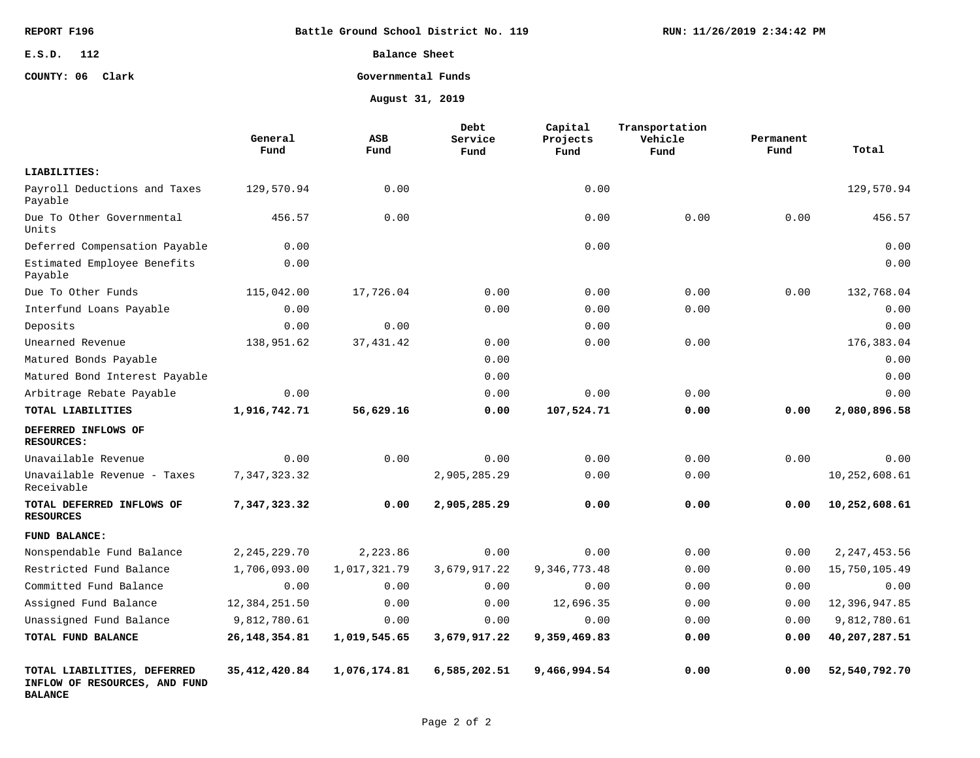| REPORT F196      | Battle Ground School District No. 119 | RUN: 11/26/2019 2:34:42 PM |
|------------------|---------------------------------------|----------------------------|
| E.S.D. 112       | Balance Sheet                         |                            |
| COUNTY: 06 Clark | Governmental Funds                    |                            |
|                  | August 31, 2019                       |                            |

|                                                                                | General<br>Fund | ASB<br>Fund  | Debt<br>Service<br>Fund | Capital<br>Projects<br>Fund | Transportation<br>Vehicle<br>Fund | Permanent<br>Fund | Total          |
|--------------------------------------------------------------------------------|-----------------|--------------|-------------------------|-----------------------------|-----------------------------------|-------------------|----------------|
| LIABILITIES:                                                                   |                 |              |                         |                             |                                   |                   |                |
| Payroll Deductions and Taxes<br>Payable                                        | 129,570.94      | 0.00         |                         | 0.00                        |                                   |                   | 129,570.94     |
| Due To Other Governmental<br>Units                                             | 456.57          | 0.00         |                         | 0.00                        | 0.00                              | 0.00              | 456.57         |
| Deferred Compensation Payable                                                  | 0.00            |              |                         | 0.00                        |                                   |                   | 0.00           |
| Estimated Employee Benefits<br>Payable                                         | 0.00            |              |                         |                             |                                   |                   | 0.00           |
| Due To Other Funds                                                             | 115,042.00      | 17,726.04    | 0.00                    | 0.00                        | 0.00                              | 0.00              | 132,768.04     |
| Interfund Loans Payable                                                        | 0.00            |              | 0.00                    | 0.00                        | 0.00                              |                   | 0.00           |
| Deposits                                                                       | 0.00            | 0.00         |                         | 0.00                        |                                   |                   | 0.00           |
| Unearned Revenue                                                               | 138,951.62      | 37, 431.42   | 0.00                    | 0.00                        | 0.00                              |                   | 176,383.04     |
| Matured Bonds Payable                                                          |                 |              | 0.00                    |                             |                                   |                   | 0.00           |
| Matured Bond Interest Payable                                                  |                 |              | 0.00                    |                             |                                   |                   | 0.00           |
| Arbitrage Rebate Payable                                                       | 0.00            |              | 0.00                    | 0.00                        | 0.00                              |                   | 0.00           |
| TOTAL LIABILITIES                                                              | 1,916,742.71    | 56,629.16    | 0.00                    | 107,524.71                  | 0.00                              | 0.00              | 2,080,896.58   |
| DEFERRED INFLOWS OF<br><b>RESOURCES:</b>                                       |                 |              |                         |                             |                                   |                   |                |
| Unavailable Revenue                                                            | 0.00            | 0.00         | 0.00                    | 0.00                        | 0.00                              | 0.00              | 0.00           |
| Unavailable Revenue - Taxes<br>Receivable                                      | 7,347,323.32    |              | 2,905,285.29            | 0.00                        | 0.00                              |                   | 10,252,608.61  |
| TOTAL DEFERRED INFLOWS OF<br><b>RESOURCES</b>                                  | 7,347,323.32    | 0.00         | 2,905,285.29            | 0.00                        | 0.00                              | 0.00              | 10,252,608.61  |
| FUND BALANCE:                                                                  |                 |              |                         |                             |                                   |                   |                |
| Nonspendable Fund Balance                                                      | 2, 245, 229. 70 | 2,223.86     | 0.00                    | 0.00                        | 0.00                              | 0.00              | 2, 247, 453.56 |
| Restricted Fund Balance                                                        | 1,706,093.00    | 1,017,321.79 | 3,679,917.22            | 9, 346, 773. 48             | 0.00                              | 0.00              | 15,750,105.49  |
| Committed Fund Balance                                                         | 0.00            | 0.00         | 0.00                    | 0.00                        | 0.00                              | 0.00              | 0.00           |
| Assigned Fund Balance                                                          | 12,384,251.50   | 0.00         | 0.00                    | 12,696.35                   | 0.00                              | 0.00              | 12,396,947.85  |
| Unassigned Fund Balance                                                        | 9,812,780.61    | 0.00         | 0.00                    | 0.00                        | 0.00                              | 0.00              | 9,812,780.61   |
| TOTAL FUND BALANCE                                                             | 26, 148, 354.81 | 1,019,545.65 | 3,679,917.22            | 9,359,469.83                | 0.00                              | 0.00              | 40,207,287.51  |
| TOTAL LIABILITIES, DEFERRED<br>INFLOW OF RESOURCES, AND FUND<br><b>BALANCE</b> | 35, 412, 420.84 | 1,076,174.81 | 6,585,202.51            | 9,466,994.54                | 0.00                              | 0.00              | 52,540,792.70  |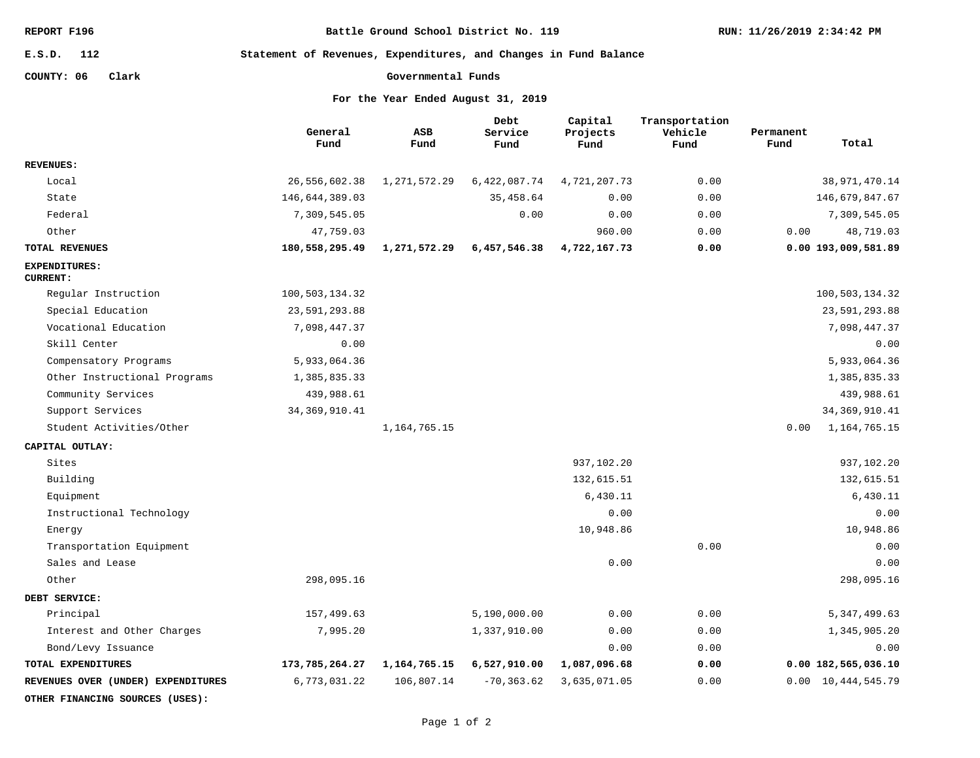| REPORT F196 |  |
|-------------|--|
|-------------|--|

**Battle Ground School District No. 119**

### **112 E.S.D.**

**Statement of Revenues, Expenditures, and Changes in Fund Balance**

# **COUNTY: 06 Clark**

**Governmental Funds**

**For the Year Ended August 31, 2019**

|                                         | General<br>Fund | <b>ASB</b><br>Fund | Debt<br>Service<br>Fund | Capital<br>Projects<br>Fund | Transportation<br>Vehicle<br>Fund | Permanent<br>Total<br>Fund |  |
|-----------------------------------------|-----------------|--------------------|-------------------------|-----------------------------|-----------------------------------|----------------------------|--|
| <b>REVENUES:</b>                        |                 |                    |                         |                             |                                   |                            |  |
| Local                                   | 26,556,602.38   | 1,271,572.29       | 6,422,087.74            | 4,721,207.73                | 0.00                              | 38, 971, 470.14            |  |
| State                                   | 146,644,389.03  |                    | 35,458.64               | 0.00                        | 0.00                              | 146,679,847.67             |  |
| Federal                                 | 7,309,545.05    |                    | 0.00                    | 0.00                        | 0.00                              | 7,309,545.05               |  |
| Other                                   | 47,759.03       |                    |                         | 960.00                      | 0.00                              | 0.00<br>48,719.03          |  |
| TOTAL REVENUES                          | 180,558,295.49  | 1,271,572.29       | 6,457,546.38            | 4,722,167.73                | 0.00                              | 0.00 193,009,581.89        |  |
| <b>EXPENDITURES:</b><br><b>CURRENT:</b> |                 |                    |                         |                             |                                   |                            |  |
| Regular Instruction                     | 100,503,134.32  |                    |                         |                             |                                   | 100,503,134.32             |  |
| Special Education                       | 23,591,293.88   |                    |                         |                             |                                   | 23,591,293.88              |  |
| Vocational Education                    | 7,098,447.37    |                    |                         |                             |                                   | 7,098,447.37               |  |
| Skill Center                            | 0.00            |                    |                         |                             |                                   | 0.00                       |  |
| Compensatory Programs                   | 5,933,064.36    |                    |                         |                             |                                   | 5,933,064.36               |  |
| Other Instructional Programs            | 1,385,835.33    |                    |                         |                             |                                   | 1,385,835.33               |  |
| Community Services                      | 439,988.61      |                    |                         |                             |                                   | 439,988.61                 |  |
| Support Services                        | 34, 369, 910.41 |                    |                         |                             |                                   | 34, 369, 910.41            |  |
| Student Activities/Other                |                 | 1, 164, 765. 15    |                         |                             |                                   | 0.00<br>1, 164, 765. 15    |  |
| CAPITAL OUTLAY:                         |                 |                    |                         |                             |                                   |                            |  |
| Sites                                   |                 |                    |                         | 937,102.20                  |                                   | 937,102.20                 |  |
| Building                                |                 |                    |                         | 132,615.51                  |                                   | 132,615.51                 |  |
| Equipment                               |                 |                    |                         | 6,430.11                    |                                   | 6,430.11                   |  |
| Instructional Technology                |                 |                    |                         | 0.00                        |                                   | 0.00                       |  |
| Energy                                  |                 |                    |                         | 10,948.86                   |                                   | 10,948.86                  |  |
| Transportation Equipment                |                 |                    |                         |                             | 0.00                              | 0.00                       |  |
| Sales and Lease                         |                 |                    |                         | 0.00                        |                                   | 0.00                       |  |
| Other                                   | 298,095.16      |                    |                         |                             |                                   | 298,095.16                 |  |
| DEBT SERVICE:                           |                 |                    |                         |                             |                                   |                            |  |
| Principal                               | 157,499.63      |                    | 5,190,000.00            | 0.00                        | 0.00                              | 5, 347, 499.63             |  |
| Interest and Other Charges              | 7,995.20        |                    | 1,337,910.00            | 0.00                        | 0.00                              | 1,345,905.20               |  |
| Bond/Levy Issuance                      |                 |                    |                         | 0.00                        | 0.00                              | 0.00                       |  |
| TOTAL EXPENDITURES                      | 173,785,264.27  | 1, 164, 765. 15    | 6,527,910.00            | 1,087,096.68                | 0.00                              | 0.00 182,565,036.10        |  |
| REVENUES OVER (UNDER) EXPENDITURES      | 6,773,031.22    | 106,807.14         | $-70, 363.62$           | 3,635,071.05                | 0.00                              | 0.00 10,444,545.79         |  |

**OTHER FINANCING SOURCES (USES):**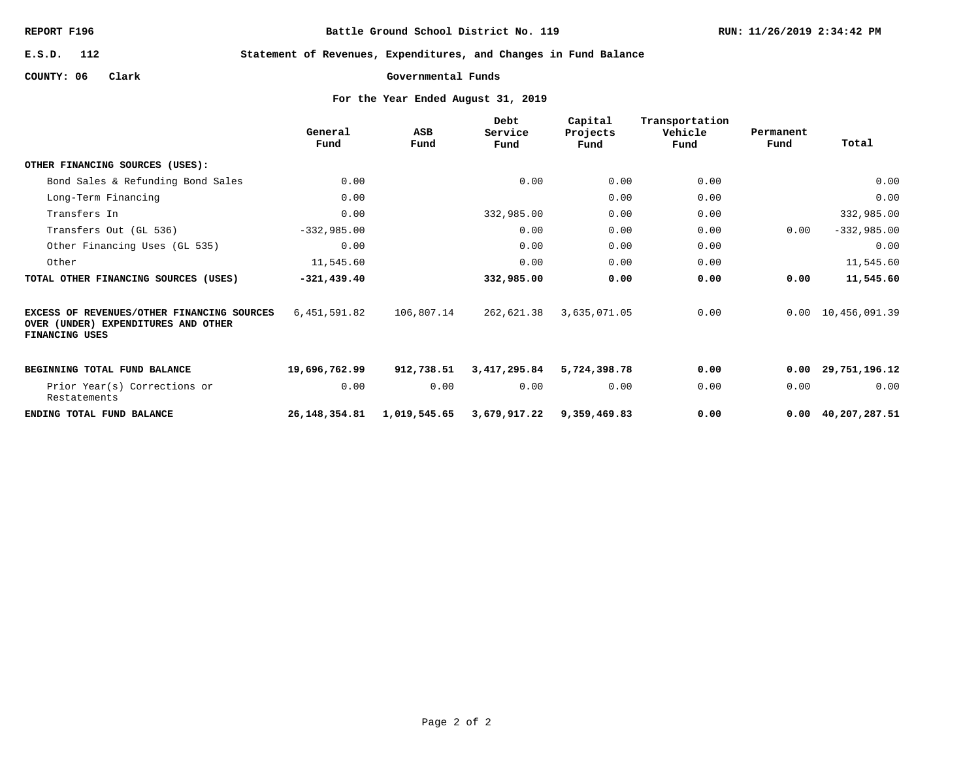**Battle Ground School District No. 119**

**112 E.S.D.**

**Statement of Revenues, Expenditures, and Changes in Fund Balance**

**COUNTY: 06 Clark**

```
Governmental Funds
```
**For the Year Ended August 31, 2019**

|                                                                                                     | General<br>Fund | ASB<br>Fund  | Debt<br>Service<br>Fund | Capital<br>Projects<br>Fund | Transportation<br>Vehicle<br>Fund | Permanent<br>Fund | Total                      |
|-----------------------------------------------------------------------------------------------------|-----------------|--------------|-------------------------|-----------------------------|-----------------------------------|-------------------|----------------------------|
| OTHER FINANCING SOURCES (USES):                                                                     |                 |              |                         |                             |                                   |                   |                            |
| Bond Sales & Refunding Bond Sales                                                                   | 0.00            |              | 0.00                    | 0.00                        | 0.00                              |                   | 0.00                       |
| Long-Term Financing                                                                                 | 0.00            |              |                         | 0.00                        | 0.00                              |                   | 0.00                       |
| Transfers In                                                                                        | 0.00            |              | 332,985.00              | 0.00                        | 0.00                              |                   | 332,985.00                 |
| Transfers Out (GL 536)                                                                              | $-332,985.00$   |              | 0.00                    | 0.00                        | 0.00                              | 0.00              | $-332,985.00$              |
| Other Financing Uses (GL 535)                                                                       | 0.00            |              | 0.00                    | 0.00                        | 0.00                              |                   | 0.00                       |
| Other                                                                                               | 11,545.60       |              | 0.00                    | 0.00                        | 0.00                              |                   | 11,545.60                  |
| TOTAL OTHER FINANCING SOURCES (USES)                                                                | $-321, 439.40$  |              | 332,985.00              | 0.00                        | 0.00                              | 0.00              | 11,545.60                  |
| EXCESS OF REVENUES/OTHER FINANCING SOURCES<br>OVER (UNDER) EXPENDITURES AND OTHER<br>FINANCING USES | 6,451,591.82    | 106,807.14   | 262,621.38              | 3,635,071.05                | 0.00                              |                   | 0.00 10,456,091.39         |
| BEGINNING TOTAL FUND BALANCE                                                                        | 19,696,762.99   | 912,738.51   | 3,417,295.84            | 5,724,398.78                | 0.00                              | 0.00              | 29,751,196.12              |
| Prior Year(s) Corrections or<br>Restatements                                                        | 0.00            | 0.00         | 0.00                    | 0.00                        | 0.00                              | 0.00              | 0.00                       |
| ENDING TOTAL FUND BALANCE                                                                           | 26,148,354.81   | 1,019,545.65 | 3,679,917.22            | 9,359,469.83                | 0.00                              |                   | $0.00 \quad 40,207,287.51$ |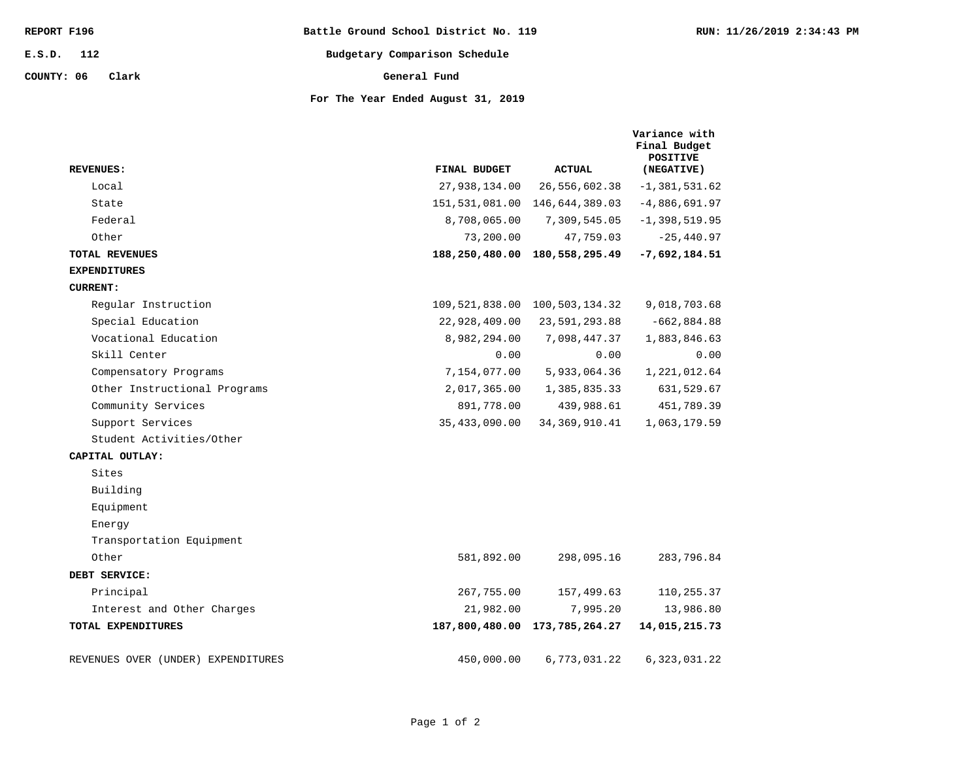| REPORT F196         | Battle Ground School District No. 119 | RUN: 11/26/2019 2:34:43 PM |
|---------------------|---------------------------------------|----------------------------|
| 112<br>E.S.D.       | Budgetary Comparison Schedule         |                            |
| COUNTY: 06<br>Clark | General Fund                          |                            |
|                     | For The Year Ended August 31, 2019    |                            |

| <b>REVENUES:</b>                   | FINAL BUDGET  | <b>ACTUAL</b>                 | Variance with<br>Final Budget<br><b>POSITIVE</b><br>(NEGATIVE) |
|------------------------------------|---------------|-------------------------------|----------------------------------------------------------------|
| Local                              | 27,938,134.00 | 26,556,602.38                 | $-1, 381, 531.62$                                              |
| State                              |               | 151,531,081.00 146,644,389.03 | $-4,886,691.97$                                                |
| Federal                            | 8,708,065.00  | 7,309,545.05                  | $-1,398,519.95$                                                |
| Other                              | 73,200.00     | 47,759.03                     | $-25,440.97$                                                   |
| <b>TOTAL REVENUES</b>              |               | 188,250,480.00 180,558,295.49 | $-7,692,184.51$                                                |
| <b>EXPENDITURES</b>                |               |                               |                                                                |
| <b>CURRENT:</b>                    |               |                               |                                                                |
| Reqular Instruction                |               | 109,521,838.00 100,503,134.32 | 9,018,703.68                                                   |
| Special Education                  | 22,928,409.00 | 23,591,293.88                 | $-662,884.88$                                                  |
| Vocational Education               | 8,982,294.00  | 7,098,447.37                  | 1,883,846.63                                                   |
| Skill Center                       | 0.00          | 0.00                          | 0.00                                                           |
| Compensatory Programs              | 7,154,077.00  | 5,933,064.36                  | 1,221,012.64                                                   |
| Other Instructional Programs       | 2,017,365.00  | 1,385,835.33                  | 631,529.67                                                     |
| Community Services                 | 891,778.00    | 439,988.61                    | 451,789.39                                                     |
| Support Services                   | 35,433,090.00 | 34, 369, 910.41               | 1,063,179.59                                                   |
| Student Activities/Other           |               |                               |                                                                |
| CAPITAL OUTLAY:                    |               |                               |                                                                |
| Sites                              |               |                               |                                                                |
| Building                           |               |                               |                                                                |
| Equipment                          |               |                               |                                                                |
| Energy                             |               |                               |                                                                |
| Transportation Equipment           |               |                               |                                                                |
| Other                              | 581,892.00    | 298,095.16                    | 283,796.84                                                     |
| DEBT SERVICE:                      |               |                               |                                                                |
| Principal                          | 267,755.00    | 157,499.63                    | 110,255.37                                                     |
| Interest and Other Charges         | 21,982.00     | 7,995.20                      | 13,986.80                                                      |
| TOTAL EXPENDITURES                 |               | 187,800,480.00 173,785,264.27 | 14,015,215.73                                                  |
| REVENUES OVER (UNDER) EXPENDITURES | 450,000.00    | 6,773,031.22                  | 6,323,031.22                                                   |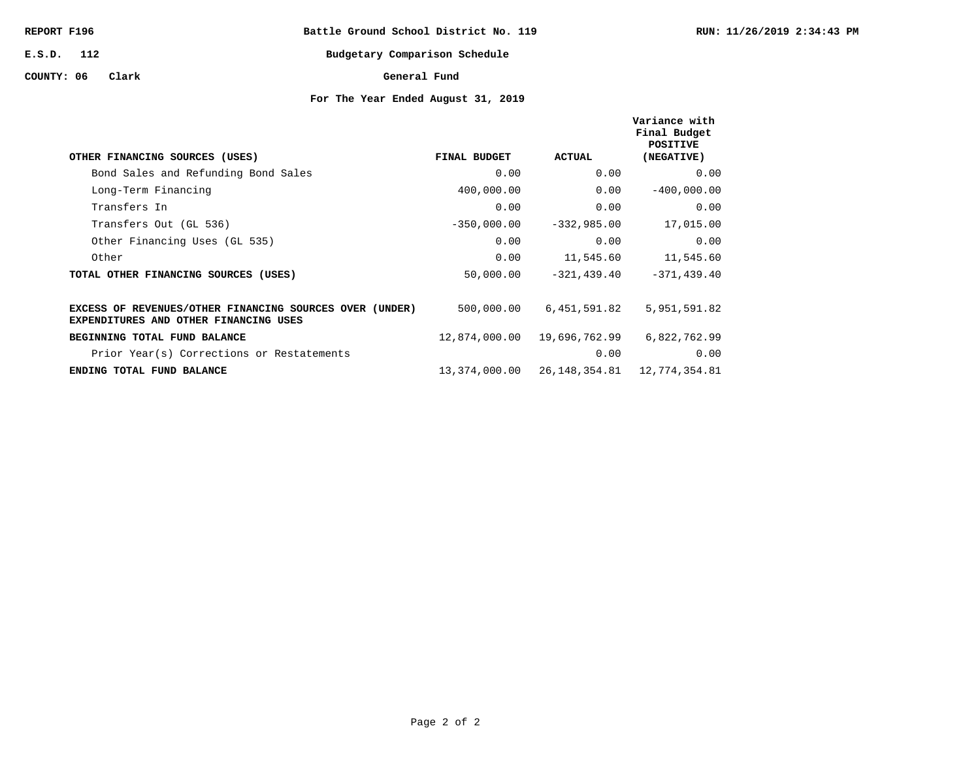| REPORT F196 |       | Battle Ground School District No. 119 |              |                               |  |
|-------------|-------|---------------------------------------|--------------|-------------------------------|--|
| E.S.D. 112  |       |                                       |              | Budgetary Comparison Schedule |  |
| COUNTY: 06  | Clark |                                       | General Fund |                               |  |

# **For The Year Ended August 31, 2019**

**RUN: 11/26/2019 2:34:43 PM**

| OTHER FINANCING SOURCES (USES)                                                                   | FINAL BUDGET  | ACTUAL         | Variance with<br>Final Budget<br>POSITIVE<br>(NEGATIVE) |
|--------------------------------------------------------------------------------------------------|---------------|----------------|---------------------------------------------------------|
| Bond Sales and Refunding Bond Sales                                                              | 0.00          | 0.00           | 0.00                                                    |
| Long-Term Financing                                                                              | 400,000.00    | 0.00           | $-400,000.00$                                           |
| Transfers In                                                                                     | 0.00          | 0.00           | 0.00                                                    |
| Transfers Out (GL 536)                                                                           | $-350,000.00$ | $-332,985.00$  | 17,015.00                                               |
| Other Financing Uses (GL 535)                                                                    | 0.00          | 0.00           | 0.00                                                    |
| Other                                                                                            | 0.00          | 11,545.60      | 11,545.60                                               |
| TOTAL OTHER FINANCING SOURCES (USES)                                                             | 50,000.00     | $-321, 439.40$ | $-371, 439, 40$                                         |
| EXCESS OF REVENUES/OTHER FINANCING SOURCES OVER (UNDER)<br>EXPENDITURES AND OTHER FINANCING USES | 500,000.00    | 6,451,591.82   | 5,951,591.82                                            |
| BEGINNING TOTAL FUND BALANCE                                                                     | 12,874,000.00 | 19,696,762.99  | 6,822,762.99                                            |
| Prior Year(s) Corrections or Restatements                                                        |               | 0.00           | 0.00                                                    |
| ENDING TOTAL FUND BALANCE                                                                        | 13,374,000.00 |                | 26, 148, 354. 81   12, 774, 354. 81                     |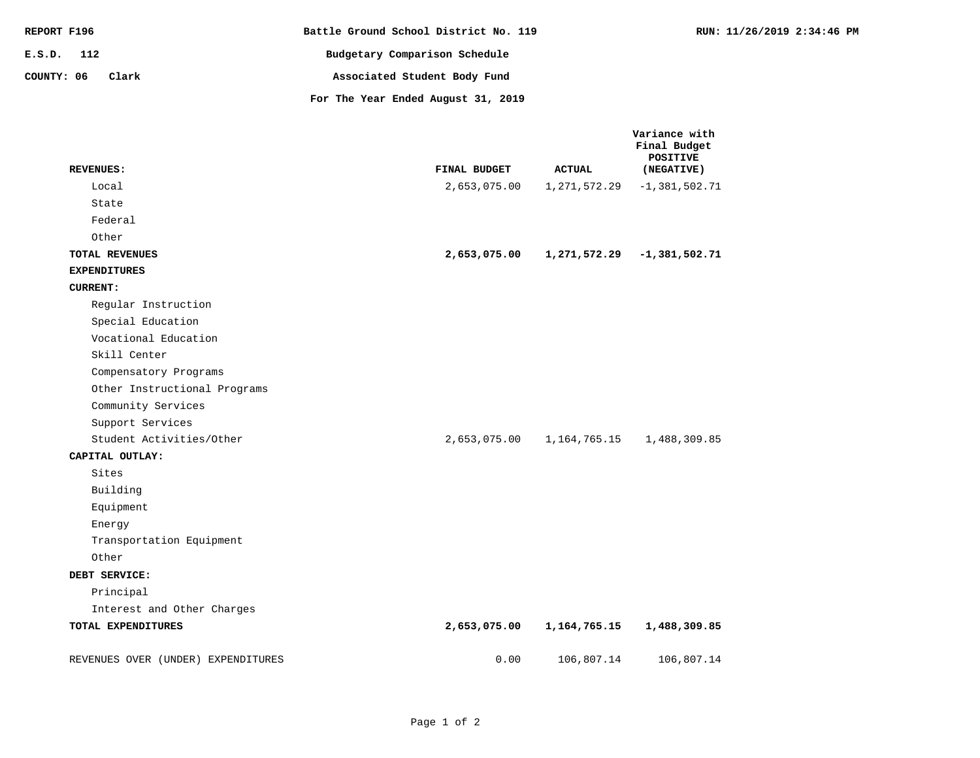| REPORT F196         | Battle Ground School District No. 119 | RUN: 11/26/2019 2:34:46 PM |
|---------------------|---------------------------------------|----------------------------|
| 112<br>E.S.D.       | Budgetary Comparison Schedule         |                            |
| COUNTY: 06<br>Clark | Associated Student Body Fund          |                            |
|                     | For The Year Ended August 31, 2019    |                            |

| <b>REVENUES:</b>                   | FINAL BUDGET | <b>ACTUAL</b> | Variance with<br>Final Budget<br><b>POSITIVE</b><br>(NEGATIVE) |
|------------------------------------|--------------|---------------|----------------------------------------------------------------|
| Local                              | 2,653,075.00 | 1,271,572.29  | $-1, 381, 502.71$                                              |
| State                              |              |               |                                                                |
| Federal                            |              |               |                                                                |
| Other                              |              |               |                                                                |
| TOTAL REVENUES                     | 2,653,075.00 |               | 1,271,572.29 -1,381,502.71                                     |
| <b>EXPENDITURES</b>                |              |               |                                                                |
| <b>CURRENT:</b>                    |              |               |                                                                |
| Regular Instruction                |              |               |                                                                |
| Special Education                  |              |               |                                                                |
| Vocational Education               |              |               |                                                                |
| Skill Center                       |              |               |                                                                |
| Compensatory Programs              |              |               |                                                                |
| Other Instructional Programs       |              |               |                                                                |
| Community Services                 |              |               |                                                                |
| Support Services                   |              |               |                                                                |
| Student Activities/Other           | 2,653,075.00 | 1,164,765.15  | 1,488,309.85                                                   |
| CAPITAL OUTLAY:                    |              |               |                                                                |
| Sites                              |              |               |                                                                |
| Building                           |              |               |                                                                |
| Equipment                          |              |               |                                                                |
| Energy                             |              |               |                                                                |
| Transportation Equipment           |              |               |                                                                |
| Other                              |              |               |                                                                |
| DEBT SERVICE:                      |              |               |                                                                |
| Principal                          |              |               |                                                                |
| Interest and Other Charges         |              |               |                                                                |
| TOTAL EXPENDITURES                 | 2,653,075.00 | 1,164,765.15  | 1,488,309.85                                                   |
| REVENUES OVER (UNDER) EXPENDITURES | 0.00         | 106,807.14    | 106, 807.14                                                    |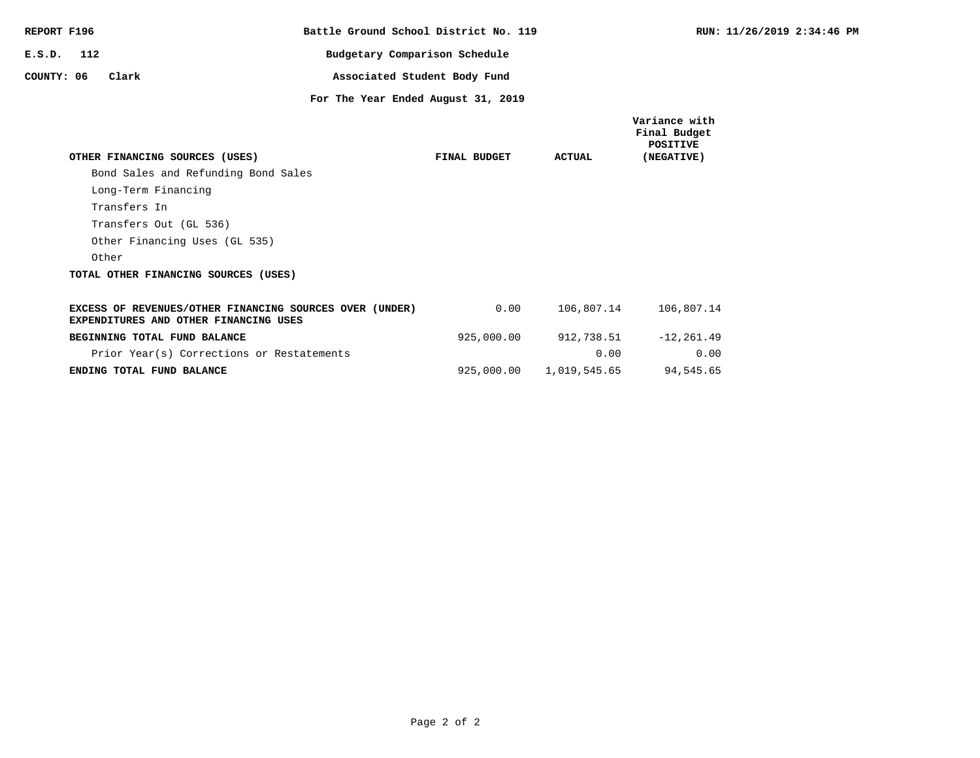| REPORT F196  |                                                                                                  |                                    | Battle Ground School District No. 119 |              | <b>RUN: 11</b>                                                 |  |
|--------------|--------------------------------------------------------------------------------------------------|------------------------------------|---------------------------------------|--------------|----------------------------------------------------------------|--|
| $E.S.D.$ 112 |                                                                                                  | Budgetary Comparison Schedule      |                                       |              |                                                                |  |
| COUNTY: 06   | Clark                                                                                            |                                    | Associated Student Body Fund          |              |                                                                |  |
|              |                                                                                                  | For The Year Ended August 31, 2019 |                                       |              |                                                                |  |
|              | OTHER FINANCING SOURCES (USES)                                                                   |                                    | FINAL BUDGET                          | ACTUAL       | Variance with<br>Final Budget<br><b>POSITIVE</b><br>(NEGATIVE) |  |
|              | Bond Sales and Refunding Bond Sales                                                              |                                    |                                       |              |                                                                |  |
|              | Long-Term Financing                                                                              |                                    |                                       |              |                                                                |  |
|              | Transfers In                                                                                     |                                    |                                       |              |                                                                |  |
|              | Transfers Out (GL 536)                                                                           |                                    |                                       |              |                                                                |  |
|              | Other Financing Uses (GL 535)                                                                    |                                    |                                       |              |                                                                |  |
|              | Other                                                                                            |                                    |                                       |              |                                                                |  |
|              | TOTAL OTHER FINANCING SOURCES (USES)                                                             |                                    |                                       |              |                                                                |  |
|              | EXCESS OF REVENUES/OTHER FINANCING SOURCES OVER (UNDER)<br>EXPENDITURES AND OTHER FINANCING USES |                                    | 0.00                                  | 106,807.14   | 106,807.14                                                     |  |
|              | BEGINNING TOTAL FUND BALANCE                                                                     |                                    | 925,000.00                            | 912,738.51   | $-12, 261.49$                                                  |  |
|              | Prior Year(s) Corrections or Restatements                                                        |                                    |                                       | 0.00         | 0.00                                                           |  |
|              | ENDING TOTAL FUND BALANCE                                                                        |                                    | 925,000.00                            | 1,019,545.65 | 94,545.65                                                      |  |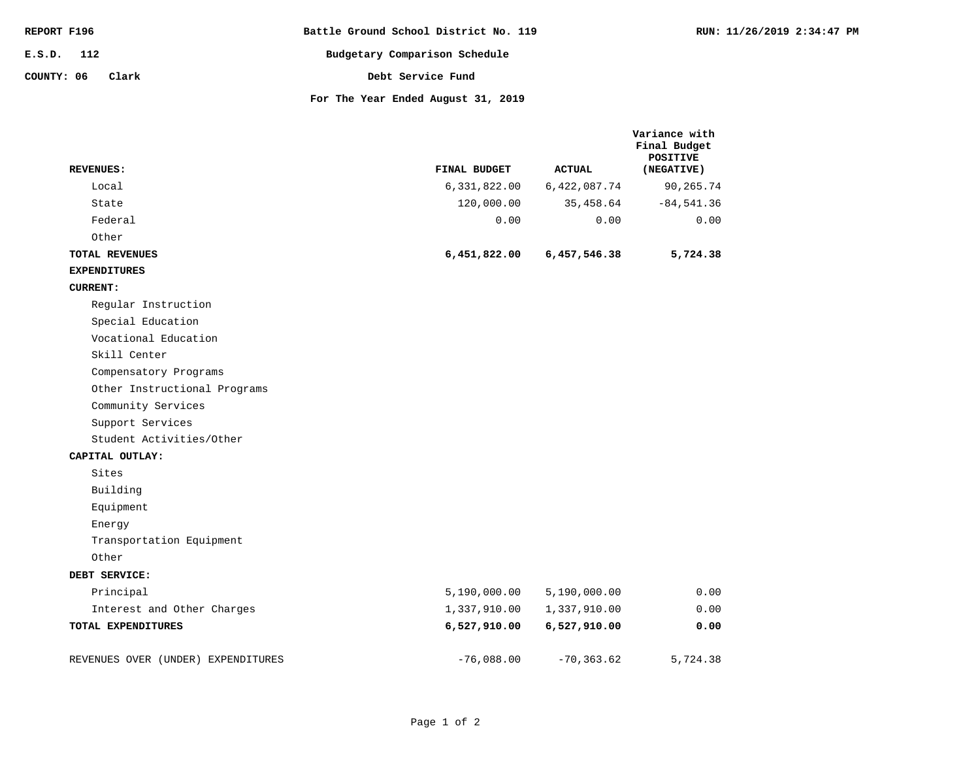| REPORT F196         | Battle Ground School District No. 119 | RUN: 11/26/2019 2:34:47 PM |
|---------------------|---------------------------------------|----------------------------|
| E.S.D. 112          | Budgetary Comparison Schedule         |                            |
| COUNTY: 06<br>Clark | Debt Service Fund                     |                            |
|                     | For The Year Ended August 31, 2019    |                            |

| <b>REVENUES:</b>                   | FINAL BUDGET | <b>ACTUAL</b> | Variance with<br>Final Budget<br><b>POSITIVE</b><br>(NEGATIVE) |
|------------------------------------|--------------|---------------|----------------------------------------------------------------|
| Local                              | 6,331,822.00 | 6,422,087.74  | 90,265.74                                                      |
| State                              | 120,000.00   | 35,458.64     | $-84,541.36$                                                   |
| Federal                            | 0.00         | 0.00          | 0.00                                                           |
| Other                              |              |               |                                                                |
| <b>TOTAL REVENUES</b>              | 6,451,822.00 | 6,457,546.38  | 5,724.38                                                       |
| <b>EXPENDITURES</b>                |              |               |                                                                |
| <b>CURRENT:</b>                    |              |               |                                                                |
| Regular Instruction                |              |               |                                                                |
| Special Education                  |              |               |                                                                |
| Vocational Education               |              |               |                                                                |
| Skill Center                       |              |               |                                                                |
| Compensatory Programs              |              |               |                                                                |
| Other Instructional Programs       |              |               |                                                                |
| Community Services                 |              |               |                                                                |
| Support Services                   |              |               |                                                                |
| Student Activities/Other           |              |               |                                                                |
| CAPITAL OUTLAY:                    |              |               |                                                                |
| Sites                              |              |               |                                                                |
| Building                           |              |               |                                                                |
| Equipment                          |              |               |                                                                |
| Energy                             |              |               |                                                                |
| Transportation Equipment           |              |               |                                                                |
| Other                              |              |               |                                                                |
| DEBT SERVICE:                      |              |               |                                                                |
| Principal                          | 5,190,000.00 | 5,190,000.00  | 0.00                                                           |
| Interest and Other Charges         | 1,337,910.00 | 1,337,910.00  | 0.00                                                           |
| TOTAL EXPENDITURES                 | 6,527,910.00 | 6,527,910.00  | 0.00                                                           |
|                                    |              |               |                                                                |
| REVENUES OVER (UNDER) EXPENDITURES | $-76,088.00$ | $-70, 363.62$ | 5,724.38                                                       |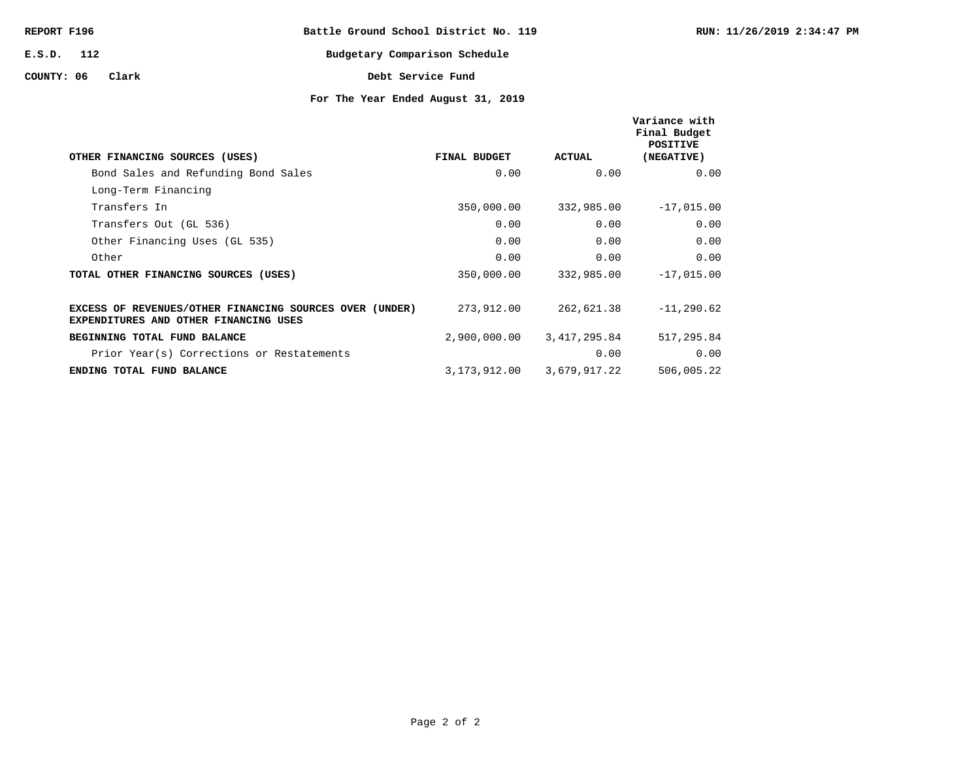| REPORT F196  |       |  |                   | Battle Ground School District No. 119 |
|--------------|-------|--|-------------------|---------------------------------------|
| $E.S.D.$ 112 |       |  |                   | Budgetary Comparison Schedule         |
| COUNTY: 06   | Clark |  | Debt Service Fund |                                       |

# **For The Year Ended August 31, 2019**

| OTHER FINANCING SOURCES (USES)                                                                   | FINAL BUDGET | ACTUAL       | Variance with<br>Final Budget<br><b>POSITIVE</b><br>(NEGATIVE) |
|--------------------------------------------------------------------------------------------------|--------------|--------------|----------------------------------------------------------------|
| Bond Sales and Refunding Bond Sales                                                              | 0.00         | 0.00         | 0.00                                                           |
| Long-Term Financing                                                                              |              |              |                                                                |
| Transfers In                                                                                     | 350,000.00   | 332,985.00   | $-17,015.00$                                                   |
| Transfers Out (GL 536)                                                                           | 0.00         | 0.00         | 0.00                                                           |
| Other Financing Uses (GL 535)                                                                    | 0.00         | 0.00         | 0.00                                                           |
| Other                                                                                            | 0.00         | 0.00         | 0.00                                                           |
| TOTAL OTHER FINANCING SOURCES (USES)                                                             | 350,000.00   | 332,985.00   | $-17,015.00$                                                   |
|                                                                                                  |              |              |                                                                |
| EXCESS OF REVENUES/OTHER FINANCING SOURCES OVER (UNDER)<br>EXPENDITURES AND OTHER FINANCING USES | 273,912.00   | 262,621.38   | $-11, 290.62$                                                  |
| BEGINNING TOTAL FUND BALANCE                                                                     | 2,900,000.00 | 3,417,295.84 | 517,295.84                                                     |
| Prior Year(s) Corrections or Restatements                                                        |              | 0.00         | 0.00                                                           |
| ENDING TOTAL FUND BALANCE                                                                        | 3,173,912.00 | 3,679,917.22 | 506,005.22                                                     |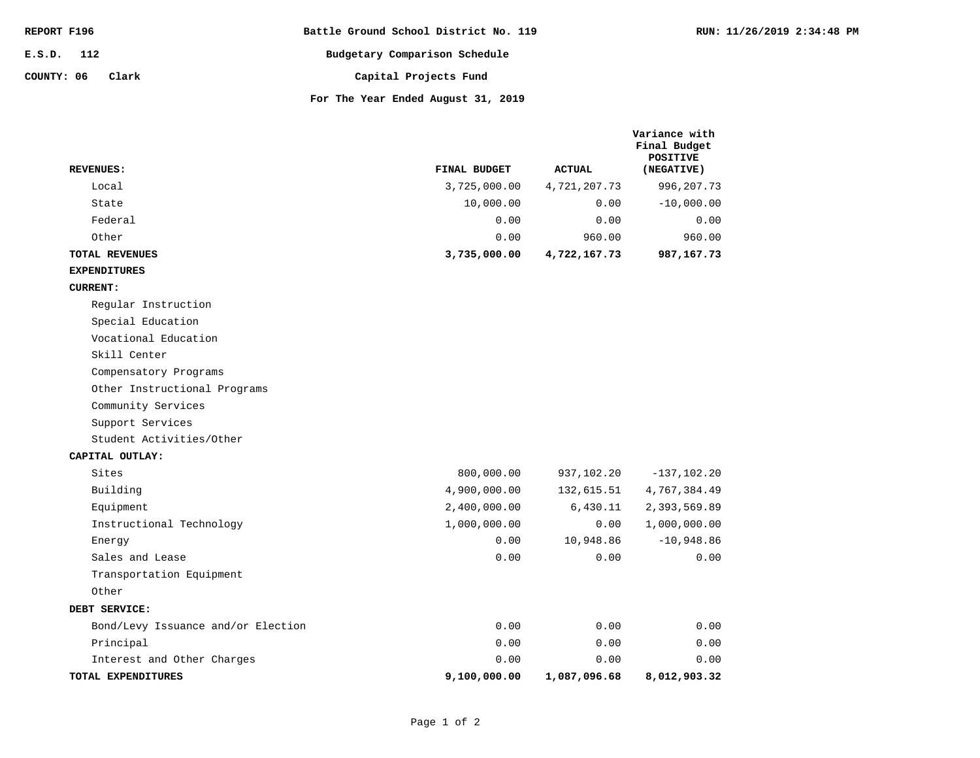| REPORT F196         | Battle Ground School District No. 119 |
|---------------------|---------------------------------------|
| $E.S.D.$ 112        | Budgetary Comparison Schedule         |
| COUNTY: 06<br>Clark | Capital Projects Fund                 |
|                     | For The Year Ended August 31, 2019    |

**Variance with Final Budget** 

| <b>REVENUES:</b>                   | FINAL BUDGET | <b>ACTUAL</b> | <b>POSITIVE</b><br>(NEGATIVE) |
|------------------------------------|--------------|---------------|-------------------------------|
| Local                              | 3,725,000.00 | 4,721,207.73  | 996,207.73                    |
| State                              | 10,000.00    | 0.00          | $-10,000.00$                  |
| Federal                            | 0.00         | 0.00          | 0.00                          |
| Other                              | 0.00         | 960.00        | 960.00                        |
| <b>TOTAL REVENUES</b>              | 3,735,000.00 | 4,722,167.73  | 987,167.73                    |
| <b>EXPENDITURES</b>                |              |               |                               |
| <b>CURRENT:</b>                    |              |               |                               |
| Regular Instruction                |              |               |                               |
| Special Education                  |              |               |                               |
| Vocational Education               |              |               |                               |
| Skill Center                       |              |               |                               |
| Compensatory Programs              |              |               |                               |
| Other Instructional Programs       |              |               |                               |
| Community Services                 |              |               |                               |
| Support Services                   |              |               |                               |
| Student Activities/Other           |              |               |                               |
| CAPITAL OUTLAY:                    |              |               |                               |
| Sites                              | 800,000.00   | 937,102.20    | $-137, 102.20$                |
| Building                           | 4,900,000.00 | 132,615.51    | 4,767,384.49                  |
| Equipment                          | 2,400,000.00 | 6,430.11      | 2,393,569.89                  |
| Instructional Technology           | 1,000,000.00 | 0.00          | 1,000,000.00                  |
| Energy                             | 0.00         | 10,948.86     | $-10,948.86$                  |
| Sales and Lease                    | 0.00         | 0.00          | 0.00                          |
| Transportation Equipment           |              |               |                               |
| Other                              |              |               |                               |
| DEBT SERVICE:                      |              |               |                               |
| Bond/Levy Issuance and/or Election | 0.00         | 0.00          | 0.00                          |
| Principal                          | 0.00         | 0.00          | 0.00                          |
| Interest and Other Charges         | 0.00         | 0.00          | 0.00                          |
| TOTAL EXPENDITURES                 | 9,100,000.00 | 1,087,096.68  | 8,012,903.32                  |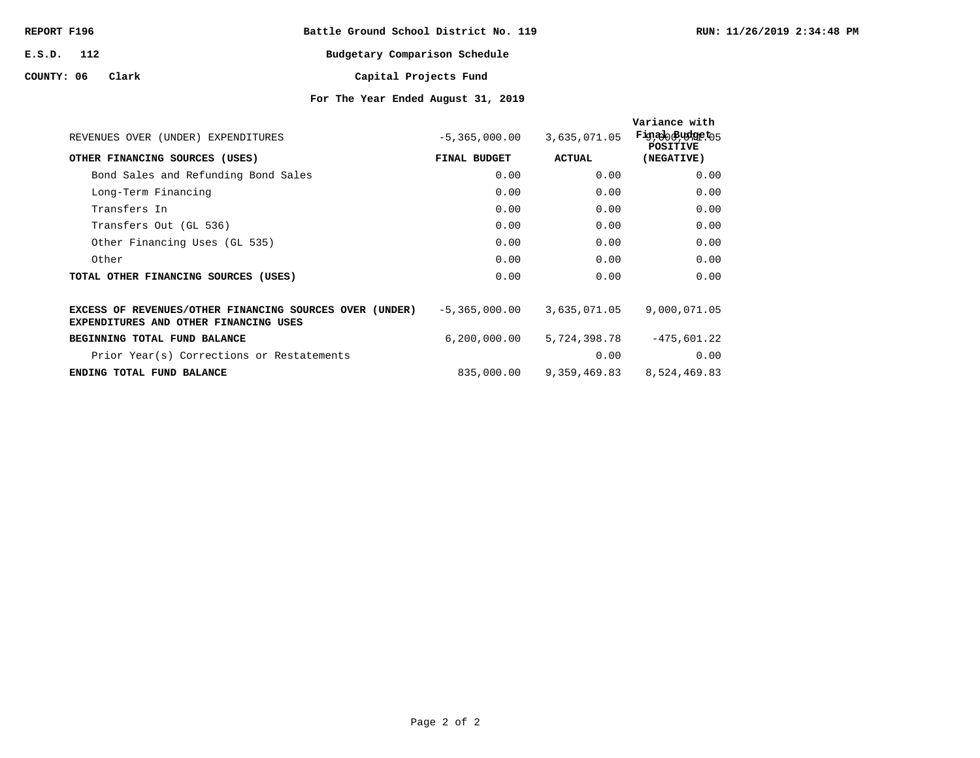| REPORT F196 |       |  | Battle Ground School District No. 119 |
|-------------|-------|--|---------------------------------------|
| E.S.D. 112  |       |  | Budgetary Comparison Schedule         |
| COUNTY: 06  | Clark |  | Capital Projects Fund                 |

# **For The Year Ended August 31, 2019**

| REVENUES OVER (UNDER) EXPENDITURES                                                                      | $-5,365,000.00$ | 3,635,071.05 | Variance with<br>Fig.alo Budgeto5<br><b>POSTTIVE</b> |
|---------------------------------------------------------------------------------------------------------|-----------------|--------------|------------------------------------------------------|
| OTHER FINANCING SOURCES (USES)                                                                          | FINAL BUDGET    | ACTUAL       | (NEGATIVE)                                           |
| Bond Sales and Refunding Bond Sales                                                                     | 0.00            | 0.00         | 0.00                                                 |
| Long-Term Financing                                                                                     | 0.00            | 0.00         | 0.00                                                 |
| Transfers In                                                                                            | 0.00            | 0.00         | 0.00                                                 |
| Transfers Out (GL 536)                                                                                  | 0.00            | 0.00         | 0.00                                                 |
| Other Financing Uses (GL 535)                                                                           | 0.00            | 0.00         | 0.00                                                 |
| Other                                                                                                   | 0.00            | 0.00         | 0.00                                                 |
| TOTAL OTHER FINANCING SOURCES (USES)                                                                    | 0.00            | 0.00         | 0.00                                                 |
| EXCESS OF REVENUES/OTHER FINANCING SOURCES OVER (UNDER)<br><b>EXPENDITURES AND OTHER FINANCING USES</b> | $-5,365,000.00$ | 3,635,071.05 | 9,000,071.05                                         |
| BEGINNING TOTAL FUND BALANCE                                                                            | 6, 200, 000.00  | 5,724,398.78 | $-475,601.22$                                        |
| Prior Year(s) Corrections or Restatements                                                               |                 | 0.00         | 0.00                                                 |
| ENDING TOTAL FUND BALANCE                                                                               | 835,000.00      | 9,359,469.83 | 8,524,469.83                                         |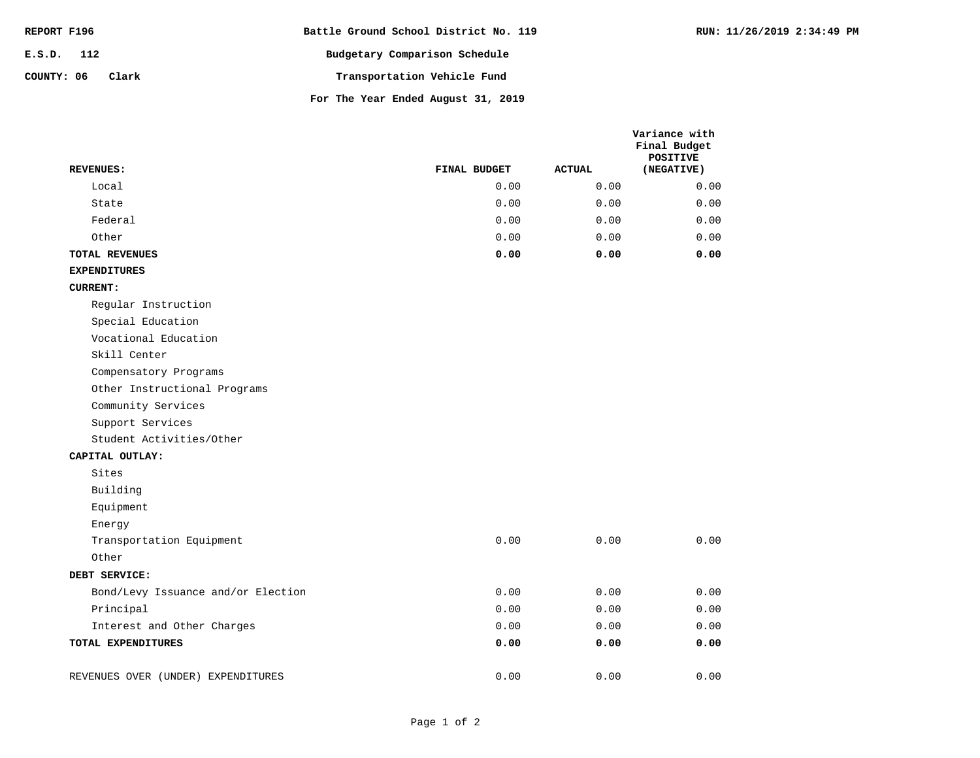| REPORT F196         | Battle Ground School District No. 119 |
|---------------------|---------------------------------------|
| $E.S.D.$ 112        | Budgetary Comparison Schedule         |
| COUNTY: 06<br>Clark | Transportation Vehicle Fund           |
|                     | For The Year Ended August 31, 2019    |

| <b>REVENUES:</b>                   | FINAL BUDGET | <b>ACTUAL</b> | Variance with<br>Final Budget<br><b>POSITIVE</b><br>(NEGATIVE) |
|------------------------------------|--------------|---------------|----------------------------------------------------------------|
| Local                              | 0.00         | 0.00          | 0.00                                                           |
| State                              | 0.00         | 0.00          | 0.00                                                           |
| Federal                            | 0.00         | 0.00          | 0.00                                                           |
| Other                              | 0.00         | 0.00          | 0.00                                                           |
| TOTAL REVENUES                     | 0.00         | 0.00          | 0.00                                                           |
| <b>EXPENDITURES</b>                |              |               |                                                                |
| <b>CURRENT:</b>                    |              |               |                                                                |
| Regular Instruction                |              |               |                                                                |
| Special Education                  |              |               |                                                                |
| Vocational Education               |              |               |                                                                |
| Skill Center                       |              |               |                                                                |
| Compensatory Programs              |              |               |                                                                |
| Other Instructional Programs       |              |               |                                                                |
| Community Services                 |              |               |                                                                |
| Support Services                   |              |               |                                                                |
| Student Activities/Other           |              |               |                                                                |
| CAPITAL OUTLAY:                    |              |               |                                                                |
| Sites                              |              |               |                                                                |
| Building                           |              |               |                                                                |
| Equipment                          |              |               |                                                                |
| Energy                             |              |               |                                                                |
| Transportation Equipment           | 0.00         | 0.00          | 0.00                                                           |
| Other                              |              |               |                                                                |
| DEBT SERVICE:                      |              |               |                                                                |
| Bond/Levy Issuance and/or Election | 0.00         | 0.00          | 0.00                                                           |
| Principal                          | 0.00         | 0.00          | 0.00                                                           |
| Interest and Other Charges         | 0.00         | 0.00          | 0.00                                                           |

**TOTAL EXPENDITURES**

**0.00 0.00 0.00**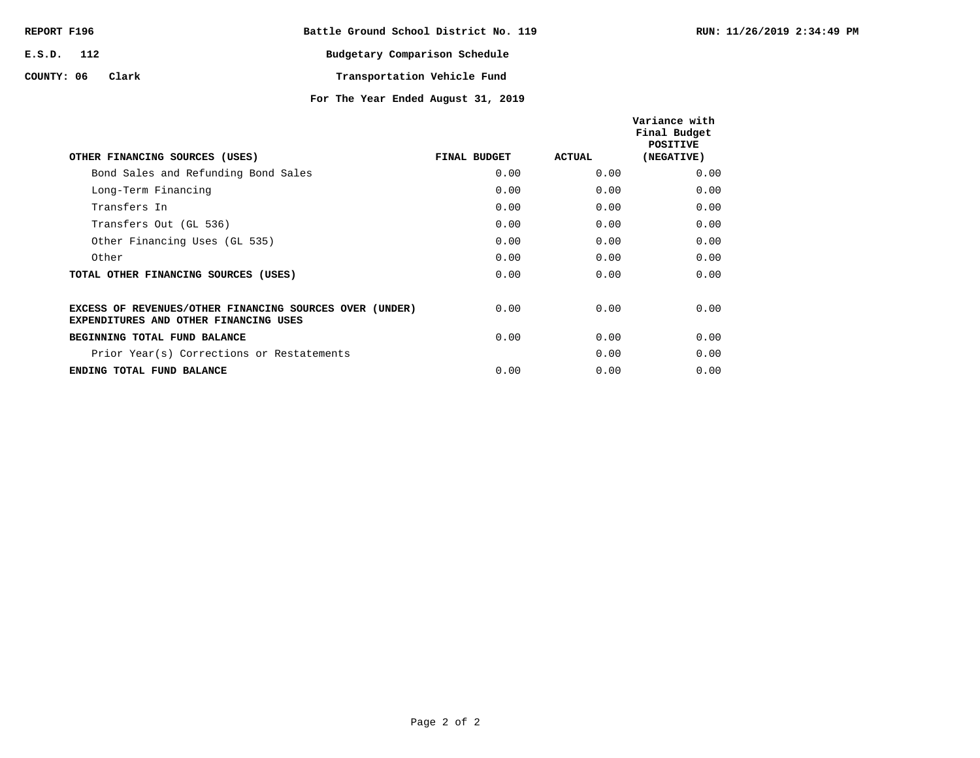| REPORT F196         | Battle Ground School District No. 119 |
|---------------------|---------------------------------------|
| E.S.D. 112          | Budgetary Comparison Schedule         |
| COUNTY: 06<br>Clark | Transportation Vehicle Fund           |

**For The Year Ended August 31, 2019**

| OTHER FINANCING SOURCES (USES)                                                                          | FINAL BUDGET | <b>ACTUAL</b> | Variance with<br>Final Budget<br><b>POSITIVE</b><br>(NEGATIVE) |
|---------------------------------------------------------------------------------------------------------|--------------|---------------|----------------------------------------------------------------|
| Bond Sales and Refunding Bond Sales                                                                     | 0.00         | 0.00          | 0.00                                                           |
| Long-Term Financing                                                                                     | 0.00         | 0.00          | 0.00                                                           |
| Transfers In                                                                                            | 0.00         | 0.00          | 0.00                                                           |
| Transfers Out (GL 536)                                                                                  | 0.00         | 0.00          | 0.00                                                           |
| Other Financing Uses (GL 535)                                                                           | 0.00         | 0.00          | 0.00                                                           |
| Other                                                                                                   | 0.00         | 0.00          | 0.00                                                           |
| TOTAL OTHER FINANCING SOURCES (USES)                                                                    | 0.00         | 0.00          | 0.00                                                           |
| EXCESS OF REVENUES/OTHER FINANCING SOURCES OVER (UNDER)<br><b>EXPENDITURES AND OTHER FINANCING USES</b> | 0.00         | 0.00          | 0.00                                                           |
| BEGINNING TOTAL FUND BALANCE                                                                            | 0.00         | 0.00          | 0.00                                                           |
| Prior Year(s) Corrections or Restatements                                                               |              | 0.00          | 0.00                                                           |
| ENDING TOTAL FUND BALANCE                                                                               | 0.00         | 0.00          | 0.00                                                           |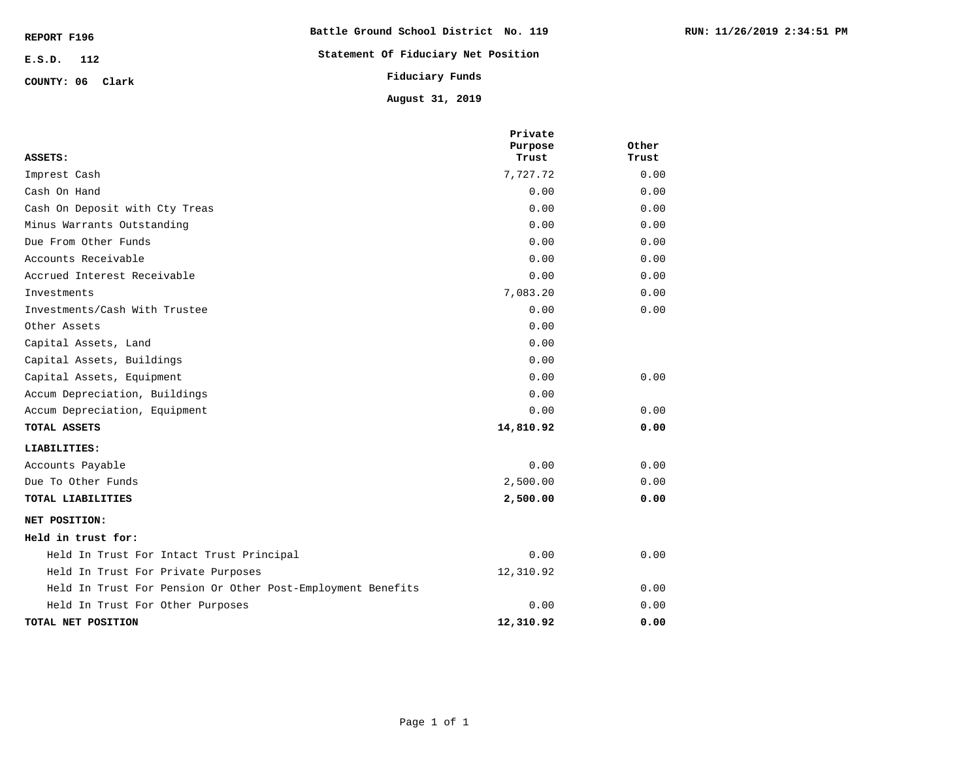| REPORT F196      | Battle Ground School District No. 119 |
|------------------|---------------------------------------|
| $E.S.D.$ 112     | Statement Of Fiduciary Net Position   |
| COUNTY: 06 Clark | Fiduciary Funds                       |
|                  | August 31, 2019                       |

| ASSETS:                                                     | Private<br>Purpose<br>Trust | Other<br>Trust |
|-------------------------------------------------------------|-----------------------------|----------------|
| Imprest Cash                                                | 7,727.72                    | 0.00           |
| Cash On Hand                                                | 0.00                        | 0.00           |
| Cash On Deposit with Cty Treas                              | 0.00                        | 0.00           |
| Minus Warrants Outstanding                                  | 0.00                        | 0.00           |
| Due From Other Funds                                        | 0.00                        | 0.00           |
| Accounts Receivable                                         | 0.00                        | 0.00           |
| Accrued Interest Receivable                                 | 0.00                        | 0.00           |
| Investments                                                 | 7,083.20                    | 0.00           |
| Investments/Cash With Trustee                               | 0.00                        | 0.00           |
| Other Assets                                                | 0.00                        |                |
| Capital Assets, Land                                        | 0.00                        |                |
| Capital Assets, Buildings                                   | 0.00                        |                |
| Capital Assets, Equipment                                   | 0.00                        | 0.00           |
| Accum Depreciation, Buildings                               | 0.00                        |                |
| Accum Depreciation, Equipment                               | 0.00                        | 0.00           |
| TOTAL ASSETS                                                | 14,810.92                   | 0.00           |
| LIABILITIES:                                                |                             |                |
| Accounts Payable                                            | 0.00                        | 0.00           |
| Due To Other Funds                                          | 2,500.00                    | 0.00           |
| TOTAL LIABILITIES                                           | 2,500.00                    | 0.00           |
| NET POSITION:                                               |                             |                |
| Held in trust for:                                          |                             |                |
| Held In Trust For Intact Trust Principal                    | 0.00                        | 0.00           |
| Held In Trust For Private Purposes                          | 12,310.92                   |                |
| Held In Trust For Pension Or Other Post-Employment Benefits |                             | 0.00           |
| Held In Trust For Other Purposes                            | 0.00                        | 0.00           |
| TOTAL NET POSITION                                          | 12,310.92                   | 0.00           |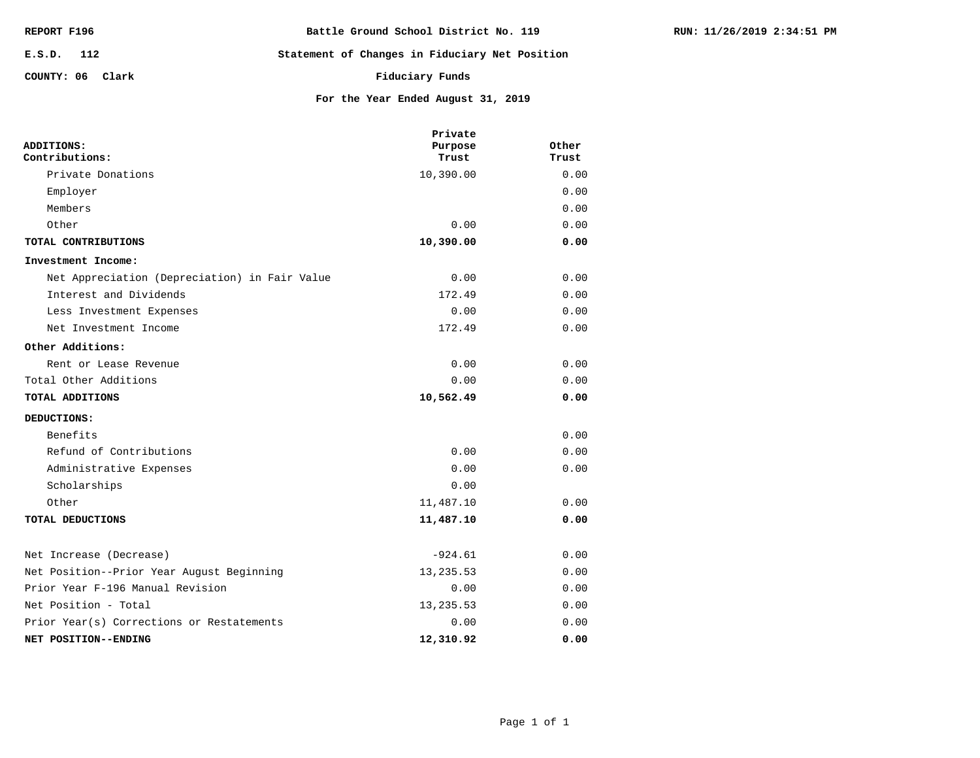| REPORT F196      | Battle Ground School District No. 119          |
|------------------|------------------------------------------------|
| E.S.D. 112       | Statement of Changes in Fiduciary Net Position |
| COUNTY: 06 Clark | Fiduciary Funds                                |
|                  | For the Year Ended August 31, 2019             |

| ADDITIONS:<br>Contributions:                  | Private<br>Purpose<br>Trust | Other<br>Trust |
|-----------------------------------------------|-----------------------------|----------------|
| Private Donations                             | 10,390.00                   | 0.00           |
| Employer                                      |                             | 0.00           |
| Members                                       |                             | 0.00           |
| Other                                         | 0.00                        | 0.00           |
| TOTAL CONTRIBUTIONS                           | 10,390.00                   | 0.00           |
| Investment Income:                            |                             |                |
| Net Appreciation (Depreciation) in Fair Value | 0.00                        | 0.00           |
| Interest and Dividends                        | 172.49                      | 0.00           |
| Less Investment Expenses                      | 0.00                        | 0.00           |
| Net Investment Income                         | 172.49                      | 0.00           |
| Other Additions:                              |                             |                |
| Rent or Lease Revenue                         | 0.00                        | 0.00           |
| Total Other Additions                         | 0.00                        | 0.00           |
| TOTAL ADDITIONS                               | 10,562.49                   | 0.00           |
| DEDUCTIONS:                                   |                             |                |
| Benefits                                      |                             | 0.00           |
| Refund of Contributions                       | 0.00                        | 0.00           |
| Administrative Expenses                       | 0.00                        | 0.00           |
| Scholarships                                  | 0.00                        |                |
| Other                                         | 11,487.10                   | 0.00           |
| TOTAL DEDUCTIONS                              | 11,487.10                   | 0.00           |
| Net Increase (Decrease)                       | $-924.61$                   | 0.00           |
| Net Position--Prior Year August Beginning     | 13, 235.53                  | 0.00           |
| Prior Year F-196 Manual Revision              | 0.00                        | 0.00           |
| Net Position - Total                          | 13, 235.53                  | 0.00           |
| Prior Year(s) Corrections or Restatements     | 0.00                        | 0.00           |
| NET POSITION--ENDING                          | 12,310.92                   | 0.00           |

**RUN: 11/26/2019 2:34:51 PM**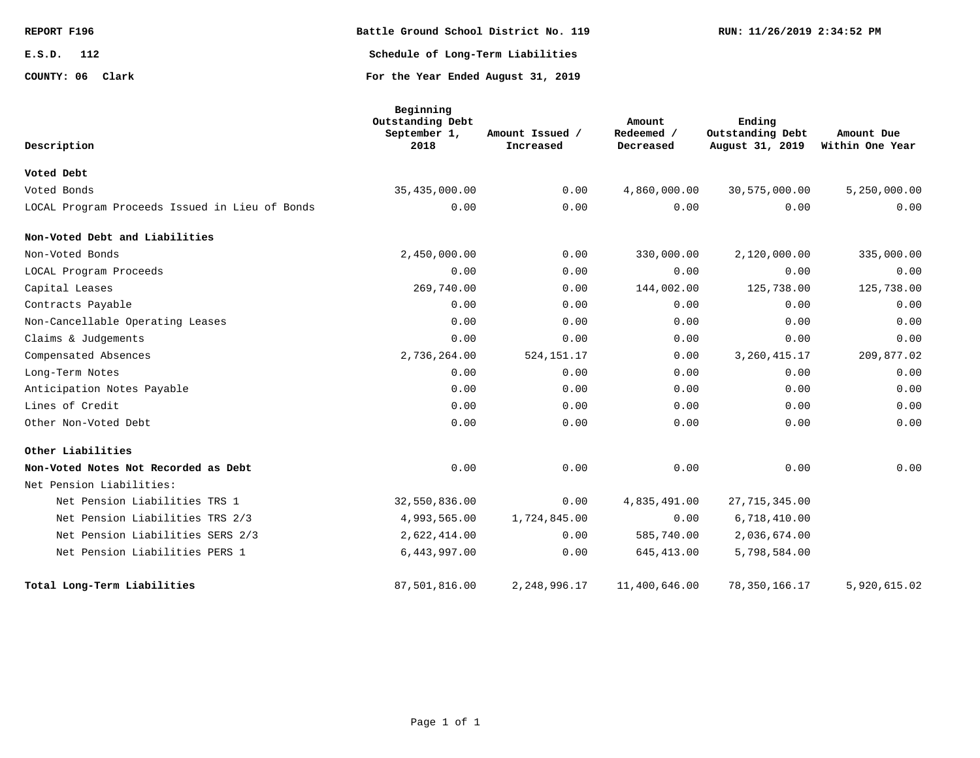| REPORT F196      | Battle Ground School District No. 119 | RUN: 11/26/2019 2:34:52 PM |
|------------------|---------------------------------------|----------------------------|
| E.S.D.<br>112    | Schedule of Long-Term Liabilities     |                            |
| COUNTY: 06 Clark | For the Year Ended August 31, 2019    |                            |

| Description                                    | Beginning<br>Outstanding Debt<br>September 1,<br>2018 | Amount Issued /<br>Increased | Amount<br>Redeemed /<br>Decreased | Ending<br>Outstanding Debt<br>August 31, 2019 | Amount Due<br>Within One Year |
|------------------------------------------------|-------------------------------------------------------|------------------------------|-----------------------------------|-----------------------------------------------|-------------------------------|
| Voted Debt                                     |                                                       |                              |                                   |                                               |                               |
| Voted Bonds                                    | 35,435,000.00                                         | 0.00                         | 4,860,000.00                      | 30,575,000.00                                 | 5,250,000.00                  |
| LOCAL Program Proceeds Issued in Lieu of Bonds | 0.00                                                  | 0.00                         | 0.00                              | 0.00                                          | 0.00                          |
| Non-Voted Debt and Liabilities                 |                                                       |                              |                                   |                                               |                               |
| Non-Voted Bonds                                | 2,450,000.00                                          | 0.00                         | 330,000.00                        | 2,120,000.00                                  | 335,000.00                    |
| LOCAL Program Proceeds                         | 0.00                                                  | 0.00                         | 0.00                              | 0.00                                          | 0.00                          |
| Capital Leases                                 | 269,740.00                                            | 0.00                         | 144,002.00                        | 125,738.00                                    | 125,738.00                    |
| Contracts Payable                              | 0.00                                                  | 0.00                         | 0.00                              | 0.00                                          | 0.00                          |
| Non-Cancellable Operating Leases               | 0.00                                                  | 0.00                         | 0.00                              | 0.00                                          | 0.00                          |
| Claims & Judgements                            | 0.00                                                  | 0.00                         | 0.00                              | 0.00                                          | 0.00                          |
| Compensated Absences                           | 2,736,264.00                                          | 524, 151. 17                 | 0.00                              | 3, 260, 415. 17                               | 209,877.02                    |
| Long-Term Notes                                | 0.00                                                  | 0.00                         | 0.00                              | 0.00                                          | 0.00                          |
| Anticipation Notes Payable                     | 0.00                                                  | 0.00                         | 0.00                              | 0.00                                          | 0.00                          |
| Lines of Credit                                | 0.00                                                  | 0.00                         | 0.00                              | 0.00                                          | 0.00                          |
| Other Non-Voted Debt                           | 0.00                                                  | 0.00                         | 0.00                              | 0.00                                          | 0.00                          |
| Other Liabilities                              |                                                       |                              |                                   |                                               |                               |
| Non-Voted Notes Not Recorded as Debt           | 0.00                                                  | 0.00                         | 0.00                              | 0.00                                          | 0.00                          |
| Net Pension Liabilities:                       |                                                       |                              |                                   |                                               |                               |
| Net Pension Liabilities TRS 1                  | 32,550,836.00                                         | 0.00                         | 4,835,491.00                      | 27, 715, 345.00                               |                               |
| Net Pension Liabilities TRS 2/3                | 4,993,565.00                                          | 1,724,845.00                 | 0.00                              | 6,718,410.00                                  |                               |
| Net Pension Liabilities SERS 2/3               | 2,622,414.00                                          | 0.00                         | 585,740.00                        | 2,036,674.00                                  |                               |
| Net Pension Liabilities PERS 1                 | 6,443,997.00                                          | 0.00                         | 645, 413.00                       | 5,798,584.00                                  |                               |
| Total Long-Term Liabilities                    | 87,501,816.00                                         | 2,248,996.17                 | 11,400,646.00                     | 78,350,166.17                                 | 5,920,615.02                  |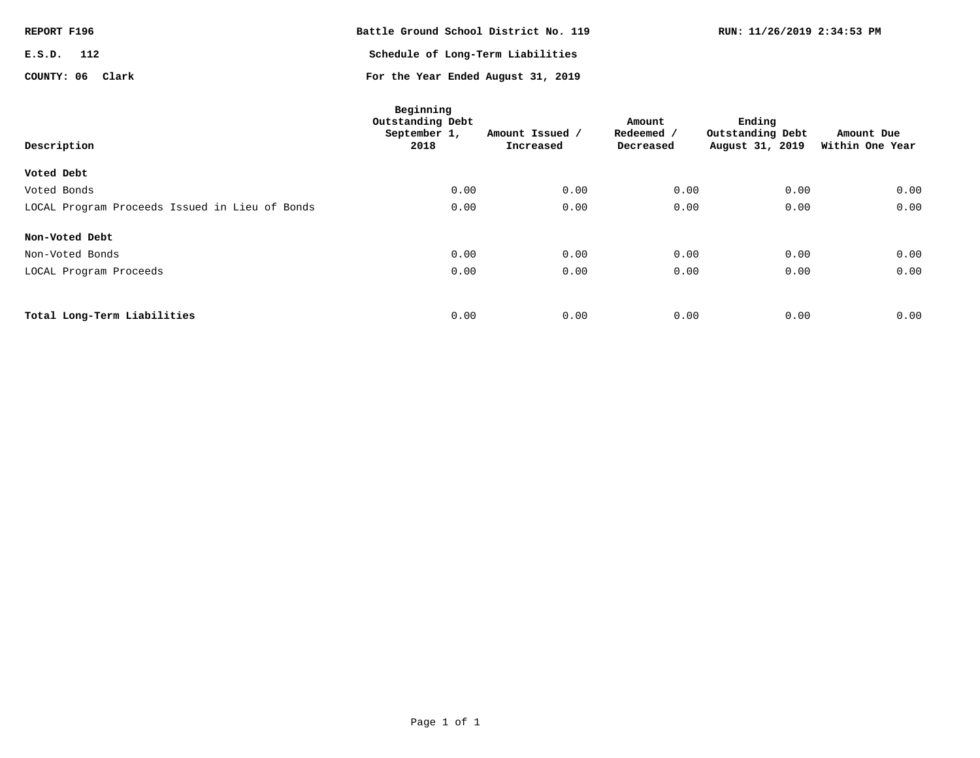| REPORT F196      | Battle Ground School District No. 119 | RUN: 11/26/2019 2:34:53 PM |
|------------------|---------------------------------------|----------------------------|
| E.S.D.<br>112    | Schedule of Long-Term Liabilities     |                            |
| COUNTY: 06 Clark | For the Year Ended August 31, 2019    |                            |

| Description                                    | Beginning<br>Outstanding Debt<br>September 1,<br>2018 | Amount Issued /<br>Increased | Amount<br>Redeemed /<br>Decreased | Ending<br>Outstanding Debt<br>August 31, 2019 | Amount Due<br>Within One Year |
|------------------------------------------------|-------------------------------------------------------|------------------------------|-----------------------------------|-----------------------------------------------|-------------------------------|
| Voted Debt                                     |                                                       |                              |                                   |                                               |                               |
| Voted Bonds                                    | 0.00                                                  | 0.00                         | 0.00                              | 0.00                                          | 0.00                          |
| LOCAL Program Proceeds Issued in Lieu of Bonds | 0.00                                                  | 0.00                         | 0.00                              | 0.00                                          | 0.00                          |
| Non-Voted Debt                                 |                                                       |                              |                                   |                                               |                               |
| Non-Voted Bonds                                | 0.00                                                  | 0.00                         | 0.00                              | 0.00                                          | 0.00                          |
| LOCAL Program Proceeds                         | 0.00                                                  | 0.00                         | 0.00                              | 0.00                                          | 0.00                          |
|                                                |                                                       |                              |                                   |                                               |                               |
| Total Long-Term Liabilities                    | 0.00                                                  | 0.00                         | 0.00                              | 0.00                                          | 0.00                          |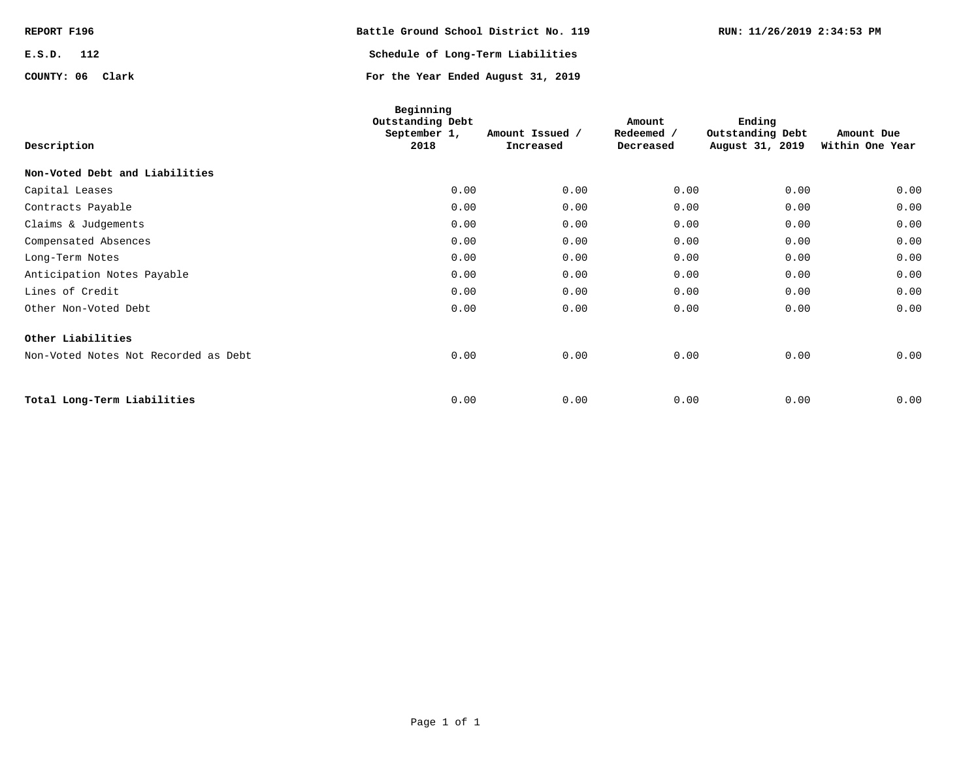| REPORT F196      | Battle Ground School District No. 119 | RUN: 11/26/2019 2:34:53 PM |
|------------------|---------------------------------------|----------------------------|
| E.S.D.<br>112    | Schedule of Long-Term Liabilities     |                            |
| COUNTY: 06 Clark | For the Year Ended August 31, 2019    |                            |

| Description                          | Beginning<br>Outstanding Debt<br>September 1,<br>2018 | Amount Issued /<br>Increased | Amount<br>Redeemed /<br>Decreased | Ending<br>Outstanding Debt<br>August 31, 2019 | Amount Due<br>Within One Year |
|--------------------------------------|-------------------------------------------------------|------------------------------|-----------------------------------|-----------------------------------------------|-------------------------------|
| Non-Voted Debt and Liabilities       |                                                       |                              |                                   |                                               |                               |
| Capital Leases                       | 0.00                                                  | 0.00                         | 0.00                              | 0.00                                          | 0.00                          |
| Contracts Payable                    | 0.00                                                  | 0.00                         | 0.00                              | 0.00                                          | 0.00                          |
| Claims & Judgements                  | 0.00                                                  | 0.00                         | 0.00                              | 0.00                                          | 0.00                          |
| Compensated Absences                 | 0.00                                                  | 0.00                         | 0.00                              | 0.00                                          | 0.00                          |
| Long-Term Notes                      | 0.00                                                  | 0.00                         | 0.00                              | 0.00                                          | 0.00                          |
| Anticipation Notes Payable           | 0.00                                                  | 0.00                         | 0.00                              | 0.00                                          | 0.00                          |
| Lines of Credit                      | 0.00                                                  | 0.00                         | 0.00                              | 0.00                                          | 0.00                          |
| Other Non-Voted Debt                 | 0.00                                                  | 0.00                         | 0.00                              | 0.00                                          | 0.00                          |
| Other Liabilities                    |                                                       |                              |                                   |                                               |                               |
| Non-Voted Notes Not Recorded as Debt | 0.00                                                  | 0.00                         | 0.00                              | 0.00                                          | 0.00                          |
|                                      |                                                       |                              |                                   |                                               |                               |
| Total Long-Term Liabilities          | 0.00                                                  | 0.00                         | 0.00                              | 0.00                                          | 0.00                          |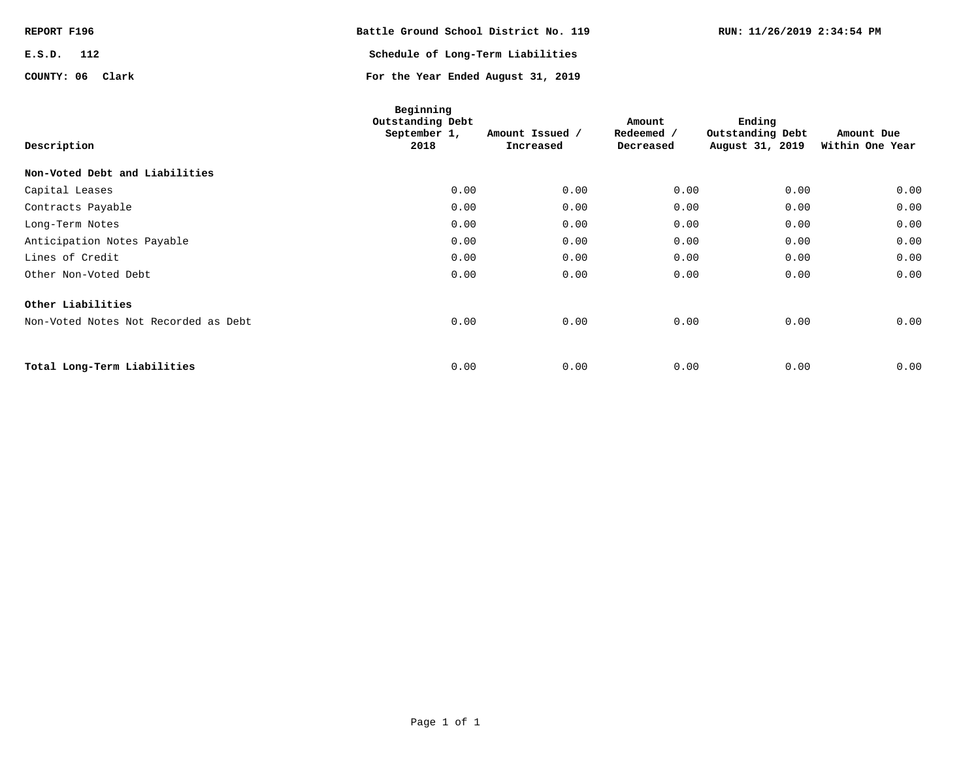| REPORT F196      | Battle Ground School District No. 119 | RUN: 11/26/2019 2:34:54 PM |
|------------------|---------------------------------------|----------------------------|
| E.S.D.<br>112    | Schedule of Long-Term Liabilities     |                            |
| COUNTY: 06 Clark | For the Year Ended August 31, 2019    |                            |

| Description                          | Beginning<br>Outstanding Debt<br>September 1,<br>2018 | Amount Issued /<br>Increased | Amount<br>Redeemed /<br>Decreased | Ending<br>Outstanding Debt<br>August 31, 2019 | Amount Due<br>Within One Year |
|--------------------------------------|-------------------------------------------------------|------------------------------|-----------------------------------|-----------------------------------------------|-------------------------------|
| Non-Voted Debt and Liabilities       |                                                       |                              |                                   |                                               |                               |
| Capital Leases                       | 0.00                                                  | 0.00                         | 0.00                              | 0.00                                          | 0.00                          |
| Contracts Payable                    | 0.00                                                  | 0.00                         | 0.00                              | 0.00                                          | 0.00                          |
| Long-Term Notes                      | 0.00                                                  | 0.00                         | 0.00                              | 0.00                                          | 0.00                          |
| Anticipation Notes Payable           | 0.00                                                  | 0.00                         | 0.00                              | 0.00                                          | 0.00                          |
| Lines of Credit                      | 0.00                                                  | 0.00                         | 0.00                              | 0.00                                          | 0.00                          |
| Other Non-Voted Debt                 | 0.00                                                  | 0.00                         | 0.00                              | 0.00                                          | 0.00                          |
| Other Liabilities                    |                                                       |                              |                                   |                                               |                               |
| Non-Voted Notes Not Recorded as Debt | 0.00                                                  | 0.00                         | 0.00                              | 0.00                                          | 0.00                          |
|                                      |                                                       |                              |                                   |                                               |                               |
| Total Long-Term Liabilities          | 0.00                                                  | 0.00                         | 0.00                              | 0.00                                          | 0.00                          |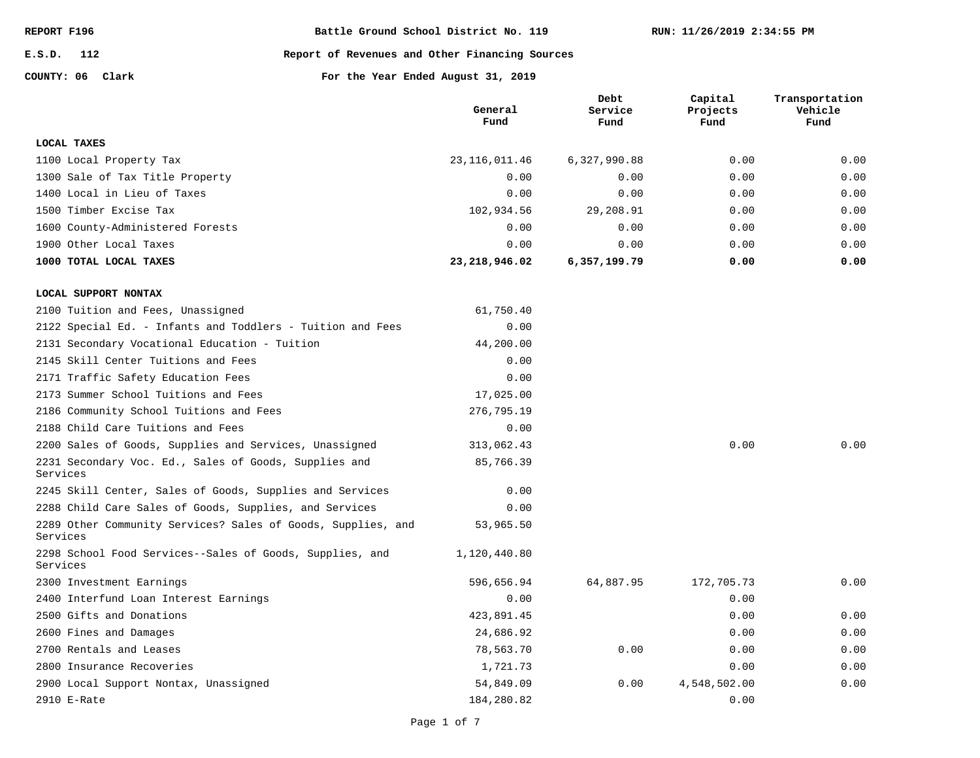**E.S.D. 112**

#### **Report of Revenues and Other Financing Sources**

**COUNTY: 06**

**Clark For the Year Ended August 31, 2019**

|                                                                          | General<br>Fund | Debt<br>Service<br>Fund | Capital<br>Projects<br>Fund | Transportation<br>Vehicle<br>Fund |
|--------------------------------------------------------------------------|-----------------|-------------------------|-----------------------------|-----------------------------------|
| <b>LOCAL TAXES</b>                                                       |                 |                         |                             |                                   |
| 1100 Local Property Tax                                                  | 23, 116, 011.46 | 6,327,990.88            | 0.00                        | 0.00                              |
| 1300 Sale of Tax Title Property                                          | 0.00            | 0.00                    | 0.00                        | 0.00                              |
| 1400 Local in Lieu of Taxes                                              | 0.00            | 0.00                    | 0.00                        | 0.00                              |
| 1500 Timber Excise Tax                                                   | 102,934.56      | 29,208.91               | 0.00                        | 0.00                              |
| 1600 County-Administered Forests                                         | 0.00            | 0.00                    | 0.00                        | 0.00                              |
| 1900 Other Local Taxes                                                   | 0.00            | 0.00                    | 0.00                        | 0.00                              |
| 1000 TOTAL LOCAL TAXES                                                   | 23, 218, 946.02 | 6,357,199.79            | 0.00                        | 0.00                              |
| LOCAL SUPPORT NONTAX                                                     |                 |                         |                             |                                   |
| 2100 Tuition and Fees, Unassigned                                        | 61,750.40       |                         |                             |                                   |
| 2122 Special Ed. - Infants and Toddlers - Tuition and Fees               | 0.00            |                         |                             |                                   |
| 2131 Secondary Vocational Education - Tuition                            | 44,200.00       |                         |                             |                                   |
| 2145 Skill Center Tuitions and Fees                                      | 0.00            |                         |                             |                                   |
| 2171 Traffic Safety Education Fees                                       | 0.00            |                         |                             |                                   |
| 2173 Summer School Tuitions and Fees                                     | 17,025.00       |                         |                             |                                   |
| 2186 Community School Tuitions and Fees                                  | 276,795.19      |                         |                             |                                   |
| 2188 Child Care Tuitions and Fees                                        | 0.00            |                         |                             |                                   |
| 2200 Sales of Goods, Supplies and Services, Unassigned                   | 313,062.43      |                         | 0.00                        | 0.00                              |
| 2231 Secondary Voc. Ed., Sales of Goods, Supplies and<br>Services        | 85,766.39       |                         |                             |                                   |
| 2245 Skill Center, Sales of Goods, Supplies and Services                 | 0.00            |                         |                             |                                   |
| 2288 Child Care Sales of Goods, Supplies, and Services                   | 0.00            |                         |                             |                                   |
| 2289 Other Community Services? Sales of Goods, Supplies, and<br>Services | 53,965.50       |                         |                             |                                   |
| 2298 School Food Services--Sales of Goods, Supplies, and<br>Services     | 1,120,440.80    |                         |                             |                                   |
| 2300 Investment Earnings                                                 | 596,656.94      | 64,887.95               | 172,705.73                  | 0.00                              |
| 2400 Interfund Loan Interest Earnings                                    | 0.00            |                         | 0.00                        |                                   |
| 2500 Gifts and Donations                                                 | 423,891.45      |                         | 0.00                        | 0.00                              |
| 2600 Fines and Damages                                                   | 24,686.92       |                         | 0.00                        | 0.00                              |
| 2700 Rentals and Leases                                                  | 78,563.70       | 0.00                    | 0.00                        | 0.00                              |
| 2800 Insurance Recoveries                                                | 1,721.73        |                         | 0.00                        | 0.00                              |
| 2900 Local Support Nontax, Unassigned                                    | 54,849.09       | 0.00                    | 4,548,502.00                | 0.00                              |
| 2910 E-Rate                                                              | 184,280.82      |                         | 0.00                        |                                   |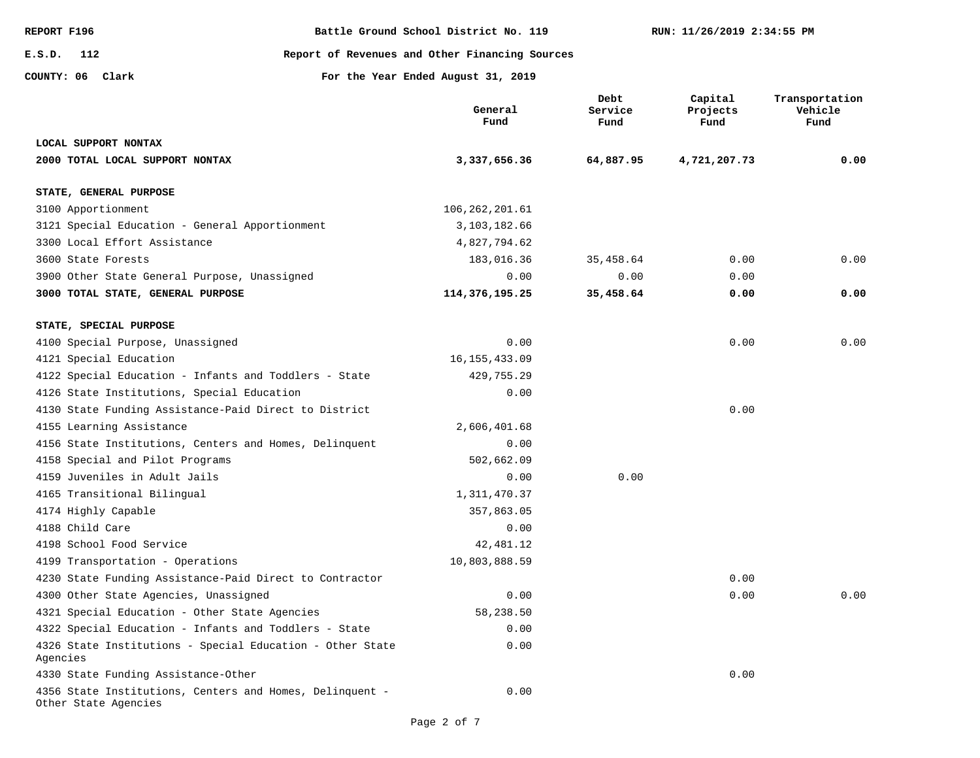| <b>REPORT F196</b>                                      | Battle Ground School District No. 119 |                                                |                         | RUN: 11/26/2019 2:34:55 PM  |                                   |  |
|---------------------------------------------------------|---------------------------------------|------------------------------------------------|-------------------------|-----------------------------|-----------------------------------|--|
| E.S.D.<br>112                                           |                                       | Report of Revenues and Other Financing Sources |                         |                             |                                   |  |
| COUNTY: 06 Clark                                        |                                       | For the Year Ended August 31, 2019             |                         |                             |                                   |  |
|                                                         |                                       | General<br>Fund                                | Debt<br>Service<br>Fund | Capital<br>Projects<br>Fund | Transportation<br>Vehicle<br>Fund |  |
| LOCAL SUPPORT NONTAX                                    |                                       |                                                |                         |                             |                                   |  |
| 2000 TOTAL LOCAL SUPPORT NONTAX                         |                                       | 3,337,656.36                                   | 64,887.95               | 4,721,207.73                | 0.00                              |  |
| STATE, GENERAL PURPOSE                                  |                                       |                                                |                         |                             |                                   |  |
| 3100 Apportionment                                      |                                       | 106, 262, 201.61                               |                         |                             |                                   |  |
| 3121 Special Education - General Apportionment          |                                       | 3, 103, 182.66                                 |                         |                             |                                   |  |
| 3300 Local Effort Assistance                            |                                       | 4,827,794.62                                   |                         |                             |                                   |  |
| 3600 State Forests                                      |                                       | 183,016.36                                     | 35,458.64               | 0.00                        | 0.00                              |  |
| 3900 Other State General Purpose, Unassigned            |                                       | 0.00                                           | 0.00                    | 0.00                        |                                   |  |
| 3000 TOTAL STATE, GENERAL PURPOSE                       |                                       | 114,376,195.25                                 | 35,458.64               | 0.00                        | 0.00                              |  |
| STATE, SPECIAL PURPOSE                                  |                                       |                                                |                         |                             |                                   |  |
| 4100 Special Purpose, Unassigned                        |                                       | 0.00                                           |                         | 0.00                        | 0.00                              |  |
| 4121 Special Education                                  |                                       | 16, 155, 433.09                                |                         |                             |                                   |  |
| 4122 Special Education - Infants and Toddlers - State   |                                       | 429,755.29                                     |                         |                             |                                   |  |
| 4126 State Institutions, Special Education              |                                       | 0.00                                           |                         |                             |                                   |  |
| 4130 State Funding Assistance-Paid Direct to District   |                                       |                                                |                         | 0.00                        |                                   |  |
| 4155 Learning Assistance                                |                                       | 2,606,401.68                                   |                         |                             |                                   |  |
| 4156 State Institutions, Centers and Homes, Delinquent  |                                       | 0.00                                           |                         |                             |                                   |  |
| 4158 Special and Pilot Programs                         |                                       | 502,662.09                                     |                         |                             |                                   |  |
| 4159 Juveniles in Adult Jails                           |                                       | 0.00                                           | 0.00                    |                             |                                   |  |
| 4165 Transitional Bilingual                             |                                       | 1, 311, 470.37                                 |                         |                             |                                   |  |
| 4174 Highly Capable                                     |                                       | 357,863.05                                     |                         |                             |                                   |  |
| 4188 Child Care                                         |                                       | 0.00                                           |                         |                             |                                   |  |
| 4198 School Food Service                                |                                       | 42,481.12                                      |                         |                             |                                   |  |
| 4199 Transportation - Operations                        |                                       | 10,803,888.59                                  |                         |                             |                                   |  |
| 4230 State Funding Assistance-Paid Direct to Contractor |                                       |                                                |                         | 0.00                        |                                   |  |
| 4300 Other State Agencies, Unassigned                   |                                       | 0.00                                           |                         | 0.00                        | 0.00                              |  |

0.00 0.00 0.00 4356 State Institutions, Centers and Homes, Delinquent - Other State Agencies 4330 State Funding Assistance-Other 4326 State Institutions - Special Education - Other State 4322 Special Education - Infants and Toddlers - State

Agencies

4321 Special Education - Other State Agencies

58,238.50

0.00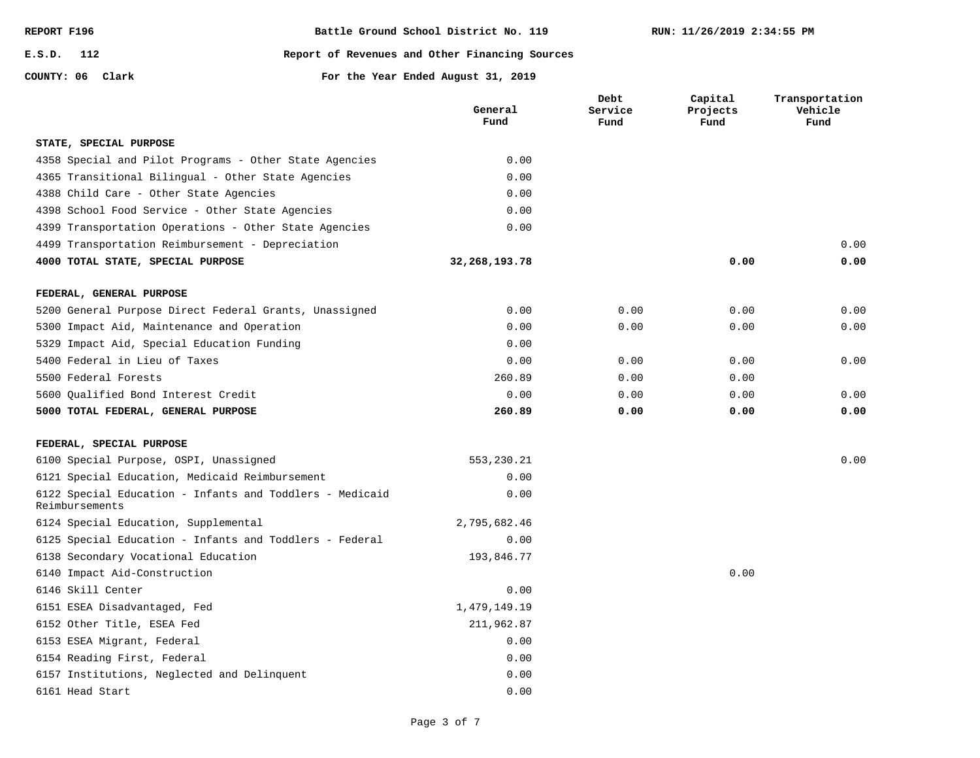| REPORT F196 |     |
|-------------|-----|
| E.S.D.      | 112 |

#### **Report of Revenues and Other Financing Sources**

**COUNTY: 06 Clark For the Year Ended August 31, 2019**

|                                                                            | General<br>Fund  | Debt<br>Service<br>Fund | Capital<br>Projects<br>Fund | Transportation<br>Vehicle<br>Fund |
|----------------------------------------------------------------------------|------------------|-------------------------|-----------------------------|-----------------------------------|
| STATE, SPECIAL PURPOSE                                                     |                  |                         |                             |                                   |
| 4358 Special and Pilot Programs - Other State Agencies                     | 0.00             |                         |                             |                                   |
| 4365 Transitional Bilingual - Other State Agencies                         | 0.00             |                         |                             |                                   |
| 4388 Child Care - Other State Agencies                                     | 0.00             |                         |                             |                                   |
| 4398 School Food Service - Other State Agencies                            | 0.00             |                         |                             |                                   |
| 4399 Transportation Operations - Other State Agencies                      | 0.00             |                         |                             |                                   |
| 4499 Transportation Reimbursement - Depreciation                           |                  |                         |                             | 0.00                              |
| 4000 TOTAL STATE, SPECIAL PURPOSE                                          | 32, 268, 193. 78 |                         | 0.00                        | 0.00                              |
| FEDERAL, GENERAL PURPOSE                                                   |                  |                         |                             |                                   |
| 5200 General Purpose Direct Federal Grants, Unassigned                     | 0.00             | 0.00                    | 0.00                        | 0.00                              |
| 5300 Impact Aid, Maintenance and Operation                                 | 0.00             | 0.00                    | 0.00                        | 0.00                              |
| 5329 Impact Aid, Special Education Funding                                 | 0.00             |                         |                             |                                   |
| 5400 Federal in Lieu of Taxes                                              | 0.00             | 0.00                    | 0.00                        | 0.00                              |
| 5500 Federal Forests                                                       | 260.89           | 0.00                    | 0.00                        |                                   |
| 5600 Qualified Bond Interest Credit                                        | 0.00             | 0.00                    | 0.00                        | 0.00                              |
| 5000 TOTAL FEDERAL, GENERAL PURPOSE                                        | 260.89           | 0.00                    | 0.00                        | 0.00                              |
| FEDERAL, SPECIAL PURPOSE                                                   |                  |                         |                             |                                   |
| 6100 Special Purpose, OSPI, Unassigned                                     | 553,230.21       |                         |                             | 0.00                              |
| 6121 Special Education, Medicaid Reimbursement                             | 0.00             |                         |                             |                                   |
| 6122 Special Education - Infants and Toddlers - Medicaid<br>Reimbursements | 0.00             |                         |                             |                                   |
| 6124 Special Education, Supplemental                                       | 2,795,682.46     |                         |                             |                                   |
| 6125 Special Education - Infants and Toddlers - Federal                    | 0.00             |                         |                             |                                   |
| 6138 Secondary Vocational Education                                        | 193,846.77       |                         |                             |                                   |
| 6140 Impact Aid-Construction                                               |                  |                         | 0.00                        |                                   |
| 6146 Skill Center                                                          | 0.00             |                         |                             |                                   |
| 6151 ESEA Disadvantaged, Fed                                               | 1,479,149.19     |                         |                             |                                   |
| 6152 Other Title, ESEA Fed                                                 | 211,962.87       |                         |                             |                                   |
| 6153 ESEA Migrant, Federal                                                 | 0.00             |                         |                             |                                   |
| 6154 Reading First, Federal                                                | 0.00             |                         |                             |                                   |
| 6157 Institutions, Neglected and Delinquent                                | 0.00             |                         |                             |                                   |
| 6161 Head Start                                                            | 0.00             |                         |                             |                                   |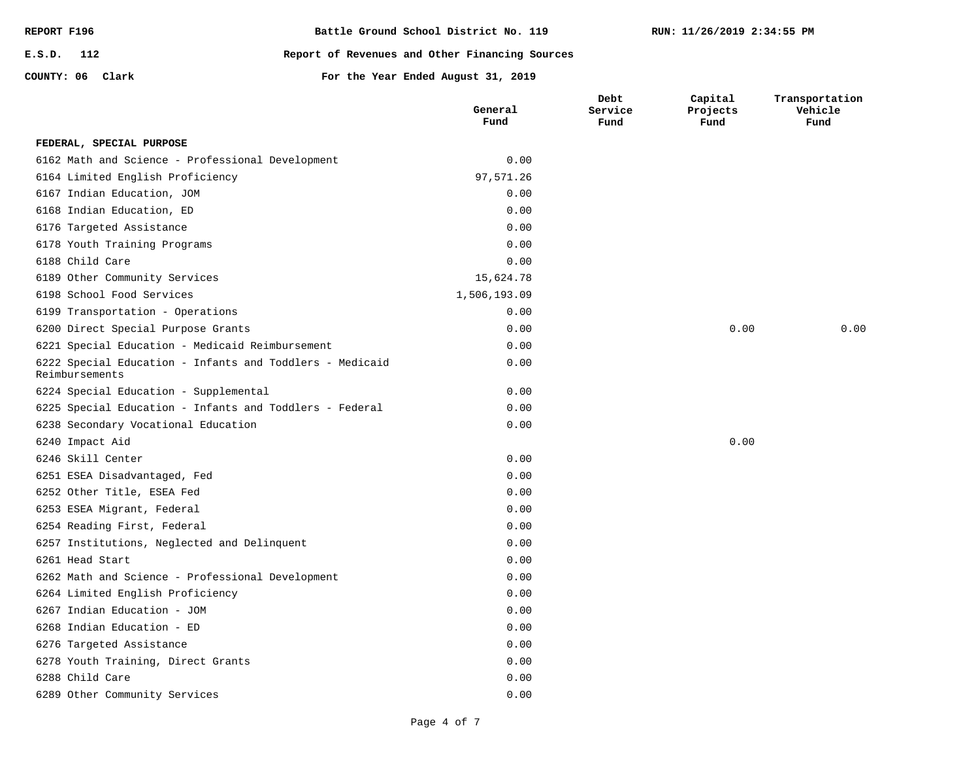| REPORT F196      | Battle Ground School District No. 119          |
|------------------|------------------------------------------------|
| E.S.D. 112       | Report of Revenues and Other Financing Sources |
| COUNTY: 06 Clark | For the Year Ended August 31, 2019             |

**Capital** 

**Transportation** 

# **Clark For the Year Ended August 31, 2019 General Debt**

|                                                                            | General<br>Fund | Service<br>Fund | Projects<br>Fund | Vehicle<br>Fund |
|----------------------------------------------------------------------------|-----------------|-----------------|------------------|-----------------|
| FEDERAL, SPECIAL PURPOSE                                                   |                 |                 |                  |                 |
| 6162 Math and Science - Professional Development                           | 0.00            |                 |                  |                 |
| 6164 Limited English Proficiency                                           | 97,571.26       |                 |                  |                 |
| 6167 Indian Education, JOM                                                 | 0.00            |                 |                  |                 |
| 6168 Indian Education, ED                                                  | 0.00            |                 |                  |                 |
| 6176 Targeted Assistance                                                   | 0.00            |                 |                  |                 |
| 6178 Youth Training Programs                                               | 0.00            |                 |                  |                 |
| 6188 Child Care                                                            | 0.00            |                 |                  |                 |
| 6189 Other Community Services                                              | 15,624.78       |                 |                  |                 |
| 6198 School Food Services                                                  | 1,506,193.09    |                 |                  |                 |
| 6199 Transportation - Operations                                           | 0.00            |                 |                  |                 |
| 6200 Direct Special Purpose Grants                                         | 0.00            |                 | 0.00             | 0.00            |
| 6221 Special Education - Medicaid Reimbursement                            | 0.00            |                 |                  |                 |
| 6222 Special Education - Infants and Toddlers - Medicaid<br>Reimbursements | 0.00            |                 |                  |                 |
| 6224 Special Education - Supplemental                                      | 0.00            |                 |                  |                 |
| 6225 Special Education - Infants and Toddlers - Federal                    | 0.00            |                 |                  |                 |
| 6238 Secondary Vocational Education                                        | 0.00            |                 |                  |                 |
| 6240 Impact Aid                                                            |                 |                 | 0.00             |                 |
| 6246 Skill Center                                                          | 0.00            |                 |                  |                 |
| 6251 ESEA Disadvantaged, Fed                                               | 0.00            |                 |                  |                 |
| 6252 Other Title, ESEA Fed                                                 | 0.00            |                 |                  |                 |
| 6253 ESEA Migrant, Federal                                                 | 0.00            |                 |                  |                 |
| 6254 Reading First, Federal                                                | 0.00            |                 |                  |                 |
| 6257 Institutions, Neglected and Delinquent                                | 0.00            |                 |                  |                 |
| 6261 Head Start                                                            | 0.00            |                 |                  |                 |
| 6262 Math and Science - Professional Development                           | 0.00            |                 |                  |                 |
| 6264 Limited English Proficiency                                           | 0.00            |                 |                  |                 |
| 6267 Indian Education - JOM                                                | 0.00            |                 |                  |                 |
| 6268 Indian Education - ED                                                 | 0.00            |                 |                  |                 |
| 6276 Targeted Assistance                                                   | 0.00            |                 |                  |                 |
| 6278 Youth Training, Direct Grants                                         | 0.00            |                 |                  |                 |
| 6288 Child Care                                                            | 0.00            |                 |                  |                 |
| 6289 Other Community Services                                              | 0.00            |                 |                  |                 |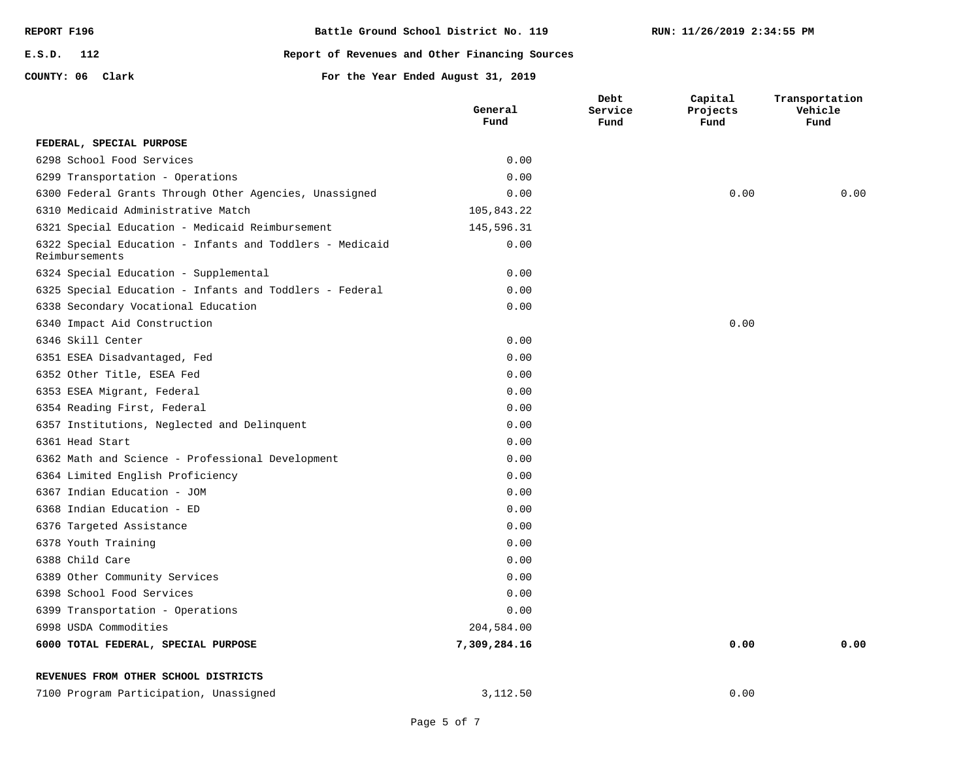| REPORT F196      | Battle Ground School District No. 119          |
|------------------|------------------------------------------------|
| E.S.D. 112       | Report of Revenues and Other Financing Sources |
| COUNTY: 06 Clark | For the Year Ended August 31, 2019             |

**Capital** 

**Transportation Vehicle** 

|                                                                            | General<br>Fund | Service<br>Fund | Projects<br>Fund | Vehicle<br>Fund |
|----------------------------------------------------------------------------|-----------------|-----------------|------------------|-----------------|
| FEDERAL, SPECIAL PURPOSE                                                   |                 |                 |                  |                 |
| 6298 School Food Services                                                  | 0.00            |                 |                  |                 |
| 6299 Transportation - Operations                                           | 0.00            |                 |                  |                 |
| 6300 Federal Grants Through Other Agencies, Unassigned                     | 0.00            |                 | 0.00             | 0.00            |
| 6310 Medicaid Administrative Match                                         | 105,843.22      |                 |                  |                 |
| 6321 Special Education - Medicaid Reimbursement                            | 145,596.31      |                 |                  |                 |
| 6322 Special Education - Infants and Toddlers - Medicaid<br>Reimbursements | 0.00            |                 |                  |                 |
| 6324 Special Education - Supplemental                                      | 0.00            |                 |                  |                 |
| 6325 Special Education - Infants and Toddlers - Federal                    | 0.00            |                 |                  |                 |
| 6338 Secondary Vocational Education                                        | 0.00            |                 |                  |                 |
| 6340 Impact Aid Construction                                               |                 |                 | 0.00             |                 |
| 6346 Skill Center                                                          | 0.00            |                 |                  |                 |
| 6351 ESEA Disadvantaged, Fed                                               | 0.00            |                 |                  |                 |
| 6352 Other Title, ESEA Fed                                                 | 0.00            |                 |                  |                 |
| 6353 ESEA Migrant, Federal                                                 | 0.00            |                 |                  |                 |
| 6354 Reading First, Federal                                                | 0.00            |                 |                  |                 |
| 6357 Institutions, Neglected and Delinquent                                | 0.00            |                 |                  |                 |
| 6361 Head Start                                                            | 0.00            |                 |                  |                 |
| 6362 Math and Science - Professional Development                           | 0.00            |                 |                  |                 |
| 6364 Limited English Proficiency                                           | 0.00            |                 |                  |                 |
| 6367 Indian Education - JOM                                                | 0.00            |                 |                  |                 |
| 6368 Indian Education - ED                                                 | 0.00            |                 |                  |                 |
| 6376 Targeted Assistance                                                   | 0.00            |                 |                  |                 |
| 6378 Youth Training                                                        | 0.00            |                 |                  |                 |
| 6388 Child Care                                                            | 0.00            |                 |                  |                 |
| 6389 Other Community Services                                              | 0.00            |                 |                  |                 |
| 6398 School Food Services                                                  | 0.00            |                 |                  |                 |
| 6399 Transportation - Operations                                           | 0.00            |                 |                  |                 |
| 6998 USDA Commodities                                                      | 204,584.00      |                 |                  |                 |
| 6000 TOTAL FEDERAL, SPECIAL PURPOSE                                        | 7,309,284.16    |                 | 0.00             | 0.00            |

**Debt Service** 

| REVENUES FROM OTHER SCHOOL DISTRICTS |
|--------------------------------------|
|--------------------------------------|

| 7100 Program Participation, Unassigned |  | 3,112.50 | D.OC |
|----------------------------------------|--|----------|------|
|----------------------------------------|--|----------|------|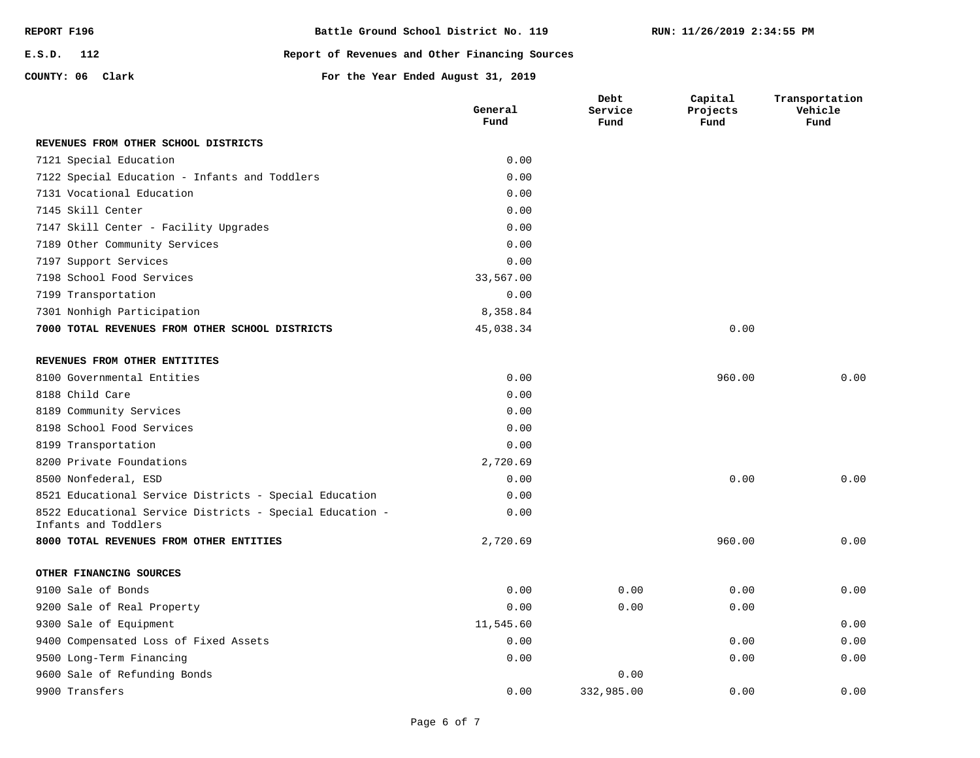| REPORT F196      | Battle Ground School District No. 119          |
|------------------|------------------------------------------------|
| $E.S.D.$ 112     | Report of Revenues and Other Financing Sources |
| COUNTY: 06 Clark | For the Year Ended August 31, 2019             |

|                                                                                  | General<br>Fund | Debt<br>Service<br>Fund | Capital<br>Projects<br>Fund | Transportation<br>Vehicle<br>Fund |
|----------------------------------------------------------------------------------|-----------------|-------------------------|-----------------------------|-----------------------------------|
| REVENUES FROM OTHER SCHOOL DISTRICTS                                             |                 |                         |                             |                                   |
| 7121 Special Education                                                           | 0.00            |                         |                             |                                   |
| 7122 Special Education - Infants and Toddlers                                    | 0.00            |                         |                             |                                   |
| 7131 Vocational Education                                                        | 0.00            |                         |                             |                                   |
| 7145 Skill Center                                                                | 0.00            |                         |                             |                                   |
| 7147 Skill Center - Facility Upgrades                                            | 0.00            |                         |                             |                                   |
| 7189 Other Community Services                                                    | 0.00            |                         |                             |                                   |
| 7197 Support Services                                                            | 0.00            |                         |                             |                                   |
| 7198 School Food Services                                                        | 33,567.00       |                         |                             |                                   |
| 7199 Transportation                                                              | 0.00            |                         |                             |                                   |
| 7301 Nonhigh Participation                                                       | 8,358.84        |                         |                             |                                   |
| 7000 TOTAL REVENUES FROM OTHER SCHOOL DISTRICTS                                  | 45,038.34       |                         | 0.00                        |                                   |
| REVENUES FROM OTHER ENTITITES                                                    |                 |                         |                             |                                   |
| 8100 Governmental Entities                                                       | 0.00            |                         | 960.00                      | 0.00                              |
| 8188 Child Care                                                                  | 0.00            |                         |                             |                                   |
| 8189 Community Services                                                          | 0.00            |                         |                             |                                   |
| 8198 School Food Services                                                        | 0.00            |                         |                             |                                   |
| 8199 Transportation                                                              | 0.00            |                         |                             |                                   |
| 8200 Private Foundations                                                         | 2,720.69        |                         |                             |                                   |
| 8500 Nonfederal, ESD                                                             | 0.00            |                         | 0.00                        | 0.00                              |
| 8521 Educational Service Districts - Special Education                           | 0.00            |                         |                             |                                   |
| 8522 Educational Service Districts - Special Education -<br>Infants and Toddlers | 0.00            |                         |                             |                                   |
| 8000 TOTAL REVENUES FROM OTHER ENTITIES                                          | 2,720.69        |                         | 960.00                      | 0.00                              |
| OTHER FINANCING SOURCES                                                          |                 |                         |                             |                                   |

|  |  | 9100 Sale of Bonds |                            |
|--|--|--------------------|----------------------------|
|  |  |                    | 9200 Sale of Real Property |

| 9100 Sale of Bonds                    | 0.00      | 0.00       | 0.00 | 0.00 |
|---------------------------------------|-----------|------------|------|------|
| 9200 Sale of Real Property            | 0.00      | 0.00       | 0.00 |      |
| 9300 Sale of Equipment                | 11,545.60 |            |      | 0.00 |
| 9400 Compensated Loss of Fixed Assets | 0.00      |            | 0.00 | 0.00 |
| 9500 Long-Term Financing              | 0.00      |            | 0.00 | 0.00 |
| 9600 Sale of Refunding Bonds          |           | 0.00       |      |      |
| 9900 Transfers                        | 0.00      | 332,985.00 | 0.00 | 0.00 |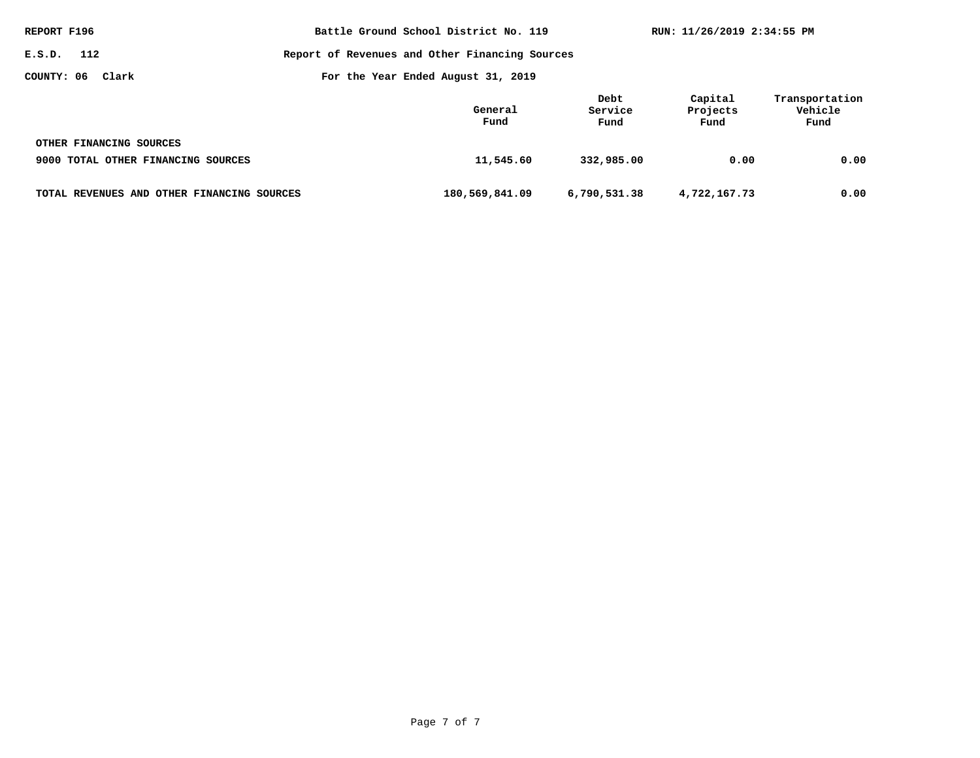| REPORT F196                                | Battle Ground School District No. 119          |                         | RUN: 11/26/2019 2:34:55 PM  |                                   |
|--------------------------------------------|------------------------------------------------|-------------------------|-----------------------------|-----------------------------------|
| E.S.D. 112                                 | Report of Revenues and Other Financing Sources |                         |                             |                                   |
| COUNTY: 06<br>Clark                        | For the Year Ended August 31, 2019             |                         |                             |                                   |
|                                            | General<br>Fund                                | Debt<br>Service<br>Fund | Capital<br>Projects<br>Fund | Transportation<br>Vehicle<br>Fund |
| OTHER FINANCING SOURCES                    |                                                |                         |                             |                                   |
| 9000 TOTAL OTHER FINANCING SOURCES         | 11,545.60                                      | 332,985.00              | 0.00                        | 0.00                              |
| TOTAL REVENUES AND OTHER FINANCING SOURCES | 180,569,841.09                                 | 6,790,531.38            | 4,722,167.73                | 0.00                              |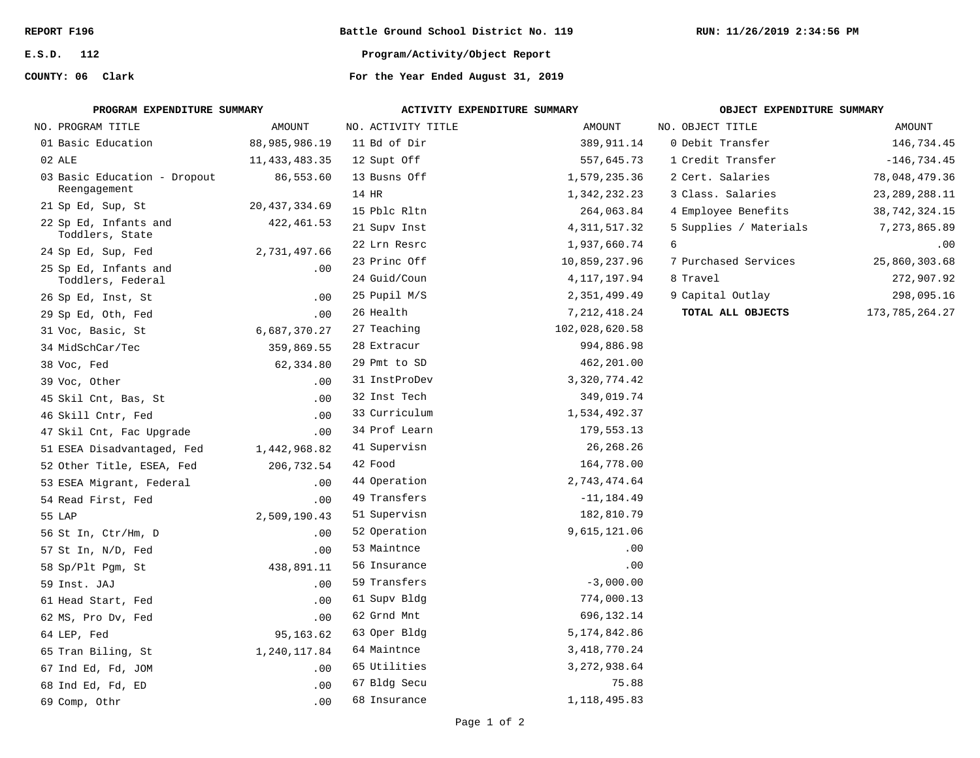**E.S.D. 112**

# **COUNTY: 06**

**Battle Ground School District No. 119**

**Program/Activity/Object Report**

For the Year Ended August 31, 2019

| PROGRAM EXPENDITURE SUMMARY              |                 | ACTIVITY EXPENDITURE SUMMARY |                 | OBJECT EXPENDITURE SUMMARY |                  |  |
|------------------------------------------|-----------------|------------------------------|-----------------|----------------------------|------------------|--|
| NO. PROGRAM TITLE                        | AMOUNT          | NO. ACTIVITY TITLE           | AMOUNT          | NO. OBJECT TITLE           | AMOUNT           |  |
| 01 Basic Education                       | 88,985,986.19   | 11 Bd of Dir                 | 389,911.14      | 0 Debit Transfer           | 146,734.45       |  |
| 02 ALE                                   | 11,433,483.35   | 12 Supt Off                  | 557,645.73      | 1 Credit Transfer          | $-146, 734.45$   |  |
| 03 Basic Education - Dropout             | 86,553.60       | 13 Busns Off                 | 1,579,235.36    | 2 Cert. Salaries           | 78,048,479.36    |  |
| Reengagement                             |                 | 14 HR                        | 1,342,232.23    | 3 Class. Salaries          | 23, 289, 288.11  |  |
| 21 Sp Ed, Sup, St                        | 20, 437, 334.69 | 15 Pblc Rltn                 | 264,063.84      | 4 Employee Benefits        | 38, 742, 324. 15 |  |
| 22 Sp Ed, Infants and<br>Toddlers, State | 422, 461.53     | 21 Supv Inst                 | 4, 311, 517.32  | 5 Supplies / Materials     | 7,273,865.89     |  |
| 24 Sp Ed, Sup, Fed                       | 2,731,497.66    | 22 Lrn Resrc                 | 1,937,660.74    | 6                          | .00              |  |
| 25 Sp Ed, Infants and                    | .00             | 23 Princ Off                 | 10,859,237.96   | 7 Purchased Services       | 25,860,303.68    |  |
| Toddlers, Federal                        |                 | 24 Guid/Coun                 | 4, 117, 197.94  | 8 Travel                   | 272,907.92       |  |
| 26 Sp Ed, Inst, St                       | .00             | 25 Pupil M/S                 | 2,351,499.49    | 9 Capital Outlay           | 298,095.16       |  |
| 29 Sp Ed, Oth, Fed                       | .00             | 26 Health                    | 7, 212, 418.24  | TOTAL ALL OBJECTS          | 173, 785, 264.27 |  |
| 31 Voc, Basic, St                        | 6,687,370.27    | 27 Teaching                  | 102,028,620.58  |                            |                  |  |
| 34 MidSchCar/Tec                         | 359,869.55      | 28 Extracur                  | 994,886.98      |                            |                  |  |
| 38 Voc, Fed                              | 62,334.80       | 29 Pmt to SD                 | 462,201.00      |                            |                  |  |
| 39 Voc, Other                            | .00             | 31 InstProDev                | 3, 320, 774.42  |                            |                  |  |
| 45 Skil Cnt, Bas, St                     | .00             | 32 Inst Tech                 | 349,019.74      |                            |                  |  |
| 46 Skill Cntr, Fed                       | .00             | 33 Curriculum                | 1,534,492.37    |                            |                  |  |
| 47 Skil Cnt, Fac Upgrade                 | .00             | 34 Prof Learn                | 179,553.13      |                            |                  |  |
| 51 ESEA Disadvantaged, Fed               | 1,442,968.82    | 41 Supervisn                 | 26, 268. 26     |                            |                  |  |
| 52 Other Title, ESEA, Fed                | 206,732.54      | 42 Food                      | 164,778.00      |                            |                  |  |
| 53 ESEA Migrant, Federal                 | .00             | 44 Operation                 | 2,743,474.64    |                            |                  |  |
| 54 Read First, Fed                       | .00             | 49 Transfers                 | $-11, 184.49$   |                            |                  |  |
| 55 LAP                                   | 2,509,190.43    | 51 Supervisn                 | 182,810.79      |                            |                  |  |
| 56 St In, Ctr/Hm, D                      | .00             | 52 Operation                 | 9,615,121.06    |                            |                  |  |
| 57 St In, N/D, Fed                       | .00             | 53 Maintnce                  | .00             |                            |                  |  |
| 58 Sp/Plt Pgm, St                        | 438,891.11      | 56 Insurance                 | .00             |                            |                  |  |
| 59 Inst. JAJ                             | .00             | 59 Transfers                 | $-3,000.00$     |                            |                  |  |
| 61 Head Start, Fed                       | .00             | 61 Supv Bldg                 | 774,000.13      |                            |                  |  |
| 62 MS, Pro Dv, Fed                       | .00             | 62 Grnd Mnt                  | 696,132.14      |                            |                  |  |
| 64 LEP, Fed                              | 95,163.62       | 63 Oper Bldg                 | 5, 174, 842.86  |                            |                  |  |
| 65 Tran Biling, St                       | 1,240,117.84    | 64 Maintnce                  | 3, 418, 770. 24 |                            |                  |  |
| 67 Ind Ed, Fd, JOM                       | .00             | 65 Utilities                 | 3, 272, 938.64  |                            |                  |  |
| 68 Ind Ed, Fd, ED                        | .00             | 67 Bldg Secu                 | 75.88           |                            |                  |  |
| 69 Comp, Othr                            | .00             | 68 Insurance                 | 1,118,495.83    |                            |                  |  |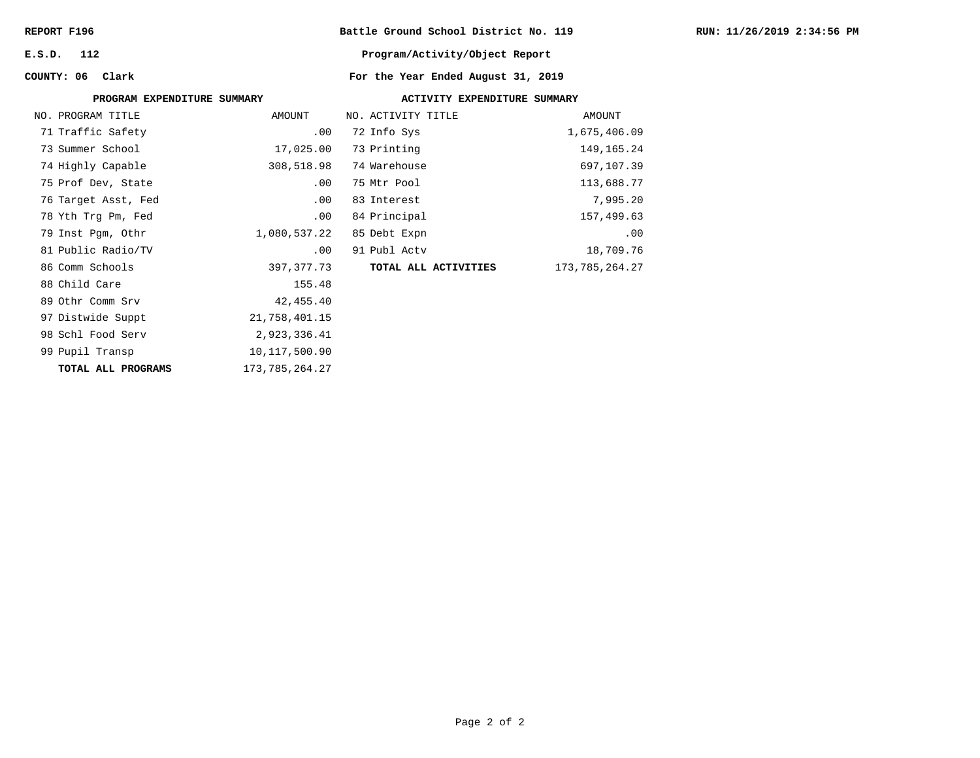**E.S.D. 112**

# **Battle Ground School District No. 119**

## **Program/Activity/Object Report**

# For the Year Ended August 31, 2019

| COUNTY: 06 Clark            |                | For the Year Ended August 31, 2019 |                |
|-----------------------------|----------------|------------------------------------|----------------|
| PROGRAM EXPENDITURE SUMMARY |                | ACTIVITY EXPENDITURE SUMMARY       |                |
| NO. PROGRAM TITLE           | AMOUNT         | NO. ACTIVITY TITLE                 | AMOUNT         |
| 71 Traffic Safety           | .00            | 72 Info Sys                        | 1,675,406.09   |
| 73 Summer School            | 17,025.00      | 73 Printing                        | 149,165.24     |
| 74 Highly Capable           | 308,518.98     | 74 Warehouse                       | 697,107.39     |
| 75 Prof Dev, State          | .00            | 75 Mtr Pool                        | 113,688.77     |
| 76 Target Asst, Fed         | $.00 \,$       | 83 Interest                        | 7,995.20       |
| 78 Yth Trg Pm, Fed          | .00            | 84 Principal                       | 157,499.63     |
| 79 Inst Pgm, Othr           | 1,080,537.22   | 85 Debt Expn                       | .00            |
| 81 Public Radio/TV          | .00            | 91 Publ Actv                       | 18,709.76      |
| 86 Comm Schools             | 397,377.73     | TOTAL ALL ACTIVITIES               | 173,785,264.27 |
| 88 Child Care               | 155.48         |                                    |                |
| 89 Othr Comm Srv            | 42,455.40      |                                    |                |
| 97 Distwide Suppt           | 21,758,401.15  |                                    |                |
| 98 Schl Food Serv           | 2,923,336.41   |                                    |                |
| 99 Pupil Transp             | 10,117,500.90  |                                    |                |
| TOTAL ALL PROGRAMS          | 173,785,264.27 |                                    |                |
|                             |                |                                    |                |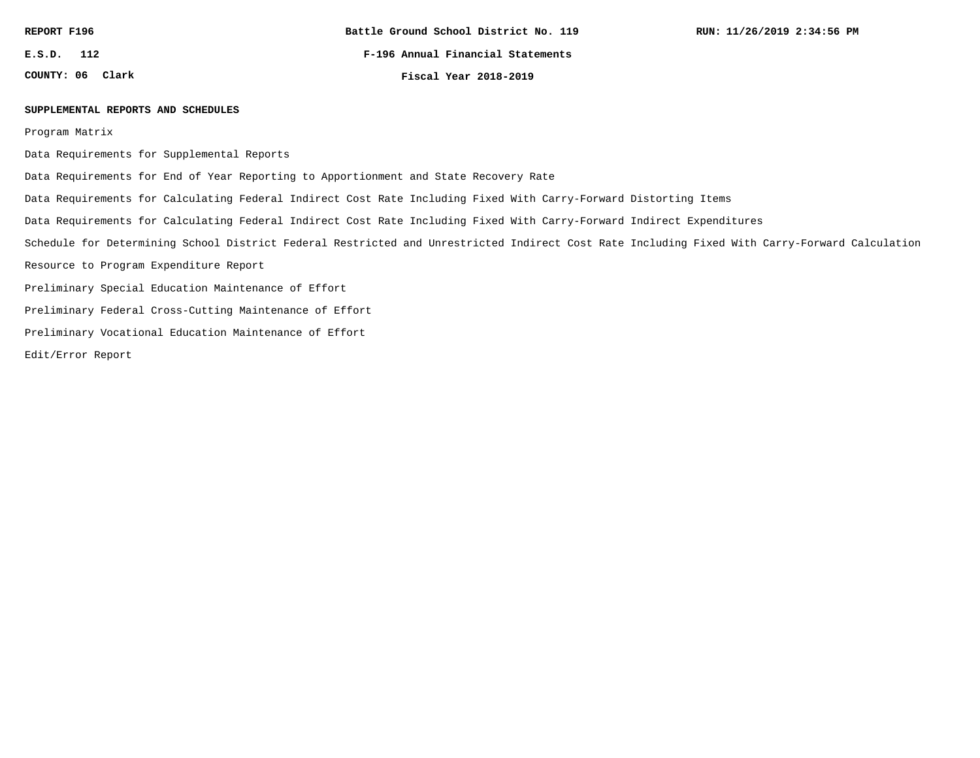**E.S.D. 112**

**COUNTY: 06**

**F-196 Annual Financial Statements**

**Clark Fiscal Year 2018-2019**

#### **SUPPLEMENTAL REPORTS AND SCHEDULES**

Program Matrix

Data Requirements for Supplemental Reports

Data Requirements for End of Year Reporting to Apportionment and State Recovery Rate

Data Requirements for Calculating Federal Indirect Cost Rate Including Fixed With Carry-Forward Distorting Items

Data Requirements for Calculating Federal Indirect Cost Rate Including Fixed With Carry-Forward Indirect Expenditures

Schedule for Determining School District Federal Restricted and Unrestricted Indirect Cost Rate Including Fixed With Carry-Forward Calculation

Resource to Program Expenditure Report

Preliminary Special Education Maintenance of Effort

Preliminary Federal Cross-Cutting Maintenance of Effort

Preliminary Vocational Education Maintenance of Effort

Edit/Error Report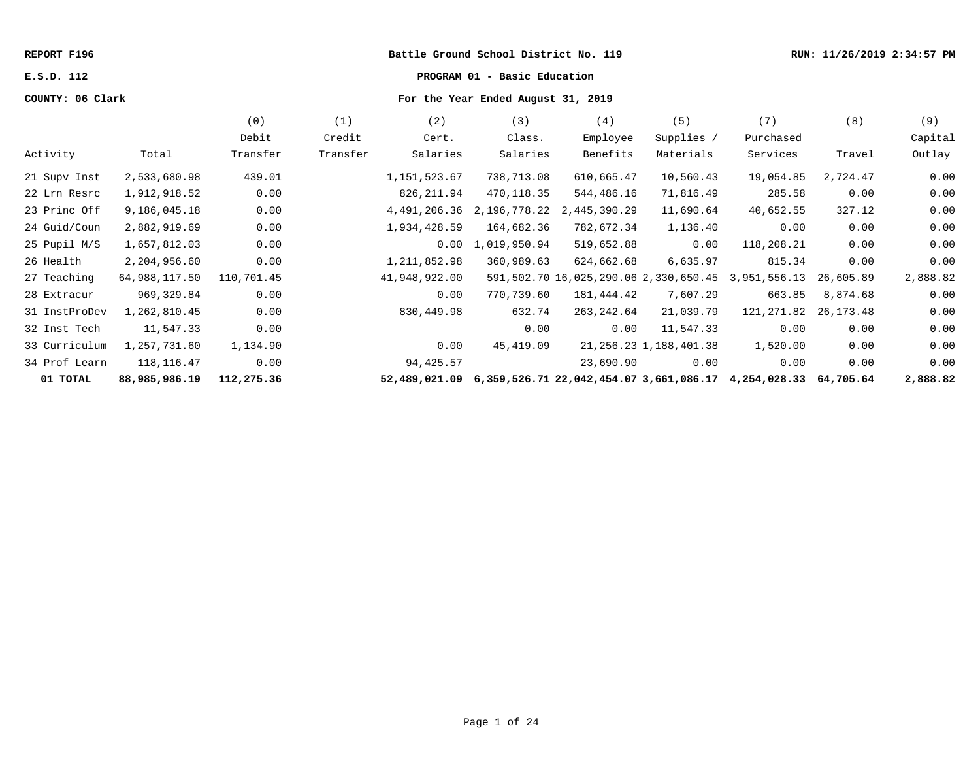#### **REPORT F196 Battle Ground School District No. 119 RUN: 11/26/2019 2:34:57 PM**

# **E.S.D. 112 PROGRAM 01 - Basic Education**

# **COUNTY: 06 Clark For the Year Ended August 31, 2019**

|               |               | (0)        | (1)      | (2)           | (3)          | (4)                                                  | (5)                         | (7)          | (8)       | (9)      |
|---------------|---------------|------------|----------|---------------|--------------|------------------------------------------------------|-----------------------------|--------------|-----------|----------|
|               |               | Debit      | Credit   | Cert.         | Class.       | Employee                                             | Supplies /                  | Purchased    |           | Capital  |
| Activity      | Total         | Transfer   | Transfer | Salaries      | Salaries     | Benefits                                             | Materials                   | Services     | Travel    | Outlay   |
| 21 Supv Inst  | 2,533,680.98  | 439.01     |          | 1,151,523.67  | 738,713.08   | 610,665.47                                           | 10,560.43                   | 19,054.85    | 2,724.47  | 0.00     |
| 22 Lrn Resrc  | 1,912,918.52  | 0.00       |          | 826, 211.94   | 470,118.35   | 544,486.16                                           | 71,816.49                   | 285.58       | 0.00      | 0.00     |
| 23 Princ Off  | 9,186,045.18  | 0.00       |          | 4,491,206.36  | 2,196,778.22 | 2,445,390.29                                         | 11,690.64                   | 40,652.55    | 327.12    | 0.00     |
| 24 Guid/Coun  | 2,882,919.69  | 0.00       |          | 1,934,428.59  | 164,682.36   | 782,672.34                                           | 1,136.40                    | 0.00         | 0.00      | 0.00     |
| 25 Pupil M/S  | 1,657,812.03  | 0.00       |          | 0.00          | 1,019,950.94 | 519,652.88                                           | 0.00                        | 118,208.21   | 0.00      | 0.00     |
| 26 Health     | 2,204,956.60  | 0.00       |          | 1,211,852.98  | 360,989.63   | 624,662.68                                           | 6,635.97                    | 815.34       | 0.00      | 0.00     |
| 27 Teaching   | 64,988,117.50 | 110,701.45 |          | 41,948,922.00 |              | 591,502.70 16,025,290.06 2,330,650.45                |                             | 3,951,556.13 | 26,605.89 | 2,888.82 |
| 28 Extracur   | 969,329.84    | 0.00       |          | 0.00          | 770,739.60   | 181,444.42                                           | 7,607.29                    | 663.85       | 8,874.68  | 0.00     |
| 31 InstProDev | 1,262,810.45  | 0.00       |          | 830,449.98    | 632.74       | 263, 242.64                                          | 21,039.79                   | 121,271.82   | 26,173.48 | 0.00     |
| 32 Inst Tech  | 11,547.33     | 0.00       |          |               | 0.00         | 0.00                                                 | 11,547.33                   | 0.00         | 0.00      | 0.00     |
| 33 Curriculum | 1,257,731.60  | 1,134.90   |          | 0.00          | 45,419.09    |                                                      | 21, 256. 23 1, 188, 401. 38 | 1,520.00     | 0.00      | 0.00     |
| 34 Prof Learn | 118, 116. 47  | 0.00       |          | 94,425.57     |              | 23,690.90                                            | 0.00                        | 0.00         | 0.00      | 0.00     |
| 01 TOTAL      | 88,985,986.19 | 112,275.36 |          | 52,489,021.09 |              | 6,359,526.71 22,042,454.07 3,661,086.17 4,254,028.33 |                             |              | 64,705.64 | 2,888.82 |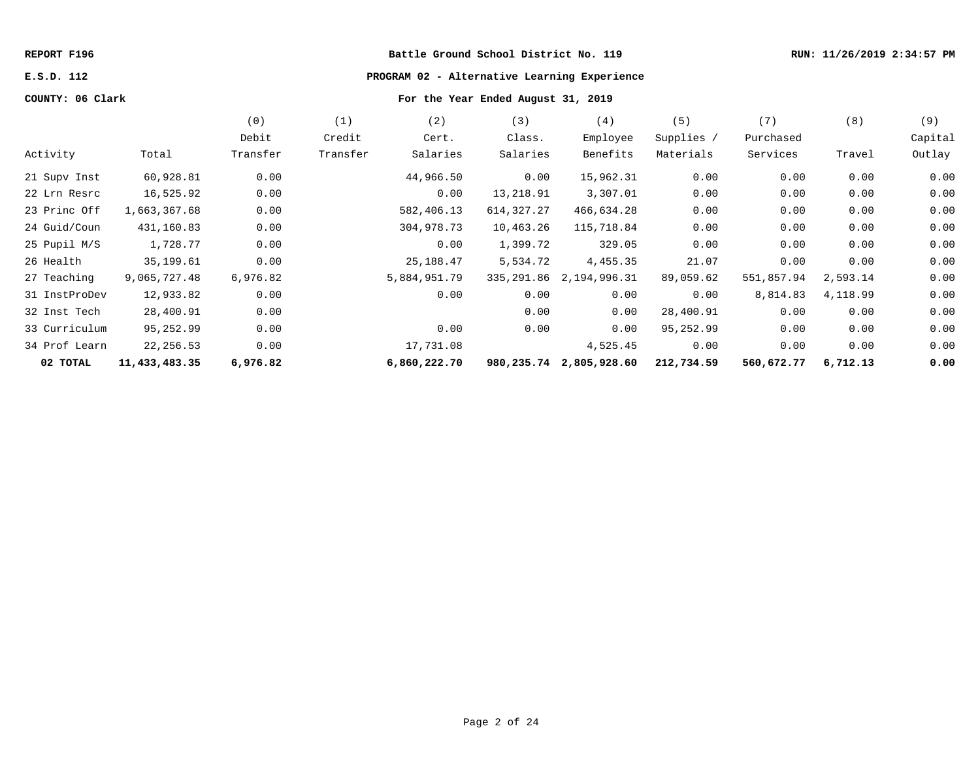#### **REPORT F196 Battle Ground School District No. 119 RUN: 11/26/2019 2:34:57 PM**

# **E.S.D. 112 PROGRAM 02 - Alternative Learning Experience**

# **COUNTY: 06 Clark For the Year Ended August 31, 2019**

|               |               | (0)      | (1)      | (2)          | (3)        | (4)                     | (5)        | (7)        | (8)      | (9)     |
|---------------|---------------|----------|----------|--------------|------------|-------------------------|------------|------------|----------|---------|
|               |               | Debit    | Credit   | Cert.        | Class.     | Employee                | Supplies / | Purchased  |          | Capital |
| Activity      | Total         | Transfer | Transfer | Salaries     | Salaries   | Benefits                | Materials  | Services   | Travel   | Outlay  |
| 21 Supv Inst  | 60,928.81     | 0.00     |          | 44,966.50    | 0.00       | 15,962.31               | 0.00       | 0.00       | 0.00     | 0.00    |
| 22 Lrn Resrc  | 16,525.92     | 0.00     |          | 0.00         | 13,218.91  | 3,307.01                | 0.00       | 0.00       | 0.00     | 0.00    |
| 23 Princ Off  | 1,663,367.68  | 0.00     |          | 582,406.13   | 614,327.27 | 466,634.28              | 0.00       | 0.00       | 0.00     | 0.00    |
| 24 Guid/Coun  | 431,160.83    | 0.00     |          | 304,978.73   | 10,463.26  | 115,718.84              | 0.00       | 0.00       | 0.00     | 0.00    |
| 25 Pupil M/S  | 1,728.77      | 0.00     |          | 0.00         | 1,399.72   | 329.05                  | 0.00       | 0.00       | 0.00     | 0.00    |
| 26 Health     | 35,199.61     | 0.00     |          | 25,188.47    | 5,534.72   | 4,455.35                | 21.07      | 0.00       | 0.00     | 0.00    |
| 27 Teaching   | 9,065,727.48  | 6,976.82 |          | 5,884,951.79 | 335,291.86 | 2,194,996.31            | 89,059.62  | 551,857.94 | 2,593.14 | 0.00    |
| 31 InstProDev | 12,933.82     | 0.00     |          | 0.00         | 0.00       | 0.00                    | 0.00       | 8,814.83   | 4,118.99 | 0.00    |
| 32 Inst Tech  | 28,400.91     | 0.00     |          |              | 0.00       | 0.00                    | 28,400.91  | 0.00       | 0.00     | 0.00    |
| 33 Curriculum | 95,252.99     | 0.00     |          | 0.00         | 0.00       | 0.00                    | 95,252.99  | 0.00       | 0.00     | 0.00    |
| 34 Prof Learn | 22,256.53     | 0.00     |          | 17,731.08    |            | 4,525.45                | 0.00       | 0.00       | 0.00     | 0.00    |
| 02 TOTAL      | 11,433,483.35 | 6,976.82 |          | 6,860,222.70 |            | 980,235.74 2,805,928.60 | 212,734.59 | 560,672.77 | 6,712.13 | 0.00    |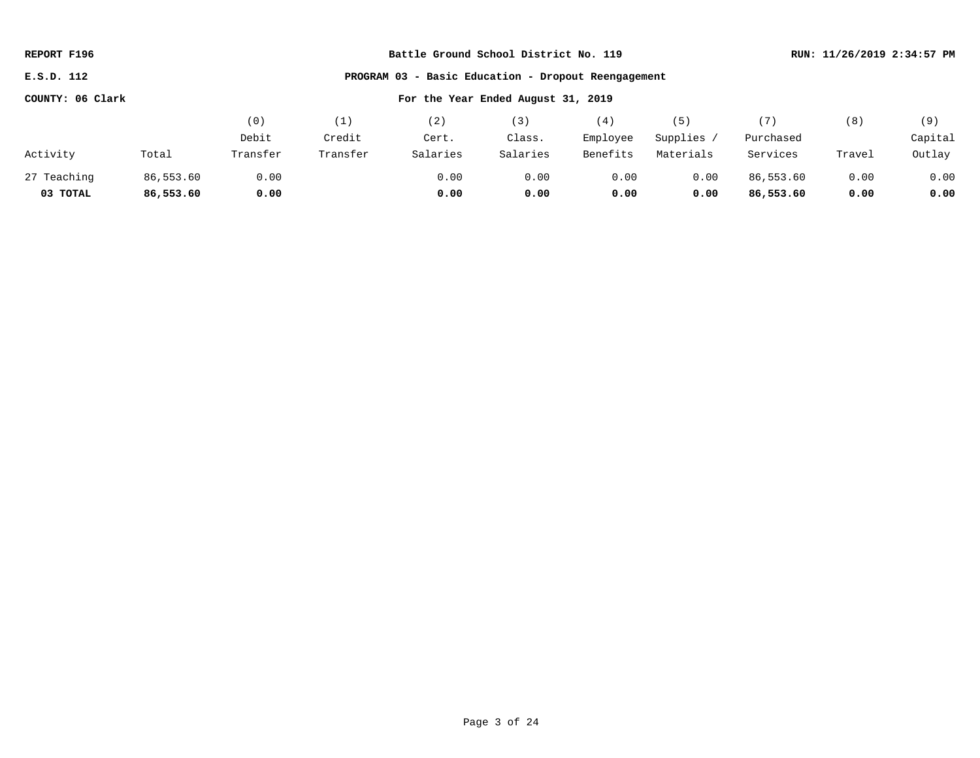| REPORT F196                                                          | Battle Ground School District No. 119 |          |          |          |          |          |            |           |        | RUN: 11/26/2019 2:34:57 PM |
|----------------------------------------------------------------------|---------------------------------------|----------|----------|----------|----------|----------|------------|-----------|--------|----------------------------|
| - Basic Education - Dropout Reengagement<br>E.S.D. 112<br>PROGRAM 03 |                                       |          |          |          |          |          |            |           |        |                            |
| COUNTY: 06 Clark<br>For the Year Ended August 31, 2019               |                                       |          |          |          |          |          |            |           |        |                            |
|                                                                      |                                       | (0)      | (1)      | (2)      | (3)      | (4)      | (5)        | (7)       | (8)    | (9)                        |
|                                                                      |                                       | Debit    | Credit   | Cert.    | Class.   | Employee | Supplies / | Purchased |        | Capital                    |
| Activity                                                             | Total                                 | Transfer | Transfer | Salaries | Salaries | Benefits | Materials  | Services  | Travel | Outlay                     |
| 27 Teaching                                                          | 86,553.60                             | 0.00     |          | 0.00     | 0.00     | 0.00     | 0.00       | 86,553.60 | 0.00   | 0.00                       |
| 03 TOTAL                                                             | 86,553.60                             | 0.00     |          | 0.00     | 0.00     | 0.00     | 0.00       | 86,553.60 | 0.00   | 0.00                       |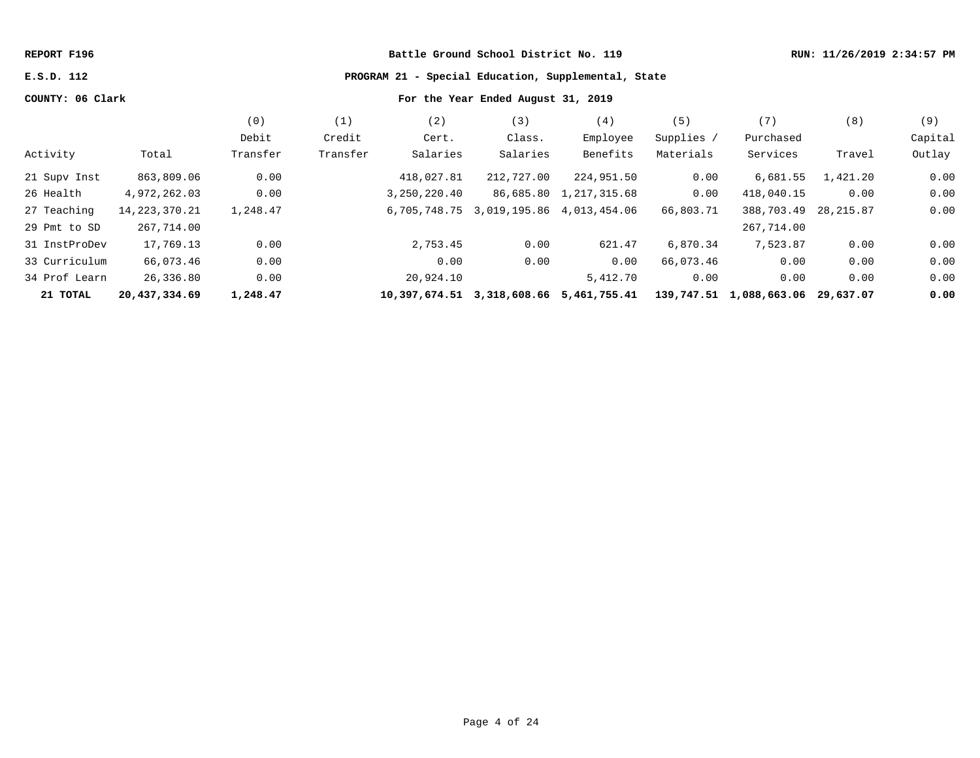**REPORT F196 Battle Ground School District No. 119 RUN: 11/26/2019 2:34:57 PM**

**E.S.D. 112 PROGRAM 21 - Special Education, Supplemental, State**

# **COUNTY: 06 Clark For the Year Ended August 31, 2019**

|               |                  | (0)      | (1,      | (2)          | (3)                                    | (4)                                     | 〔5〕        | (7)                               | (8)       | (9)     |
|---------------|------------------|----------|----------|--------------|----------------------------------------|-----------------------------------------|------------|-----------------------------------|-----------|---------|
|               |                  | Debit    | Credit   | Cert.        | Class.                                 | Employee                                | Supplies / | Purchased                         |           | Capital |
| Activity      | Total            | Transfer | Transfer | Salaries     | Salaries                               | Benefits                                | Materials  | Services                          | Travel    | Outlay  |
| 21 Supv Inst  | 863,809.06       | 0.00     |          | 418,027.81   | 212,727.00                             | 224,951.50                              | 0.00       | 6,681.55                          | 1,421.20  | 0.00    |
| 26 Health     | 4,972,262.03     | 0.00     |          | 3,250,220.40 |                                        | 86,685.80 1,217,315.68                  | 0.00       | 418,040.15                        | 0.00      | 0.00    |
| 27 Teaching   | 14, 223, 370. 21 | 1,248.47 |          |              | 6,705,748.75 3,019,195.86 4,013,454.06 |                                         | 66,803.71  | 388,703.49                        | 28,215.87 | 0.00    |
| 29 Pmt to SD  | 267,714.00       |          |          |              |                                        |                                         |            | 267,714.00                        |           |         |
| 31 InstProDev | 17,769.13        | 0.00     |          | 2,753.45     | 0.00                                   | 621.47                                  | 6,870.34   | 7,523.87                          | 0.00      | 0.00    |
| 33 Curriculum | 66,073.46        | 0.00     |          | 0.00         | 0.00                                   | 0.00                                    | 66,073.46  | 0.00                              | 0.00      | 0.00    |
| 34 Prof Learn | 26,336.80        | 0.00     |          | 20,924.10    |                                        | 5,412.70                                | 0.00       | 0.00                              | 0.00      | 0.00    |
| 21 TOTAL      | 20,437,334.69    | 1,248.47 |          |              |                                        | 10,397,674.51 3,318,608.66 5,461,755.41 |            | 139,747.51 1,088,663.06 29,637.07 |           | 0.00    |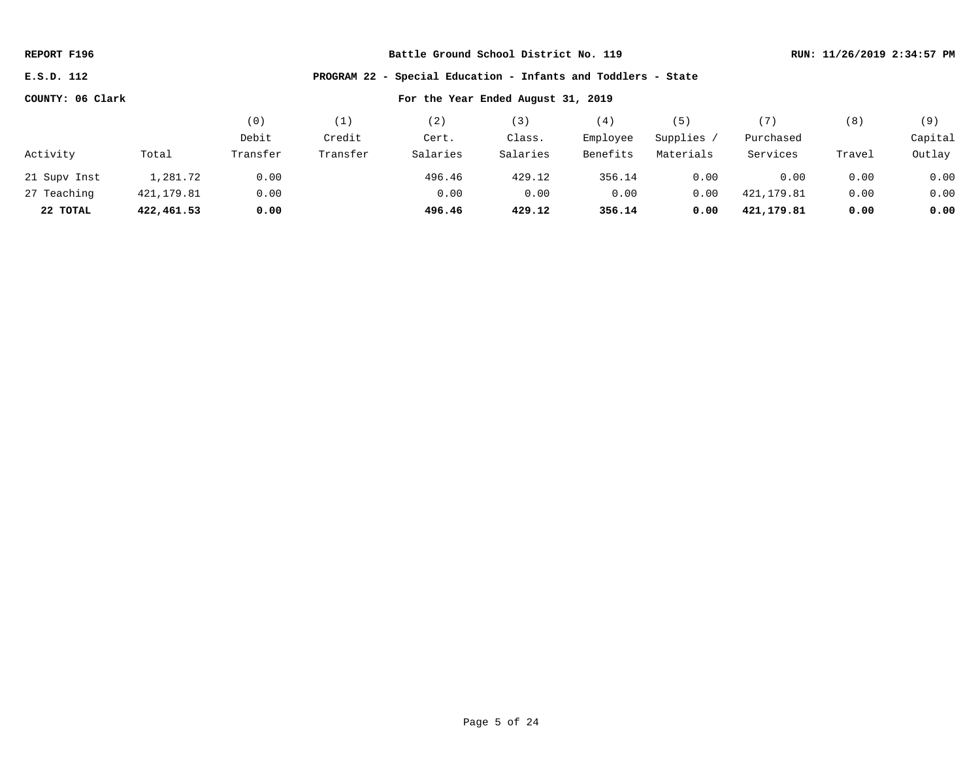| REPORT F196 |  |
|-------------|--|
|-------------|--|

**E.S.D. 112 PROGRAM 22 - Special Education - Infants and Toddlers - State**

|              |            | (0)      | (1)      | ' 2 )    | $\left(3\right)$ | (4)      | 5         | (7)        | (8)    | (9)     |
|--------------|------------|----------|----------|----------|------------------|----------|-----------|------------|--------|---------|
|              |            | Debit    | Credit   | Cert.    | Class.           | Employee | Supplies  | Purchased  |        | Capital |
| Activity     | Total      | Transfer | Transfer | Salaries | Salaries         | Benefits | Materials | Services   | Travel | Outlay  |
| 21 Supv Inst | 1,281.72   | 0.00     |          | 496.46   | 429.12           | 356.14   | 0.00      | 0.00       | 0.00   | 0.00    |
| 27 Teaching  | 421,179.81 | 0.00     |          | 0.00     | 0.00             | 0.00     | 0.00      | 421,179.81 | 0.00   | 0.00    |
| 22 TOTAL     | 422,461.53 | 0.00     |          | 496.46   | 429.12           | 356.14   | 0.00      | 421,179.81 | 0.00   | 0.00    |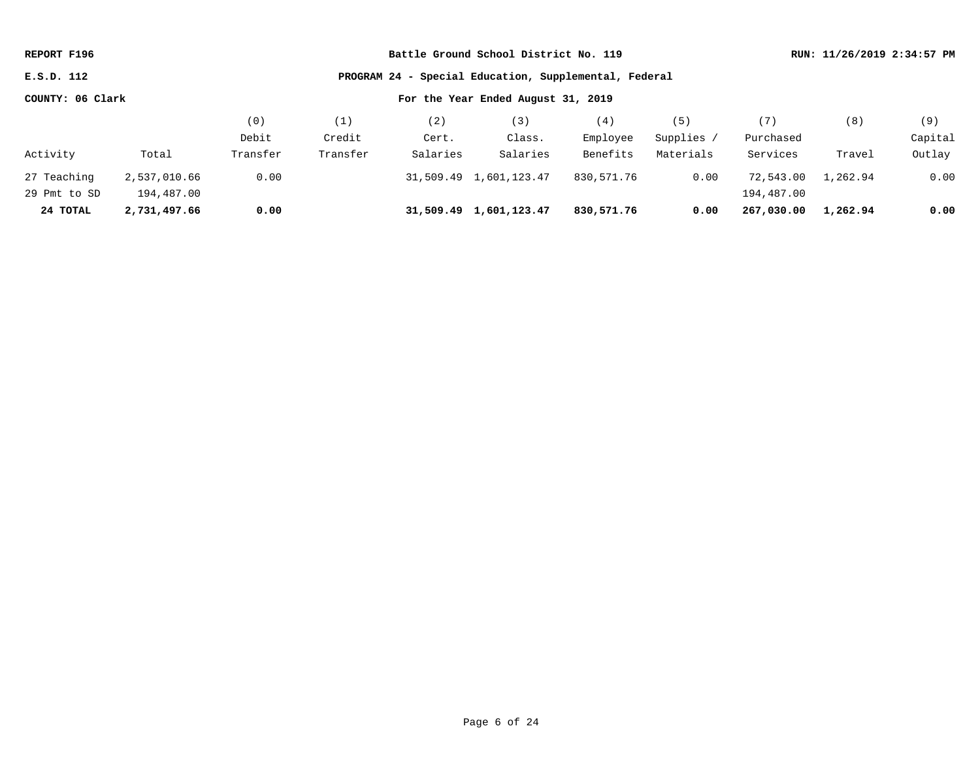| REPORT F196                                                         |              |          |          |          | Battle Ground School District No. 119 |            | RUN: 11/26/2019 2:34:57 PM |            |          |         |
|---------------------------------------------------------------------|--------------|----------|----------|----------|---------------------------------------|------------|----------------------------|------------|----------|---------|
| PROGRAM 24 - Special Education, Supplemental, Federal<br>E.S.D. 112 |              |          |          |          |                                       |            |                            |            |          |         |
| COUNTY: 06 Clark                                                    |              |          |          |          | For the Year Ended August 31, 2019    |            |                            |            |          |         |
|                                                                     |              | (0)      | (1)      | (2)      | (3)                                   | (4)        | (5)                        | (7)        | (8)      | (9)     |
|                                                                     |              | Debit    | Credit   | Cert.    | Class.                                | Employee   | Supplies /                 | Purchased  |          | Capital |
| Activity                                                            | Total        | Transfer | Transfer | Salaries | Salaries                              | Benefits   | Materials                  | Services   | Travel   | Outlay  |
| 27 Teaching                                                         | 2,537,010.66 | 0.00     |          |          | 31,509.49 1,601,123.47                | 830,571.76 | 0.00                       | 72,543.00  | 1,262.94 | 0.00    |
| 29 Pmt to SD                                                        | 194,487.00   |          |          |          |                                       |            |                            | 194,487.00 |          |         |
| 24 TOTAL                                                            | 2,731,497.66 | 0.00     |          |          | 31,509.49 1,601,123.47                | 830,571.76 | 0.00                       | 267,030,00 | 1,262.94 | 0.00    |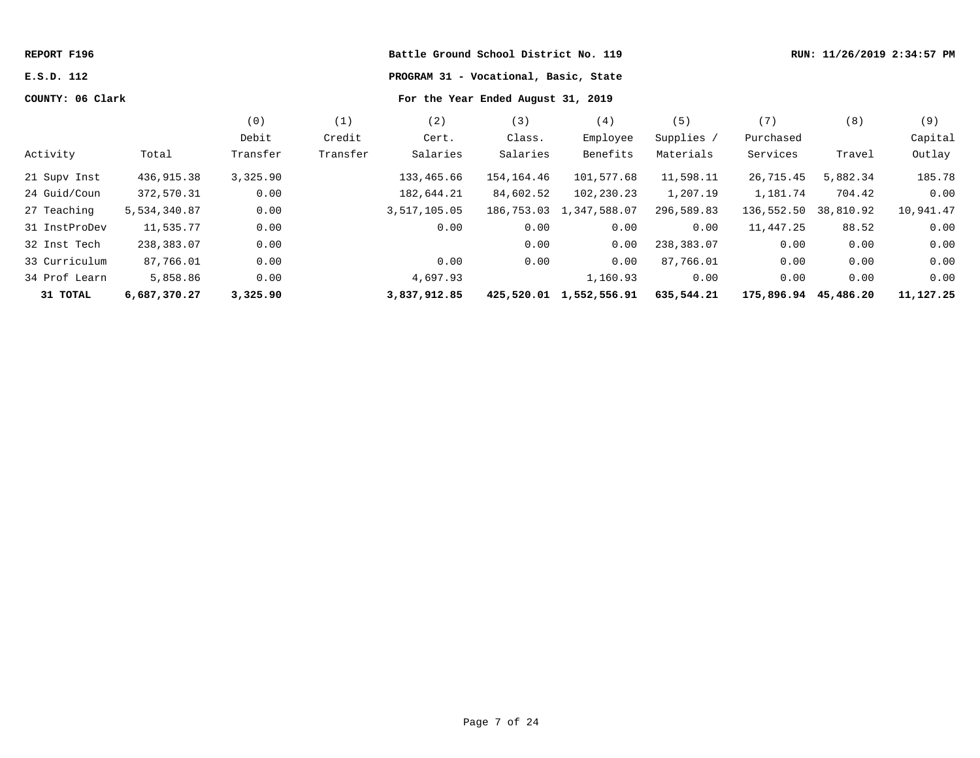| REPORT F196      |              |          |          | Battle Ground School District No. 119 |            | RUN: 11/26/2019 2:34:57 PM |            |                      |           |           |
|------------------|--------------|----------|----------|---------------------------------------|------------|----------------------------|------------|----------------------|-----------|-----------|
| E.S.D. 112       |              |          |          | PROGRAM 31 - Vocational, Basic, State |            |                            |            |                      |           |           |
| COUNTY: 06 Clark |              |          |          |                                       |            |                            |            |                      |           |           |
|                  |              | (0)      | (1)      | (2)                                   | (3)        | (4)                        | (5)        | (7)                  | (8)       | (9)       |
|                  |              | Debit    | Credit   | Cert.                                 | Class.     | Employee                   | Supplies / | Purchased            |           | Capital   |
| Activity         | Total        | Transfer | Transfer | Salaries                              | Salaries   | Benefits                   | Materials  | Services             | Travel    | Outlay    |
| 21 Supv Inst     | 436,915.38   | 3,325.90 |          | 133,465.66                            | 154,164.46 | 101,577.68                 | 11,598.11  | 26,715.45            | 5,882.34  | 185.78    |
| 24 Guid/Coun     | 372,570.31   | 0.00     |          | 182,644.21                            | 84,602.52  | 102,230.23                 | 1,207.19   | 1,181.74             | 704.42    | 0.00      |
| 27 Teaching      | 5,534,340.87 | 0.00     |          | 3,517,105.05                          | 186,753.03 | 1,347,588.07               | 296,589.83 | 136,552.50           | 38,810.92 | 10,941.47 |
| 31 InstProDev    | 11,535.77    | 0.00     |          | 0.00                                  | 0.00       | 0.00                       | 0.00       | 11,447.25            | 88.52     | 0.00      |
| 32 Inst Tech     | 238,383.07   | 0.00     |          |                                       | 0.00       | 0.00                       | 238,383.07 | 0.00                 | 0.00      | 0.00      |
| 33 Curriculum    | 87,766.01    | 0.00     |          | 0.00                                  | 0.00       | 0.00                       | 87,766.01  | 0.00                 | 0.00      | 0.00      |
| 34 Prof Learn    | 5,858.86     | 0.00     |          | 4,697.93                              |            | 1,160.93                   | 0.00       | 0.00                 | 0.00      | 0.00      |
| 31 TOTAL         | 6,687,370.27 | 3,325.90 |          | 3,837,912.85                          |            | 425,520.01 1,552,556.91    | 635,544.21 | 175,896.94 45,486.20 |           | 11,127.25 |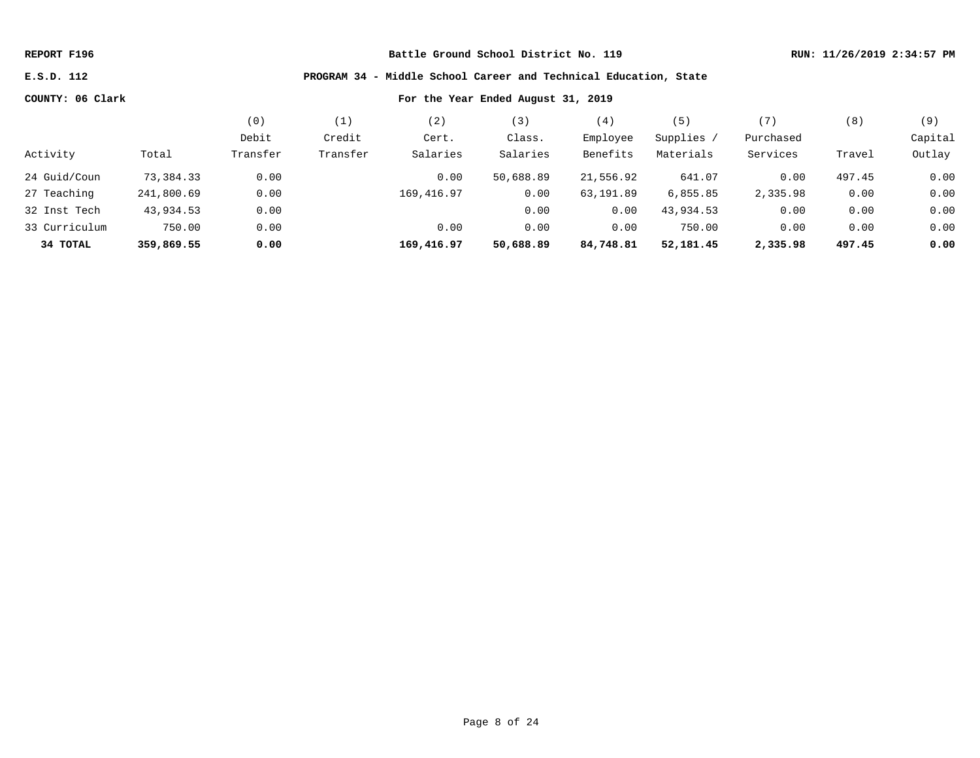## **E.S.D. 112 PROGRAM 34 - Middle School Career and Technical Education, State**

|               |            | (0)      | (1)      | 2)         | 3)        | (4)       | (5)        | (7        | (8)    | (9)     |
|---------------|------------|----------|----------|------------|-----------|-----------|------------|-----------|--------|---------|
|               |            | Debit    | Credit   | Cert.      | Class.    | Employee  | Supplies / | Purchased |        | Capital |
| Activity      | Total      | Transfer | Transfer | Salaries   | Salaries  | Benefits  | Materials  | Services  | Travel | Outlay  |
| 24 Guid/Coun  | 73,384.33  | 0.00     |          | 0.00       | 50,688.89 | 21,556.92 | 641.07     | 0.00      | 497.45 | 0.00    |
| 27 Teaching   | 241,800.69 | 0.00     |          | 169,416.97 | 0.00      | 63,191.89 | 6,855.85   | 2,335.98  | 0.00   | 0.00    |
| 32 Inst Tech  | 43,934.53  | 0.00     |          |            | 0.00      | 0.00      | 43,934.53  | 0.00      | 0.00   | 0.00    |
| 33 Curriculum | 750.00     | 0.00     |          | 0.00       | 0.00      | 0.00      | 750.00     | 0.00      | 0.00   | 0.00    |
| 34 TOTAL      | 359,869.55 | 0.00     |          | 169,416.97 | 50,688.89 | 84,748.81 | 52,181.45  | 2,335.98  | 497.45 | 0.00    |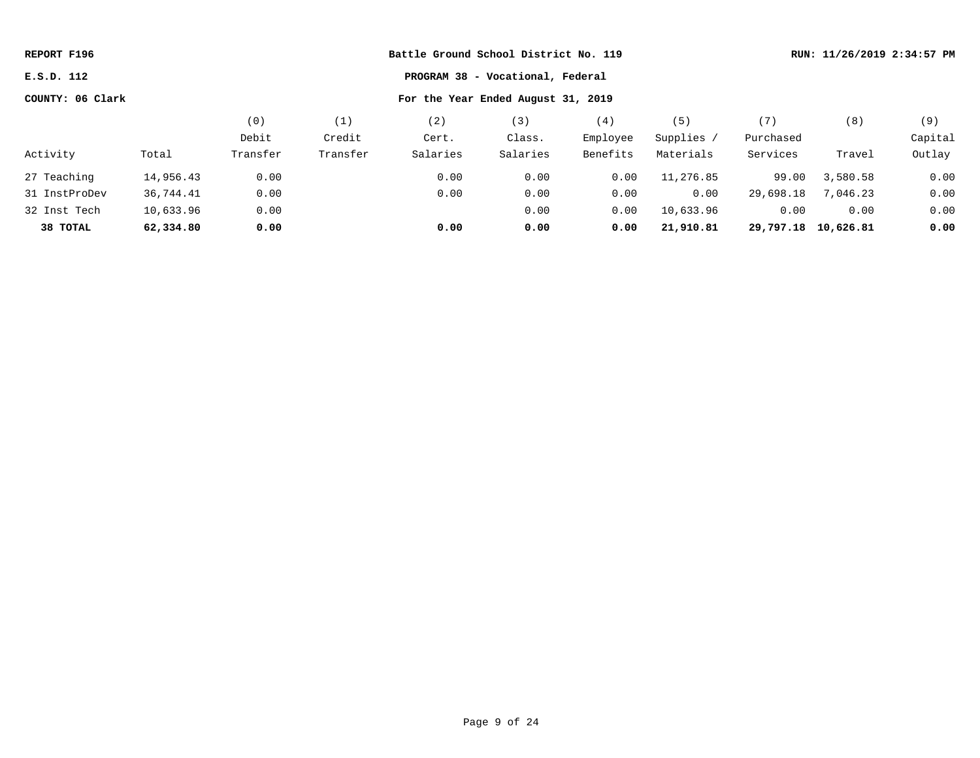| REPORT F196      | Battle Ground School District No. 119 |          |          |          |          |          |            |                     | RUN: 11/26/2019 2:34:57 PM |         |  |  |
|------------------|---------------------------------------|----------|----------|----------|----------|----------|------------|---------------------|----------------------------|---------|--|--|
| E.S.D. 112       |                                       |          |          |          |          |          |            |                     |                            |         |  |  |
| COUNTY: 06 Clark |                                       |          |          |          |          |          |            |                     |                            |         |  |  |
|                  |                                       | (0)      | (1)      | (2)      | (3)      | (4)      | (5)        | (7)                 | (8)                        | (9)     |  |  |
|                  |                                       | Debit    | Credit   | Cert.    | Class.   | Employee | Supplies / | Purchased           |                            | Capital |  |  |
| Activity         | Total                                 | Transfer | Transfer | Salaries | Salaries | Benefits | Materials  | Services            | Travel                     | Outlay  |  |  |
| 27 Teaching      | 14,956.43                             | 0.00     |          | 0.00     | 0.00     | 0.00     | 11,276.85  | 99.00               | 3,580.58                   | 0.00    |  |  |
| 31 InstProDev    | 36,744.41                             | 0.00     |          | 0.00     | 0.00     | 0.00     | 0.00       | 29,698.18           | 7,046.23                   | 0.00    |  |  |
| 32 Inst Tech     | 10,633.96                             | 0.00     |          |          | 0.00     | 0.00     | 10,633.96  | 0.00                | 0.00                       | 0.00    |  |  |
| 38 TOTAL         | 62,334.80                             | 0.00     |          | 0.00     | 0.00     | 0.00     | 21,910.81  | 29,797.18 10,626.81 |                            | 0.00    |  |  |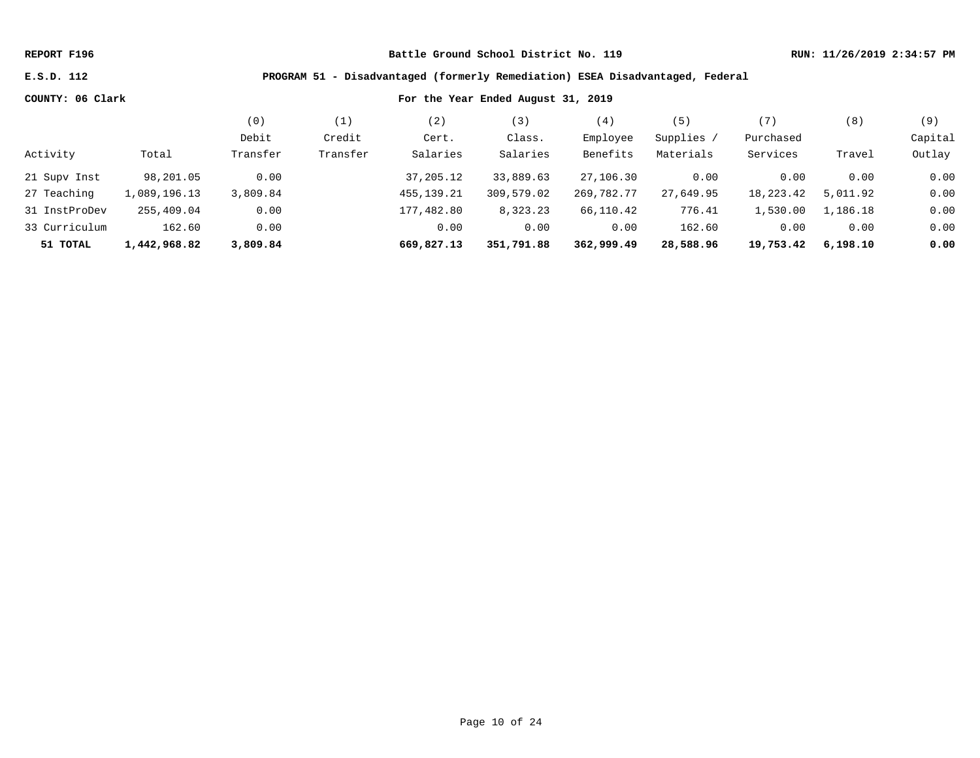### **E.S.D. 112 PROGRAM 51 - Disadvantaged (formerly Remediation) ESEA Disadvantaged, Federal**

|               |              | (0)      |          | 2)           |            | (4)        | 5          | '7,       | (8)      | (9)     |
|---------------|--------------|----------|----------|--------------|------------|------------|------------|-----------|----------|---------|
|               |              | Debit    | Credit   | Cert.        | Class.     | Employee   | Supplies / | Purchased |          | Capital |
| Activity      | Total        | Transfer | Transfer | Salaries     | Salaries   | Benefits   | Materials  | Services  | Travel   | Outlay  |
| 21 Supv Inst  | 98,201.05    | 0.00     |          | 37,205.12    | 33,889.63  | 27,106.30  | 0.00       | 0.00      | 0.00     | 0.00    |
| 27 Teaching   | ,089,196.13  | 3,809.84 |          | 455, 139. 21 | 309,579.02 | 269,782.77 | 27,649.95  | 18,223.42 | 5,011.92 | 0.00    |
| 31 InstProDev | 255,409.04   | 0.00     |          | 177,482.80   | 8,323.23   | 66,110.42  | 776.41     | 1,530.00  | 1,186.18 | 0.00    |
| 33 Curriculum | 162.60       | 0.00     |          | 0.00         | 0.00       | 0.00       | 162.60     | 0.00      | 0.00     | 0.00    |
| 51 TOTAL      | 1,442,968.82 | 3,809.84 |          | 669,827.13   | 351,791.88 | 362,999.49 | 28,588.96  | 19,753.42 | 6,198.10 | 0.00    |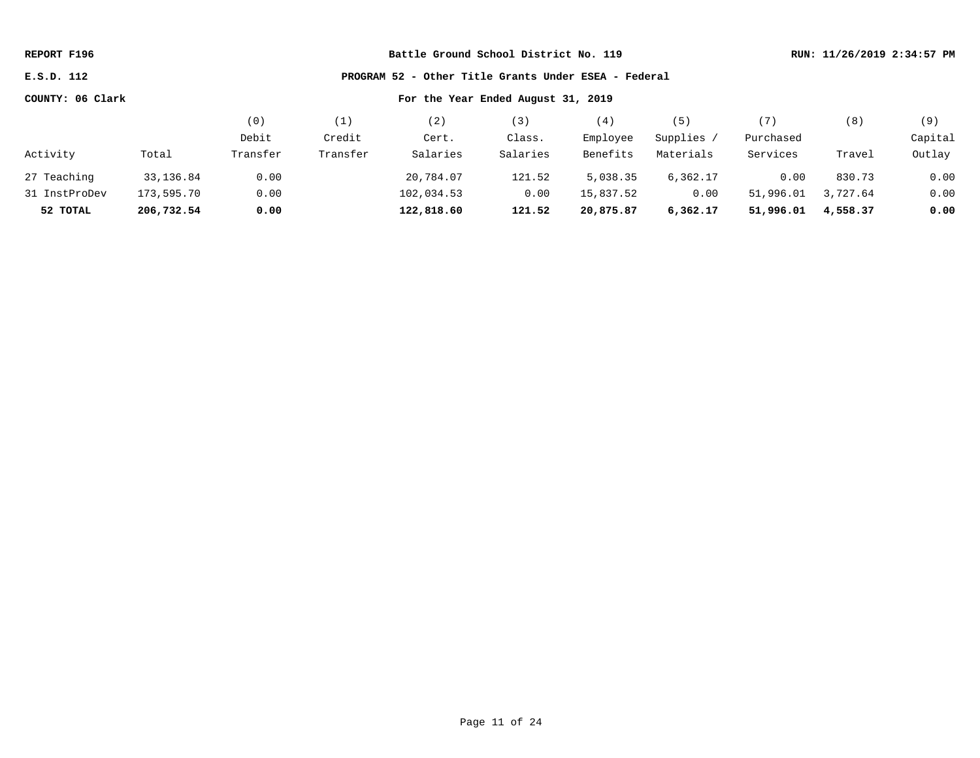**E.S.D. 112 PROGRAM 52 - Other Title Grants Under ESEA - Federal**

|               |            | (0)      | (1)      |            | '3)      | (4)       | (5)       | '7)       | (8)      | (9)     |
|---------------|------------|----------|----------|------------|----------|-----------|-----------|-----------|----------|---------|
|               |            | Debit    | Credit   | Cert.      | Class.   | Employee  | Supplies  | Purchased |          | Capital |
| Activity      | Total      | Transfer | Transfer | Salaries   | Salaries | Benefits  | Materials | Services  | Travel   | Outlay  |
| 27 Teaching   | 33,136.84  | 0.00     |          | 20,784.07  | 121.52   | 5,038.35  | 6,362.17  | 0.00      | 830.73   | 0.00    |
| 31 InstProDev | 173,595.70 | 0.00     |          | 102,034.53 | 0.00     | 15,837.52 | 0.00      | 51,996.01 | 3,727.64 | 0.00    |
| 52 TOTAL      | 206,732.54 | 0.00     |          | 122,818.60 | 121.52   | 20,875.87 | 6,362.17  | 51,996.01 | 4,558.37 | 0.00    |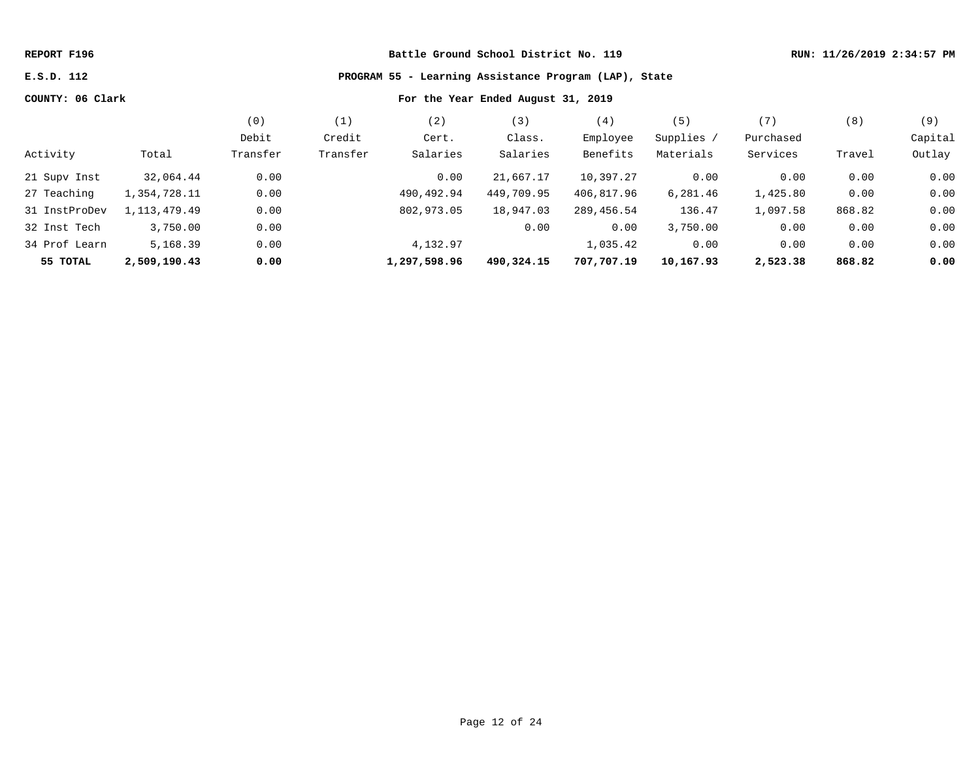# **E.S.D. 112 PROGRAM 55 - Learning Assistance Program (LAP), State**

|               |              | (0)      | (1)      | (2)          | (3)        | (4)        | (5)        | (7)       | (8)    | (9)     |
|---------------|--------------|----------|----------|--------------|------------|------------|------------|-----------|--------|---------|
|               |              | Debit    | Credit   | Cert.        | Class.     | Employee   | Supplies / | Purchased |        | Capital |
| Activity      | Total        | Transfer | Transfer | Salaries     | Salaries   | Benefits   | Materials  | Services  | Travel | Outlay  |
| 21 Supv Inst  | 32,064.44    | 0.00     |          | 0.00         | 21,667.17  | 10,397.27  | 0.00       | 0.00      | 0.00   | 0.00    |
| 27 Teaching   | 1,354,728.11 | 0.00     |          | 490,492.94   | 449,709.95 | 406,817.96 | 6,281.46   | 1,425.80  | 0.00   | 0.00    |
| 31 InstProDev | 1,113,479.49 | 0.00     |          | 802,973.05   | 18,947.03  | 289,456.54 | 136.47     | 1,097.58  | 868.82 | 0.00    |
| 32 Inst Tech  | 3,750.00     | 0.00     |          |              | 0.00       | 0.00       | 3,750.00   | 0.00      | 0.00   | 0.00    |
| 34 Prof Learn | 5,168.39     | 0.00     |          | 4,132.97     |            | 1,035.42   | 0.00       | 0.00      | 0.00   | 0.00    |
| 55 TOTAL      | 2,509,190.43 | 0.00     |          | 1,297,598.96 | 490,324.15 | 707,707.19 | 10,167.93  | 2,523.38  | 868.82 | 0.00    |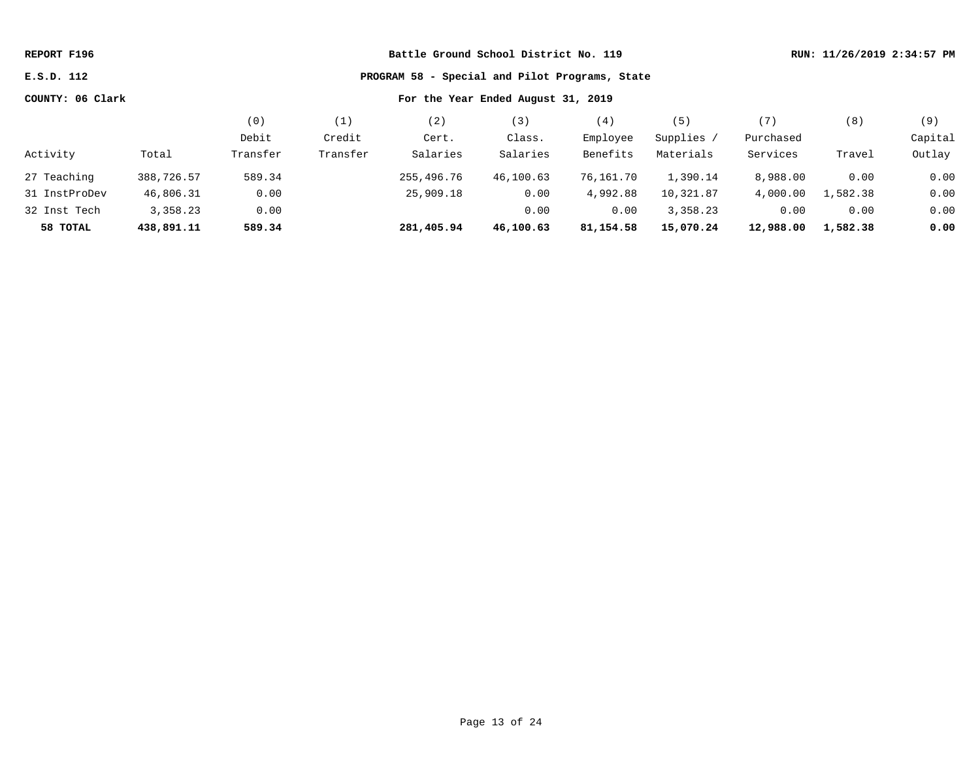| REPORT F196      |            |                                    | RUN: 11/26/2019 2:34:57 PM |            |           |           |            |           |          |         |
|------------------|------------|------------------------------------|----------------------------|------------|-----------|-----------|------------|-----------|----------|---------|
| E.S.D. 112       |            |                                    |                            |            |           |           |            |           |          |         |
| COUNTY: 06 Clark |            | For the Year Ended August 31, 2019 |                            |            |           |           |            |           |          |         |
|                  |            | (0)                                | (1)                        | (2)        | (3)       | (4)       | (5)        | (7)       | (8)      | (9)     |
|                  |            | Debit                              | Credit                     | Cert.      | Class.    | Employee  | Supplies / | Purchased |          | Capital |
| Activity         | Total      | Transfer                           | Transfer                   | Salaries   | Salaries  | Benefits  | Materials  | Services  | Travel   | Outlay  |
| 27 Teaching      | 388,726.57 | 589.34                             |                            | 255,496.76 | 46,100.63 | 76,161.70 | 1,390.14   | 8,988.00  | 0.00     | 0.00    |
| 31 InstProDev    | 46,806.31  | 0.00                               |                            | 25,909.18  | 0.00      | 4,992.88  | 10,321.87  | 4,000.00  | 1,582.38 | 0.00    |
| 32 Inst Tech     | 3,358.23   | 0.00                               |                            |            | 0.00      | 0.00      | 3,358.23   | 0.00      | 0.00     | 0.00    |
| 58 TOTAL         | 438,891.11 | 589.34                             |                            | 281,405.94 | 46,100.63 | 81,154.58 | 15,070.24  | 12,988.00 | 1,582.38 | 0.00    |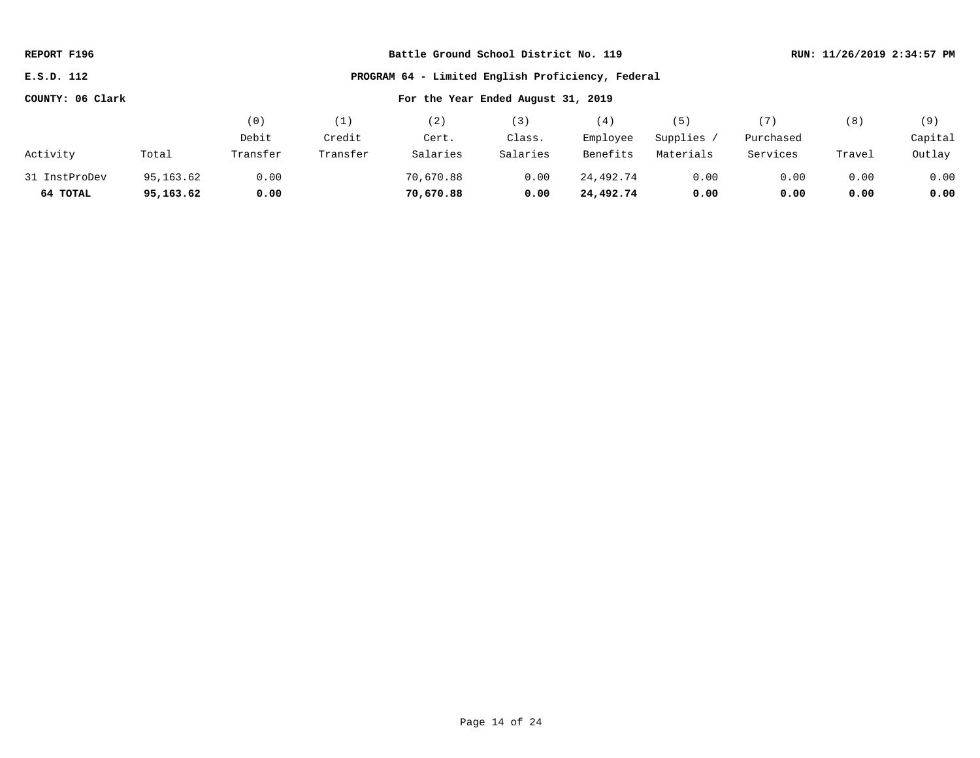| REPORT F196      |           |          |          | Battle Ground School District No. 119             | RUN: 11/26/2019 2:34:57 PM |           |            |           |        |         |
|------------------|-----------|----------|----------|---------------------------------------------------|----------------------------|-----------|------------|-----------|--------|---------|
| E.S.D. 112       |           |          |          | PROGRAM 64 - Limited English Proficiency, Federal |                            |           |            |           |        |         |
| COUNTY: 06 Clark |           |          |          |                                                   |                            |           |            |           |        |         |
|                  |           | (0)      | (1)      | (2)                                               | (3)                        | (4)       | (5)        | (7)       | (8)    | (9)     |
|                  |           | Debit    | Credit   | Cert.                                             | Class.                     | Employee  | Supplies / | Purchased |        | Capital |
| Activity         | Total     | Transfer | Transfer | Salaries                                          | Salaries                   | Benefits  | Materials  | Services  | Travel | Outlay  |
| 31 InstProDev    | 95,163.62 | 0.00     |          | 70,670.88                                         | 0.00                       | 24,492.74 | 0.00       | 0.00      | 0.00   | 0.00    |
| 64 TOTAL         | 95,163.62 | 0.00     |          | 70,670.88                                         | 0.00                       | 24,492.74 | 0.00       | 0.00      | 0.00   | 0.00    |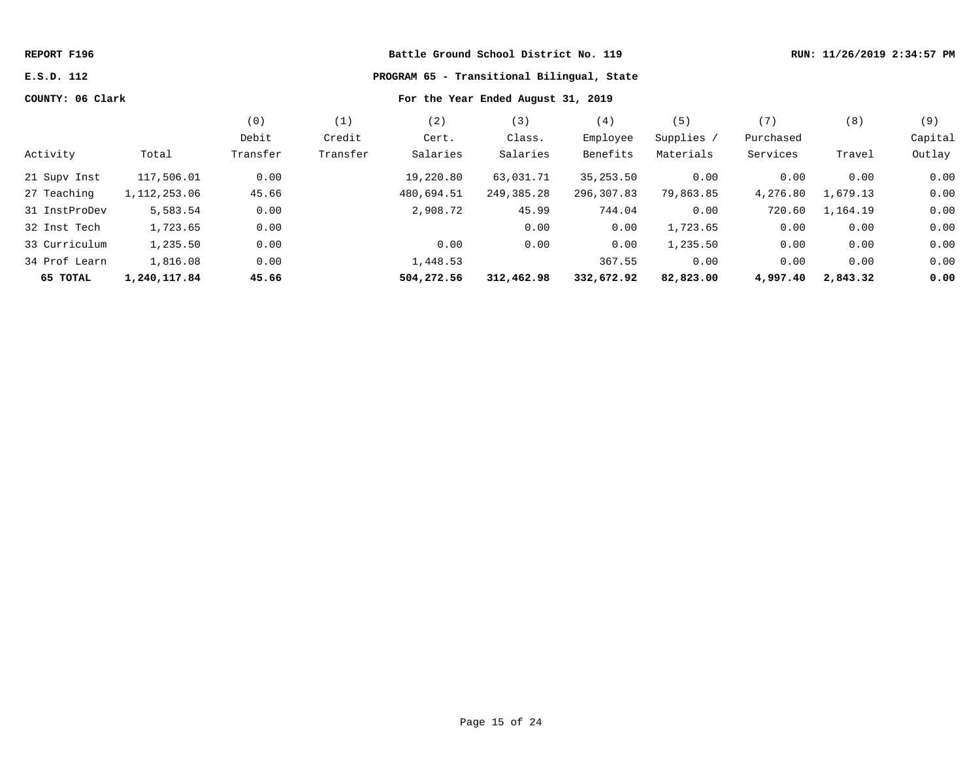| REPORT F196      |                |          |          |                                    | Battle Ground School District No. 119 |            |            |           | RUN: 11/26/2019 2:34:57 PM |         |
|------------------|----------------|----------|----------|------------------------------------|---------------------------------------|------------|------------|-----------|----------------------------|---------|
| E.S.D. 112       |                |          |          |                                    |                                       |            |            |           |                            |         |
| COUNTY: 06 Clark |                |          |          | For the Year Ended August 31, 2019 |                                       |            |            |           |                            |         |
|                  |                | (0)      | (1)      | (2)                                | (3)                                   | (4)        | (5)        | (7)       | (8)                        | (9)     |
|                  |                | Debit    | Credit   | Cert.                              | Class.                                | Employee   | Supplies / | Purchased |                            | Capital |
| Activity         | Total          | Transfer | Transfer | Salaries                           | Salaries                              | Benefits   | Materials  | Services  | Travel                     | Outlay  |
| 21 Supv Inst     | 117,506.01     | 0.00     |          | 19,220.80                          | 63,031.71                             | 35,253.50  | 0.00       | 0.00      | 0.00                       | 0.00    |
| 27 Teaching      | 1, 112, 253.06 | 45.66    |          | 480,694.51                         | 249,385.28                            | 296,307.83 | 79,863.85  | 4,276.80  | 1,679.13                   | 0.00    |
| 31 InstProDev    | 5,583.54       | 0.00     |          | 2,908.72                           | 45.99                                 | 744.04     | 0.00       | 720.60    | 1,164.19                   | 0.00    |
| 32 Inst Tech     | 1,723.65       | 0.00     |          |                                    | 0.00                                  | 0.00       | 1,723.65   | 0.00      | 0.00                       | 0.00    |
| 33 Curriculum    | 1,235.50       | 0.00     |          | 0.00                               | 0.00                                  | 0.00       | 1,235.50   | 0.00      | 0.00                       | 0.00    |
| 34 Prof Learn    | 1,816.08       | 0.00     |          | 1,448.53                           |                                       | 367.55     | 0.00       | 0.00      | 0.00                       | 0.00    |
| 65 TOTAL         | 1,240,117.84   | 45.66    |          | 504,272.56                         | 312,462.98                            | 332,672.92 | 82,823.00  | 4,997.40  | 2,843.32                   | 0.00    |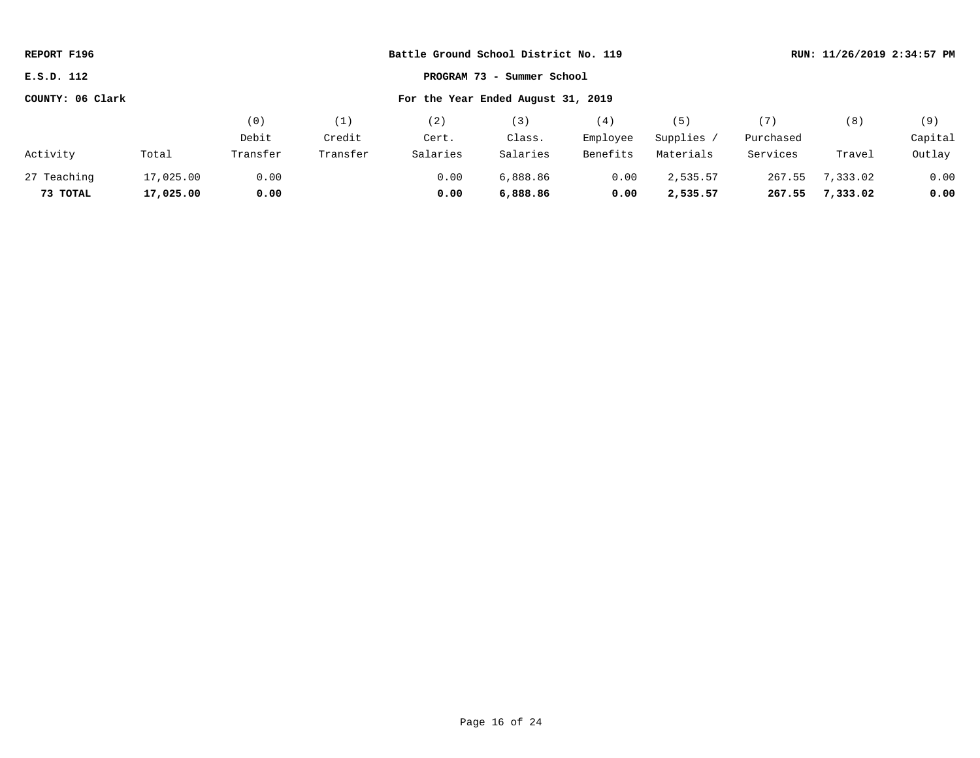| REPORT F196      |           |          |                                    | Battle Ground School District No. 119 | RUN: 11/26/2019 2:34:57 PM |          |            |           |          |         |
|------------------|-----------|----------|------------------------------------|---------------------------------------|----------------------------|----------|------------|-----------|----------|---------|
| E.S.D. 112       |           |          |                                    |                                       | PROGRAM 73 - Summer School |          |            |           |          |         |
| COUNTY: 06 Clark |           |          | For the Year Ended August 31, 2019 |                                       |                            |          |            |           |          |         |
|                  |           | (0)      | (1)                                | (2)                                   | (3)                        | (4)      | (5)        | (7)       | (8)      | (9)     |
|                  |           | Debit    | Credit                             | Cert.                                 | Class.                     | Employee | Supplies / | Purchased |          | Capital |
| Activity         | Total     | Transfer | Transfer                           | Salaries                              | Salaries                   | Benefits | Materials  | Services  | Travel   | Outlay  |
| 27 Teaching      | 17,025.00 | 0.00     |                                    | 0.00                                  | 6,888.86                   | 0.00     | 2,535.57   | 267.55    | 7,333.02 | 0.00    |
| 73 TOTAL         | 17,025.00 | 0.00     |                                    | 0.00                                  | 6,888.86                   | 0.00     | 2,535.57   | 267.55    | 7,333.02 | 0.00    |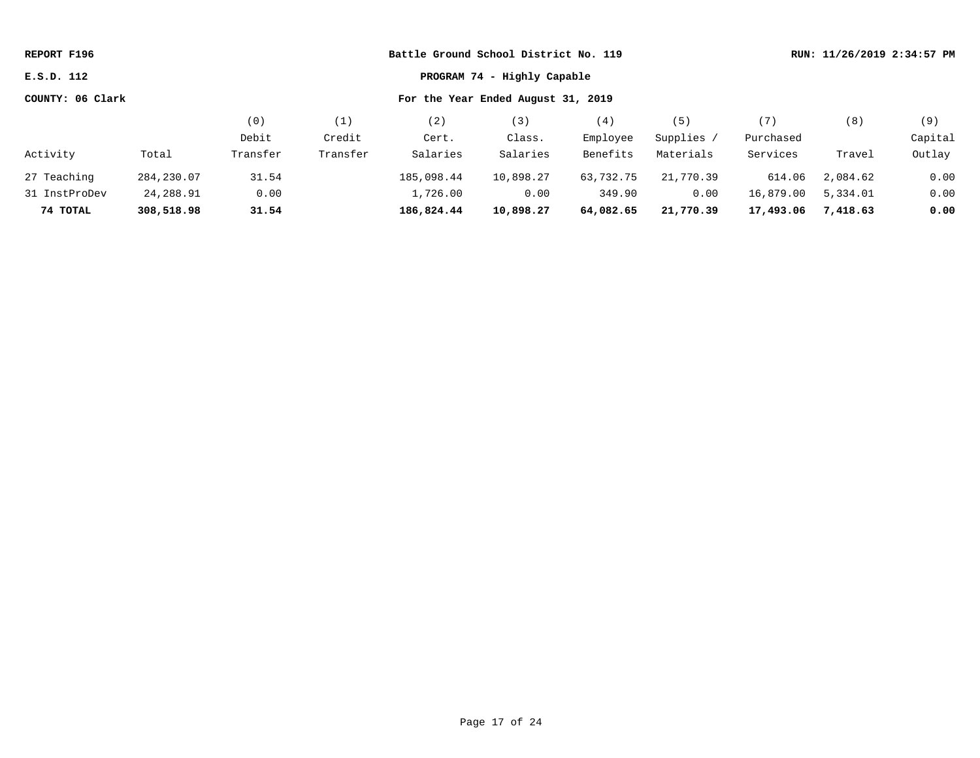| REPORT F196                               |            |          |          | Battle Ground School District No. 119 |                                    |           |            |           | RUN: 11/26/2019 2:34:57 PM |         |  |
|-------------------------------------------|------------|----------|----------|---------------------------------------|------------------------------------|-----------|------------|-----------|----------------------------|---------|--|
| PROGRAM 74 - Highly Capable<br>E.S.D. 112 |            |          |          |                                       |                                    |           |            |           |                            |         |  |
| COUNTY: 06 Clark                          |            |          |          |                                       | For the Year Ended August 31, 2019 |           |            |           |                            |         |  |
|                                           |            | (0)      | (1)      | (2)                                   | (3)                                | (4)       | (5)        | (7)       | (8)                        | (9)     |  |
|                                           |            | Debit    | Credit   | Cert.                                 | Class.                             | Employee  | Supplies / | Purchased |                            | Capital |  |
| Activity                                  | Total      | Transfer | Transfer | Salaries                              | Salaries                           | Benefits  | Materials  | Services  | Travel                     | Outlay  |  |
| 27 Teaching                               | 284,230.07 | 31.54    |          | 185,098.44                            | 10,898.27                          | 63,732.75 | 21,770.39  | 614.06    | 2,084.62                   | 0.00    |  |
| 31 InstProDev                             | 24,288.91  | 0.00     |          | 1,726.00                              | 0.00                               | 349.90    | 0.00       | 16,879.00 | 5,334.01                   | 0.00    |  |
| 74 TOTAL                                  | 308,518.98 | 31.54    |          | 186,824.44                            | 10,898.27                          | 64,082.65 | 21,770.39  | 17,493.06 | 7,418.63                   | 0.00    |  |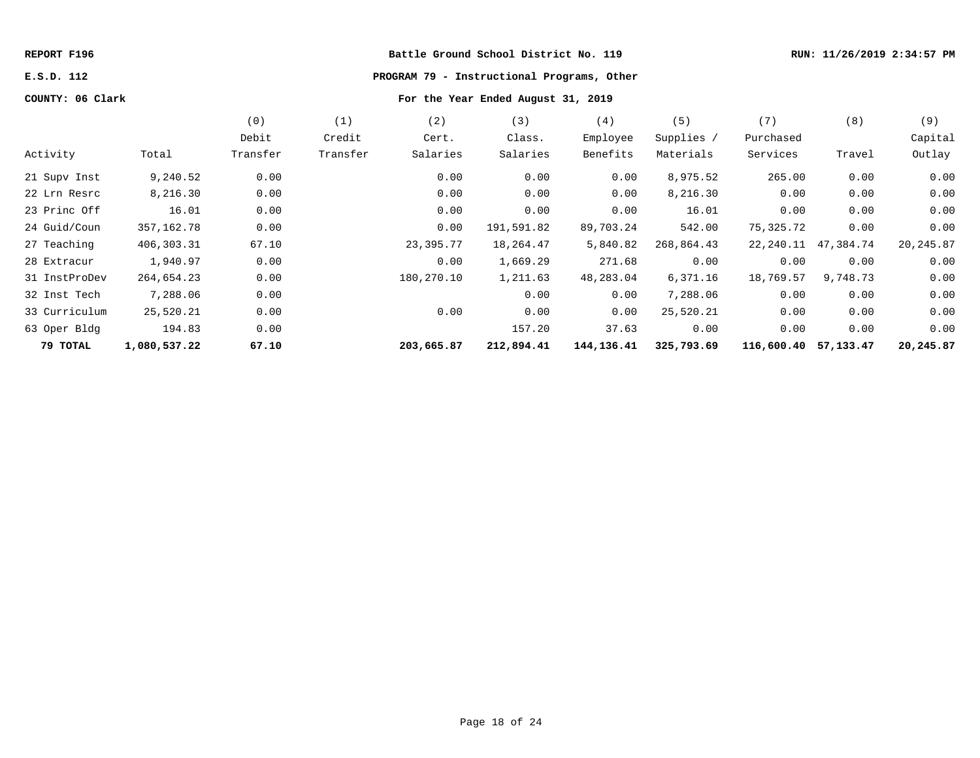# **E.S.D. 112 PROGRAM 79 - Instructional Programs, Other**

|               |              | (0)      | (1)      | (2)        | (3)        | (4)        | (5)        | (7)        | (8)       | (9)       |
|---------------|--------------|----------|----------|------------|------------|------------|------------|------------|-----------|-----------|
|               |              | Debit    | Credit   | Cert.      | Class.     | Employee   | Supplies / | Purchased  |           | Capital   |
| Activity      | Total        | Transfer | Transfer | Salaries   | Salaries   | Benefits   | Materials  | Services   | Travel    | Outlay    |
| 21 Supv Inst  | 9,240.52     | 0.00     |          | 0.00       | 0.00       | 0.00       | 8,975.52   | 265.00     | 0.00      | 0.00      |
| 22 Lrn Resrc  | 8,216.30     | 0.00     |          | 0.00       | 0.00       | 0.00       | 8,216.30   | 0.00       | 0.00      | 0.00      |
| 23 Princ Off  | 16.01        | 0.00     |          | 0.00       | 0.00       | 0.00       | 16.01      | 0.00       | 0.00      | 0.00      |
| 24 Guid/Coun  | 357,162.78   | 0.00     |          | 0.00       | 191,591.82 | 89,703.24  | 542.00     | 75,325.72  | 0.00      | 0.00      |
| 27 Teaching   | 406,303.31   | 67.10    |          | 23,395.77  | 18,264.47  | 5,840.82   | 268,864.43 | 22,240.11  | 47,384.74 | 20,245.87 |
| 28 Extracur   | 1,940.97     | 0.00     |          | 0.00       | 1,669.29   | 271.68     | 0.00       | 0.00       | 0.00      | 0.00      |
| 31 InstProDev | 264,654.23   | 0.00     |          | 180,270.10 | 1,211.63   | 48,283.04  | 6,371.16   | 18,769.57  | 9,748.73  | 0.00      |
| 32 Inst Tech  | 7,288.06     | 0.00     |          |            | 0.00       | 0.00       | 7,288.06   | 0.00       | 0.00      | 0.00      |
| 33 Curriculum | 25,520.21    | 0.00     |          | 0.00       | 0.00       | 0.00       | 25,520.21  | 0.00       | 0.00      | 0.00      |
| 63 Oper Bldg  | 194.83       | 0.00     |          |            | 157.20     | 37.63      | 0.00       | 0.00       | 0.00      | 0.00      |
| 79 ТОТАL      | 1,080,537.22 | 67.10    |          | 203,665.87 | 212,894.41 | 144,136.41 | 325,793.69 | 116,600.40 | 57,133.47 | 20,245.87 |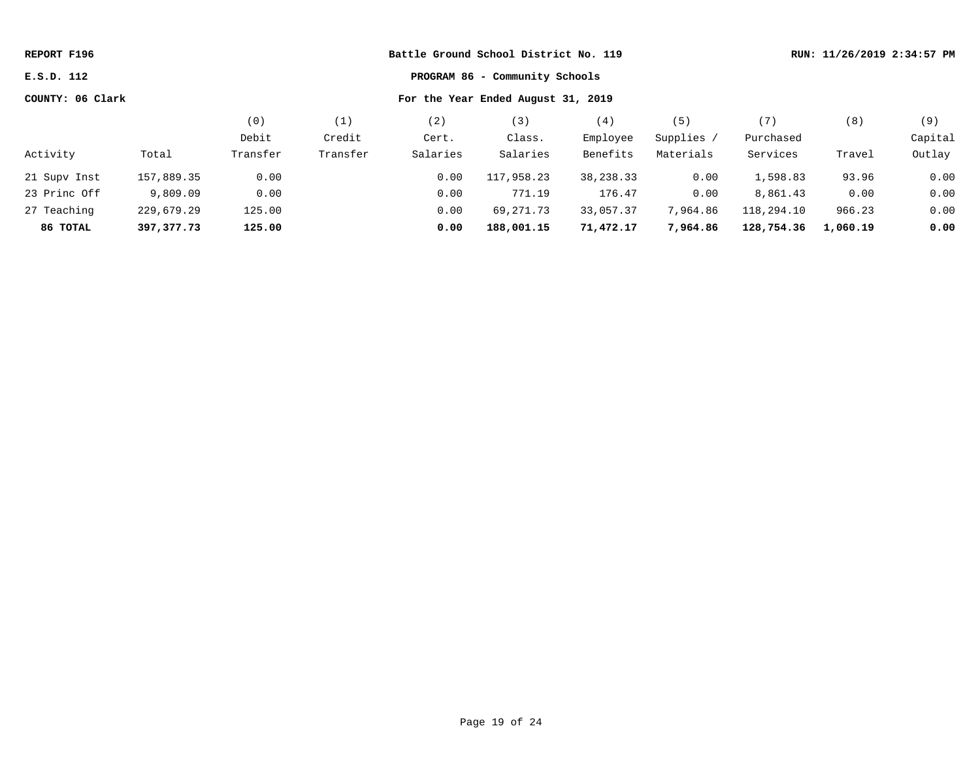| Battle Ground School District No. 119<br>REPORT F196 |            |          |          |          |                                    |           |            |            | RUN: 11/26/2019 2:34:57 PM |         |
|------------------------------------------------------|------------|----------|----------|----------|------------------------------------|-----------|------------|------------|----------------------------|---------|
| PROGRAM 86 - Community Schools<br>E.S.D. 112         |            |          |          |          |                                    |           |            |            |                            |         |
| COUNTY: 06 Clark                                     |            |          |          |          | For the Year Ended August 31, 2019 |           |            |            |                            |         |
|                                                      |            | (0)      | (1)      | (2)      | (3)                                | (4)       | (5)        | (7)        | (8)                        | (9)     |
|                                                      |            | Debit    | Credit   | Cert.    | Class.                             | Employee  | Supplies / | Purchased  |                            | Capital |
| Activity                                             | Total      | Transfer | Transfer | Salaries | Salaries                           | Benefits  | Materials  | Services   | Travel                     | Outlay  |
| 21 Supv Inst                                         | 157,889.35 | 0.00     |          | 0.00     | 117,958.23                         | 38,238.33 | 0.00       | 1,598.83   | 93.96                      | 0.00    |
| 23 Princ Off                                         | 9,809.09   | 0.00     |          | 0.00     | 771.19                             | 176.47    | 0.00       | 8,861.43   | 0.00                       | 0.00    |
| 27 Teaching                                          | 229,679.29 | 125.00   |          | 0.00     | 69,271.73                          | 33,057.37 | 7,964.86   | 118,294.10 | 966.23                     | 0.00    |
| 86 TOTAL                                             | 397,377.73 | 125.00   |          | 0.00     | 188,001.15                         | 71,472.17 | 7,964.86   | 128,754.36 | 1,060.19                   | 0.00    |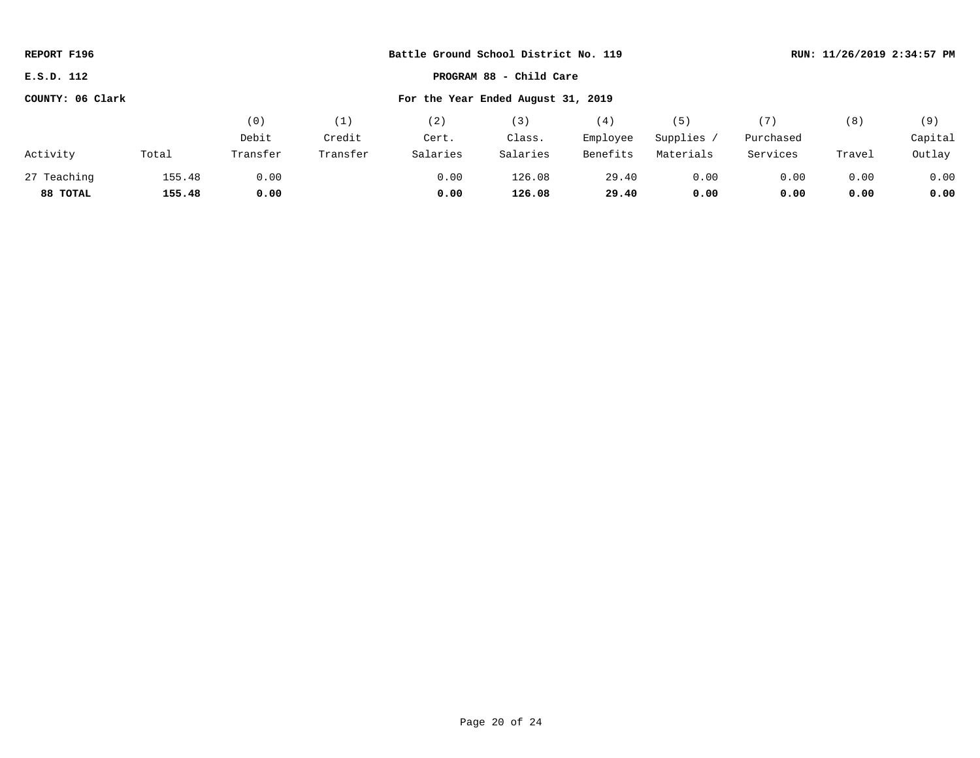| REPORT F196                                            |        |          |          | Battle Ground School District No. 119 |                         | RUN: 11/26/2019 2:34:57 PM |            |           |        |         |
|--------------------------------------------------------|--------|----------|----------|---------------------------------------|-------------------------|----------------------------|------------|-----------|--------|---------|
| E.S.D. 112                                             |        |          |          |                                       | PROGRAM 88 - Child Care |                            |            |           |        |         |
| For the Year Ended August 31, 2019<br>COUNTY: 06 Clark |        |          |          |                                       |                         |                            |            |           |        |         |
|                                                        |        | (0)      | (1)      | (2)                                   | (3)                     | (4)                        | (5)        | (7)       | (8)    | (9)     |
|                                                        |        | Debit    | Credit   | Cert.                                 | Class.                  | Employee                   | Supplies / | Purchased |        | Capital |
| Activity                                               | Total  | Transfer | Transfer | Salaries                              | Salaries                | Benefits                   | Materials  | Services  | Travel | Outlay  |
| 27 Teaching                                            | 155.48 | 0.00     |          | 0.00                                  | 126.08                  | 29.40                      | 0.00       | 0.00      | 0.00   | 0.00    |
| 88 TOTAL                                               | 155.48 | 0.00     |          | 0.00                                  | 126.08                  | 29.40                      | 0.00       | 0.00      | 0.00   | 0.00    |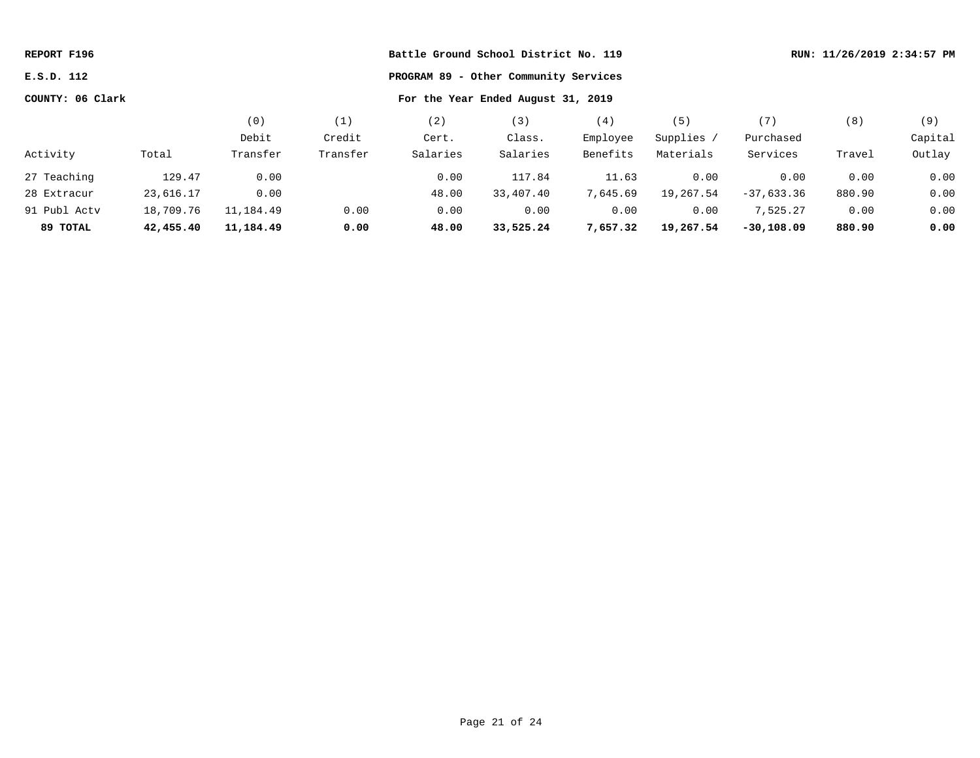| REPORT F196      |           |           |          | Battle Ground School District No. 119 |                                    |          |            |              |        | RUN: 11/26/2019 2:34:57 PM |
|------------------|-----------|-----------|----------|---------------------------------------|------------------------------------|----------|------------|--------------|--------|----------------------------|
| E.S.D. 112       |           |           |          |                                       |                                    |          |            |              |        |                            |
| COUNTY: 06 Clark |           |           |          |                                       | For the Year Ended August 31, 2019 |          |            |              |        |                            |
|                  |           | (0)       | (1)      | (2)                                   | (3)                                | (4)      | (5)        | (7)          | (8)    | (9)                        |
|                  |           | Debit     | Credit   | Cert.                                 | Class.                             | Employee | Supplies / | Purchased    |        | Capital                    |
| Activity         | Total     | Transfer  | Transfer | Salaries                              | Salaries                           | Benefits | Materials  | Services     | Travel | Outlay                     |
| 27 Teaching      | 129.47    | 0.00      |          | 0.00                                  | 117.84                             | 11.63    | 0.00       | 0.00         | 0.00   | 0.00                       |
| 28 Extracur      | 23,616.17 | 0.00      |          | 48.00                                 | 33,407.40                          | 7,645.69 | 19,267.54  | $-37,633.36$ | 880.90 | 0.00                       |
| 91 Publ Acty     | 18,709.76 | 11,184.49 | 0.00     | 0.00                                  | 0.00                               | 0.00     | 0.00       | 7,525.27     | 0.00   | 0.00                       |
| 89 TOTAL         | 42,455.40 | 11,184.49 | 0.00     | 48.00                                 | 33,525.24                          | 7,657.32 | 19,267.54  | $-30,108.09$ | 880.90 | 0.00                       |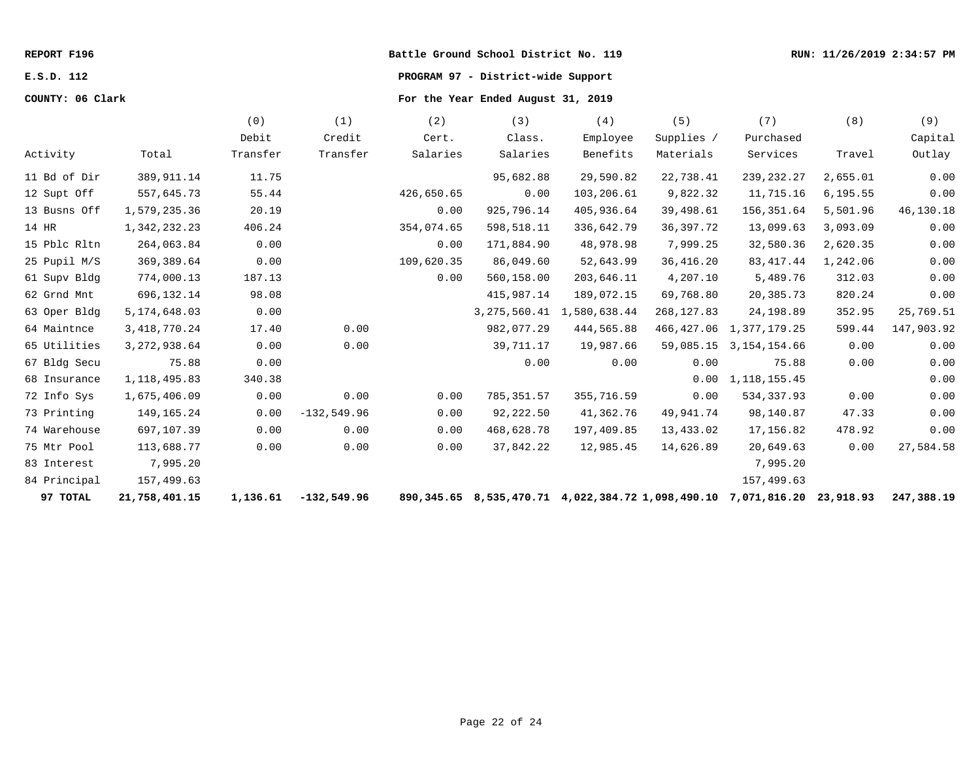# **E.S.D. 112 PROGRAM 97 - District-wide Support**

|              |                 | (0)      | (1)           | (2)        | (3)            | (4)                                                            | (5)         | (7)                        | (8)       | (9)        |
|--------------|-----------------|----------|---------------|------------|----------------|----------------------------------------------------------------|-------------|----------------------------|-----------|------------|
|              |                 | Debit    | Credit        | Cert.      | Class.         | Employee                                                       | Supplies /  | Purchased                  |           | Capital    |
| Activity     | Total           | Transfer | Transfer      | Salaries   | Salaries       | Benefits                                                       | Materials   | Services                   | Travel    | Outlay     |
| 11 Bd of Dir | 389, 911.14     | 11.75    |               |            | 95,682.88      | 29,590.82                                                      | 22,738.41   | 239, 232. 27               | 2,655.01  | 0.00       |
| 12 Supt Off  | 557,645.73      | 55.44    |               | 426,650.65 | 0.00           | 103,206.61                                                     | 9,822.32    | 11,715.16                  | 6, 195.55 | 0.00       |
| 13 Busns Off | 1,579,235.36    | 20.19    |               | 0.00       | 925,796.14     | 405,936.64                                                     | 39,498.61   | 156,351.64                 | 5,501.96  | 46,130.18  |
| 14 HR        | 1,342,232.23    | 406.24   |               | 354,074.65 | 598,518.11     | 336,642.79                                                     | 36, 397. 72 | 13,099.63                  | 3,093.09  | 0.00       |
| 15 Pblc Rltn | 264,063.84      | 0.00     |               | 0.00       | 171,884.90     | 48,978.98                                                      | 7,999.25    | 32,580.36                  | 2,620.35  | 0.00       |
| 25 Pupil M/S | 369, 389.64     | 0.00     |               | 109,620.35 | 86,049.60      | 52,643.99                                                      | 36,416.20   | 83, 417. 44                | 1,242.06  | 0.00       |
| 61 Supv Bldg | 774,000.13      | 187.13   |               | 0.00       | 560,158.00     | 203,646.11                                                     | 4,207.10    | 5,489.76                   | 312.03    | 0.00       |
| 62 Grnd Mnt  | 696, 132. 14    | 98.08    |               |            | 415,987.14     | 189,072.15                                                     | 69,768.80   | 20,385.73                  | 820.24    | 0.00       |
| 63 Oper Bldg | 5, 174, 648.03  | 0.00     |               |            | 3, 275, 560.41 | 1,580,638.44                                                   | 268, 127.83 | 24, 198.89                 | 352.95    | 25,769.51  |
| 64 Maintnce  | 3, 418, 770. 24 | 17.40    | 0.00          |            | 982,077.29     | 444,565.88                                                     |             | 466, 427.06 1, 377, 179.25 | 599.44    | 147,903.92 |
| 65 Utilities | 3, 272, 938.64  | 0.00     | 0.00          |            | 39,711.17      | 19,987.66                                                      | 59,085.15   | 3, 154, 154.66             | 0.00      | 0.00       |
| 67 Bldg Secu | 75.88           | 0.00     |               |            | 0.00           | 0.00                                                           | 0.00        | 75.88                      | 0.00      | 0.00       |
| 68 Insurance | 1, 118, 495.83  | 340.38   |               |            |                |                                                                | 0.00        | 1, 118, 155. 45            |           | 0.00       |
| 72 Info Sys  | 1,675,406.09    | 0.00     | 0.00          | 0.00       | 785,351.57     | 355,716.59                                                     | 0.00        | 534,337.93                 | 0.00      | 0.00       |
| 73 Printing  | 149,165.24      | 0.00     | $-132,549.96$ | 0.00       | 92,222.50      | 41,362.76                                                      | 49,941.74   | 98,140.87                  | 47.33     | 0.00       |
| 74 Warehouse | 697,107.39      | 0.00     | 0.00          | 0.00       | 468,628.78     | 197,409.85                                                     | 13,433.02   | 17,156.82                  | 478.92    | 0.00       |
| 75 Mtr Pool  | 113,688.77      | 0.00     | 0.00          | 0.00       | 37,842.22      | 12,985.45                                                      | 14,626.89   | 20,649.63                  | 0.00      | 27,584.58  |
| 83 Interest  | 7,995.20        |          |               |            |                |                                                                |             | 7,995.20                   |           |            |
| 84 Principal | 157,499.63      |          |               |            |                |                                                                |             | 157,499.63                 |           |            |
| 97 TOTAL     | 21,758,401.15   | 1,136.61 | $-132,549.96$ |            |                | 890,345.65 8,535,470.71 4,022,384.72 1,098,490.10 7,071,816.20 |             |                            | 23,918.93 | 247,388.19 |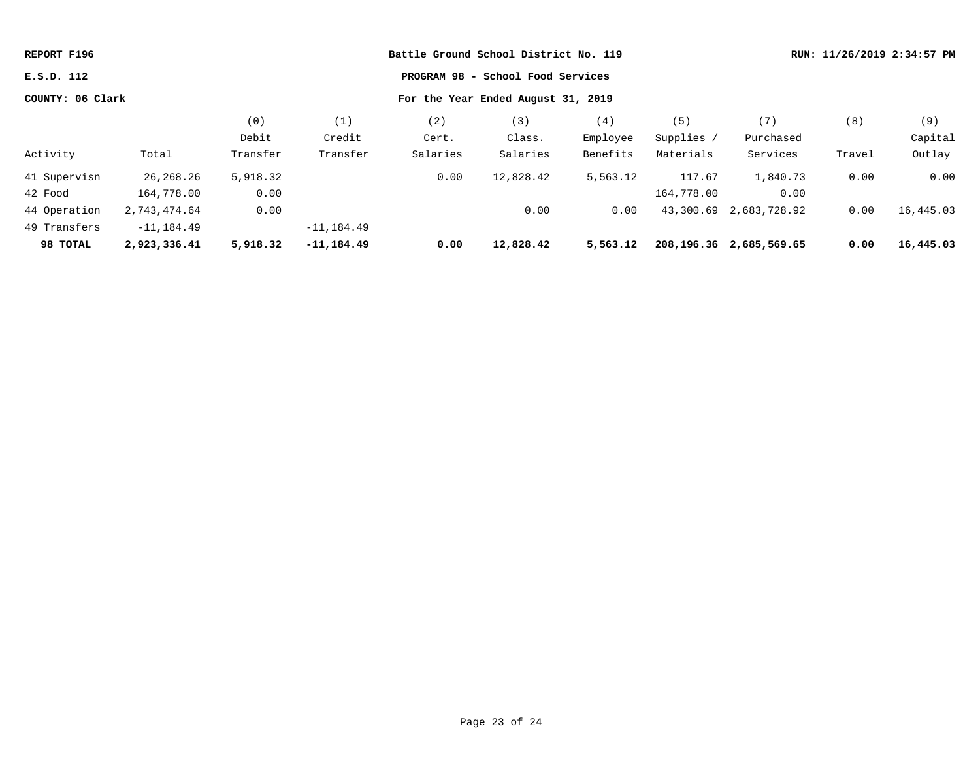| REPORT F196      |               |          |               | Battle Ground School District No. 119 |                                    | RUN: 11/26/2019 2:34:57 PM |            |                              |        |           |
|------------------|---------------|----------|---------------|---------------------------------------|------------------------------------|----------------------------|------------|------------------------------|--------|-----------|
| E.S.D. 112       |               |          |               |                                       | PROGRAM 98 - School Food Services  |                            |            |                              |        |           |
| COUNTY: 06 Clark |               |          |               |                                       | For the Year Ended August 31, 2019 |                            |            |                              |        |           |
|                  |               | (0)      | (1)           | (2)                                   | (3)                                | (4)                        | (5)        | (7)                          | (8)    | (9)       |
|                  |               | Debit    | Credit        | Cert.                                 | Class.                             | Employee                   | Supplies / | Purchased                    |        | Capital   |
| Activity         | Total         | Transfer | Transfer      | Salaries                              | Salaries                           | Benefits                   | Materials  | Services                     | Travel | Outlay    |
| 41 Supervisn     | 26, 268. 26   | 5,918.32 |               | 0.00                                  | 12,828.42                          | 5,563.12                   | 117.67     | 1,840.73                     | 0.00   | 0.00      |
| 42 Food          | 164,778.00    | 0.00     |               |                                       |                                    |                            | 164,778.00 | 0.00                         |        |           |
| 44 Operation     | 2,743,474.64  | 0.00     |               |                                       | 0.00                               | 0.00                       |            | 43,300.69 2,683,728.92       | 0.00   | 16,445.03 |
| 49 Transfers     | $-11, 184.49$ |          | $-11, 184.49$ |                                       |                                    |                            |            |                              |        |           |
| 98 TOTAL         | 2,923,336.41  | 5,918.32 | $-11, 184.49$ | 0.00                                  | 12,828.42                          | 5,563.12                   |            | 208, 196. 36 2, 685, 569. 65 | 0.00   | 16,445.03 |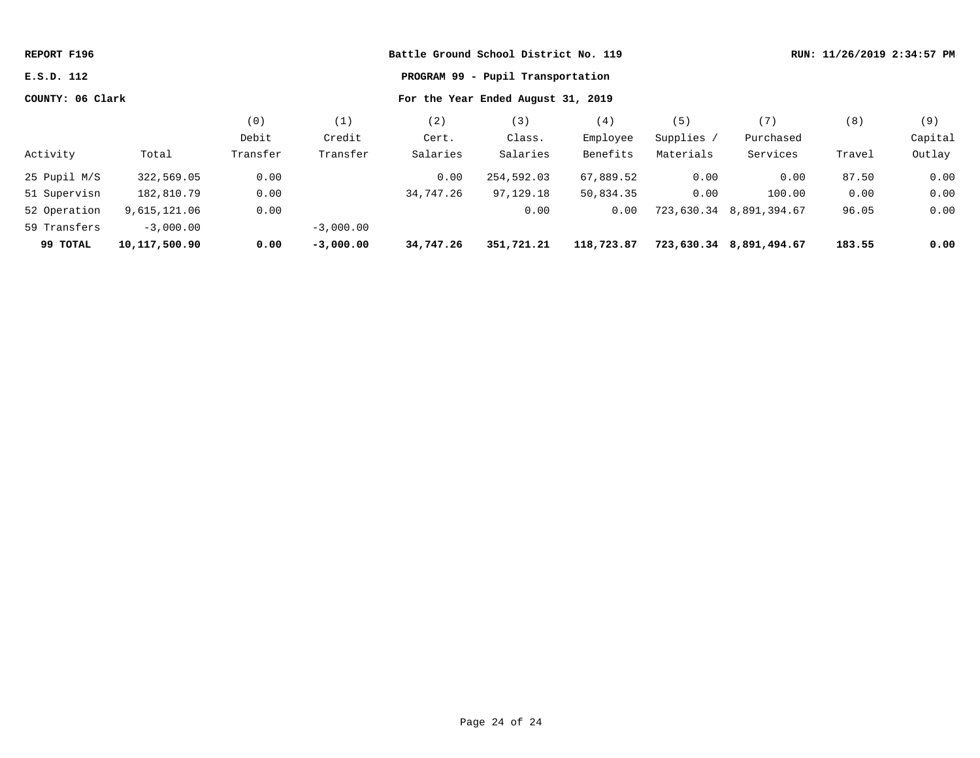| REPORT F196      |                 |          |             |           | Battle Ground School District No. 119 |            |            |              | RUN: 11/26/2019 2:34:57 PM |         |
|------------------|-----------------|----------|-------------|-----------|---------------------------------------|------------|------------|--------------|----------------------------|---------|
| E.S.D. 112       |                 |          |             |           | PROGRAM 99 - Pupil Transportation     |            |            |              |                            |         |
| COUNTY: 06 Clark |                 |          |             |           | For the Year Ended August 31, 2019    |            |            |              |                            |         |
|                  |                 | (0)      | (1)         | (2)       | (3)                                   | (4)        | (5)        | (7)          | (8)                        | (9)     |
|                  |                 | Debit    | Credit      | Cert.     | Class.                                | Employee   | Supplies / | Purchased    |                            | Capital |
| Activity         | Total           | Transfer | Transfer    | Salaries  | Salaries                              | Benefits   | Materials  | Services     | Travel                     | Outlay  |
| 25 Pupil M/S     | 322,569.05      | 0.00     |             | 0.00      | 254,592.03                            | 67,889.52  | 0.00       | 0.00         | 87.50                      | 0.00    |
| 51 Supervisn     | 182,810.79      | 0.00     |             | 34,747.26 | 97,129.18                             | 50,834.35  | 0.00       | 100.00       | 0.00                       | 0.00    |
| 52 Operation     | 9,615,121.06    | 0.00     |             |           | 0.00                                  | 0.00       | 723,630.34 | 8,891,394.67 | 96.05                      | 0.00    |
| 59 Transfers     | $-3,000.00$     |          | $-3,000.00$ |           |                                       |            |            |              |                            |         |
| 99 TOTAL         | 10, 117, 500.90 | 0.00     | $-3,000.00$ | 34,747.26 | 351,721.21                            | 118,723.87 | 723,630.34 | 8,891,494.67 | 183.55                     | 0.00    |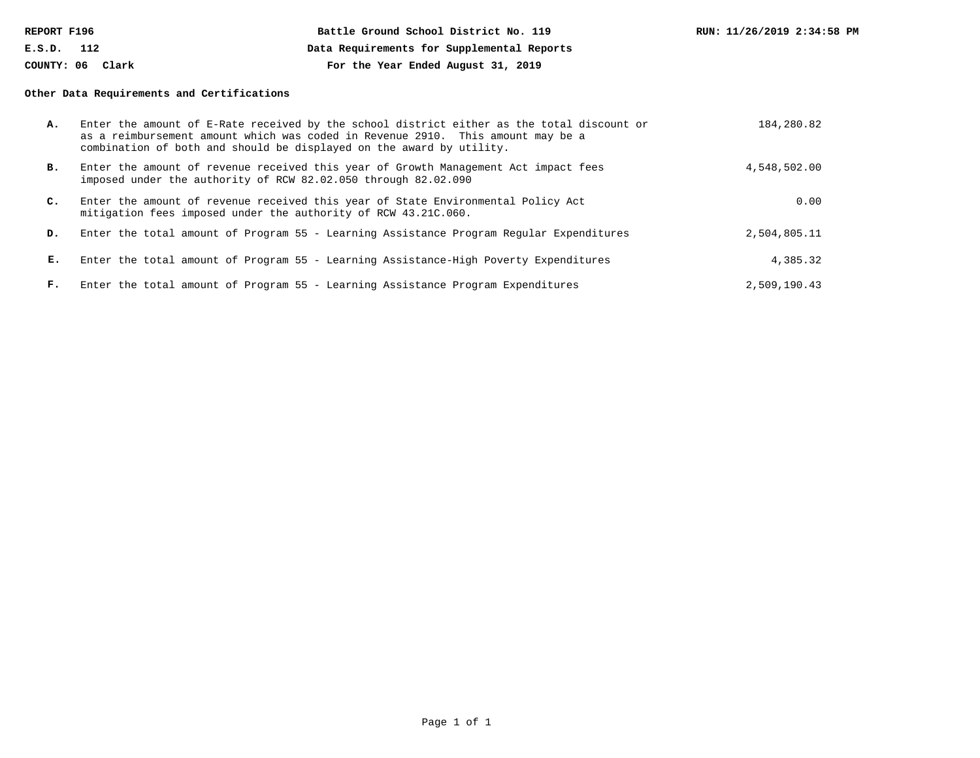| REPORT F196      | Battle Ground School District No. 119      | RUN: 11/26/2019 2:34:58 PM |
|------------------|--------------------------------------------|----------------------------|
| E.S.D.<br>112    | Data Requirements for Supplemental Reports |                            |
| COUNTY: 06 Clark | For the Year Ended August 31, 2019         |                            |

### **Other Data Requirements and Certifications**

| А.             | Enter the amount of E-Rate received by the school district either as the total discount or<br>as a reimbursement amount which was coded in Revenue 2910. This amount may be a<br>combination of both and should be displayed on the award by utility. | 184,280.82   |
|----------------|-------------------------------------------------------------------------------------------------------------------------------------------------------------------------------------------------------------------------------------------------------|--------------|
| в.             | Enter the amount of revenue received this year of Growth Management Act impact fees<br>imposed under the authority of RCW 82.02.050 through 82.02.090                                                                                                 | 4,548,502.00 |
| $\mathbf{C}$ . | Enter the amount of revenue received this year of State Environmental Policy Act<br>mitigation fees imposed under the authority of RCW 43.21C.060.                                                                                                    | 0.00         |
| D.             | Enter the total amount of Program 55 - Learning Assistance Program Regular Expenditures                                                                                                                                                               | 2,504,805.11 |
| Е.             | Enter the total amount of Program 55 - Learning Assistance-High Poverty Expenditures                                                                                                                                                                  | 4,385.32     |
| F.             | Enter the total amount of Program 55 - Learning Assistance Program Expenditures                                                                                                                                                                       | 2,509,190.43 |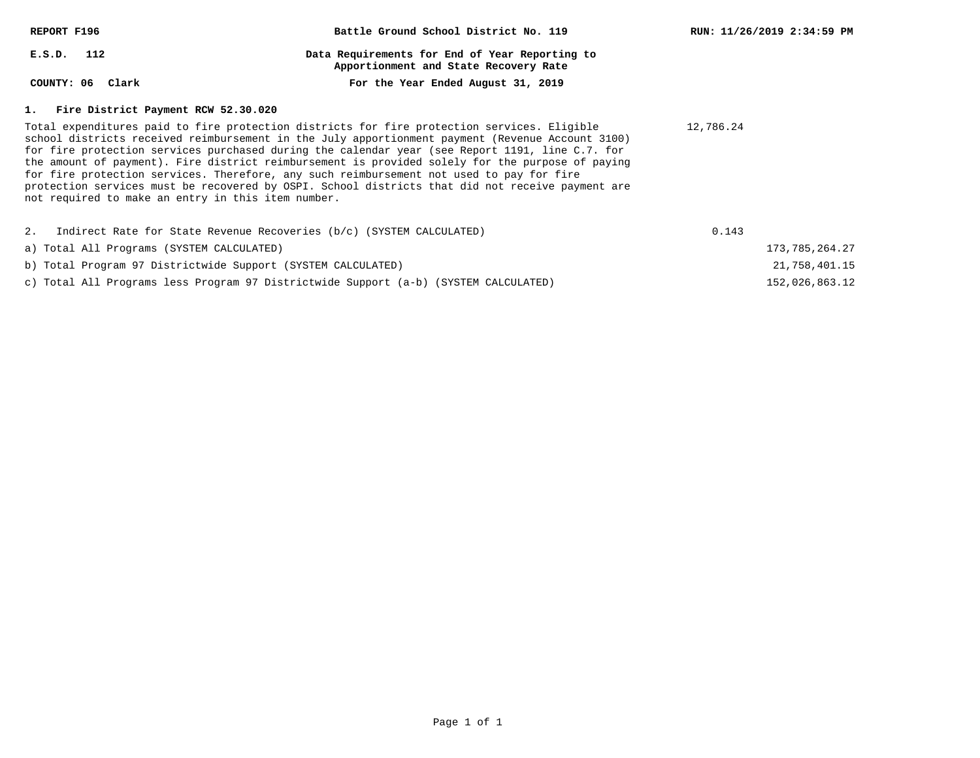| REPORT F196                                                                                                                                                                                                                                                                                                                                                                                                                                                                                                                                                                                                                                                  | Battle Ground School District No. 119                                                   | RUN: 11/26/2019 2:34:59 PM |
|--------------------------------------------------------------------------------------------------------------------------------------------------------------------------------------------------------------------------------------------------------------------------------------------------------------------------------------------------------------------------------------------------------------------------------------------------------------------------------------------------------------------------------------------------------------------------------------------------------------------------------------------------------------|-----------------------------------------------------------------------------------------|----------------------------|
| $E.S.D.$ 112                                                                                                                                                                                                                                                                                                                                                                                                                                                                                                                                                                                                                                                 | Data Requirements for End of Year Reporting to<br>Apportionment and State Recovery Rate |                            |
| COUNTY: 06 Clark                                                                                                                                                                                                                                                                                                                                                                                                                                                                                                                                                                                                                                             | For the Year Ended August 31, 2019                                                      |                            |
| 1. Fire District Payment RCW 52.30.020                                                                                                                                                                                                                                                                                                                                                                                                                                                                                                                                                                                                                       |                                                                                         |                            |
| Total expenditures paid to fire protection districts for fire protection services. Eligible<br>school districts received reimbursement in the July apportionment payment (Revenue Account 3100)<br>for fire protection services purchased during the calendar year (see Report 1191, line C.7. for<br>the amount of payment). Fire district reimbursement is provided solely for the purpose of paying<br>for fire protection services. Therefore, any such reimbursement not used to pay for fire<br>protection services must be recovered by OSPI. School districts that did not receive payment are<br>not required to make an entry in this item number. | 12,786.24                                                                               |                            |
| 2. Indirect Rate for State Revenue Recoveries (b/c) (SYSTEM CALCULATED)                                                                                                                                                                                                                                                                                                                                                                                                                                                                                                                                                                                      |                                                                                         | 0.143                      |
| a) Total All Programs (SYSTEM CALCULATED)                                                                                                                                                                                                                                                                                                                                                                                                                                                                                                                                                                                                                    |                                                                                         | 173,785,264.27             |
| b) Total Program 97 Districtwide Support (SYSTEM CALCULATED)                                                                                                                                                                                                                                                                                                                                                                                                                                                                                                                                                                                                 |                                                                                         | 21,758,401.15              |

152,026,863.12

c) Total All Programs less Program 97 Districtwide Support (a-b) (SYSTEM CALCULATED)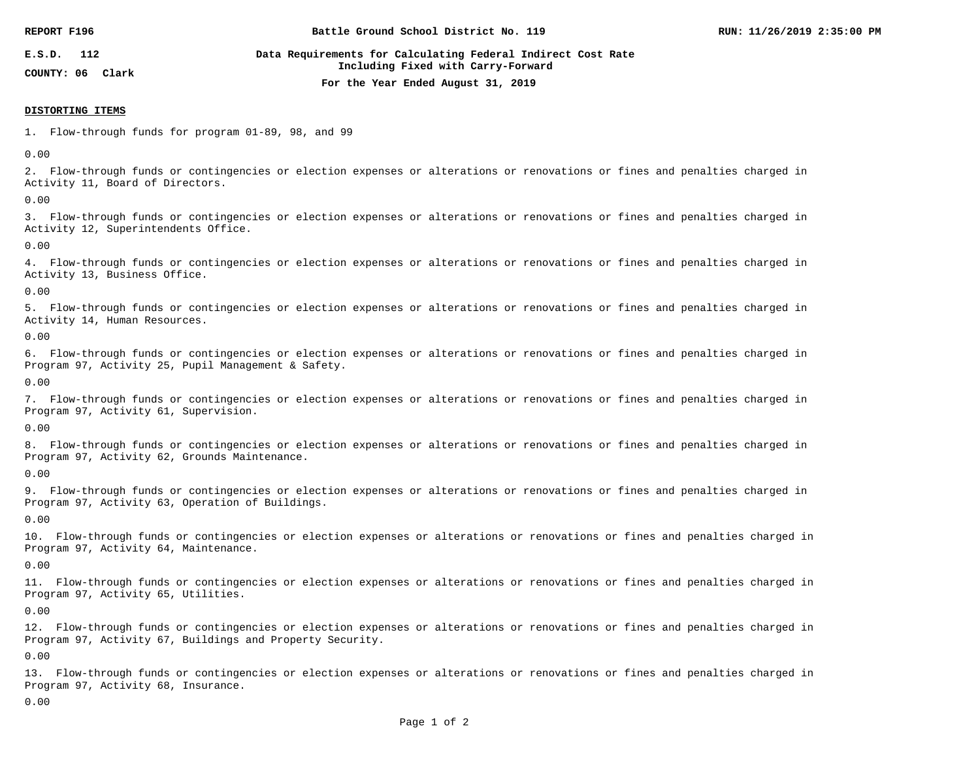| REPORT F196                          | Battle Ground School District No. 119                                                              | RUN: 11/26/2019 2:35:00 PM |
|--------------------------------------|----------------------------------------------------------------------------------------------------|----------------------------|
| E.S.D.<br>112<br>COUNTY: 06<br>Clark | Data Requirements for Calculating Federal Indirect Cost Rate<br>Including Fixed with Carry-Forward |                            |
|                                      | For the Year Ended August 31, 2019                                                                 |                            |

#### **DISTORTING ITEMS**

1. Flow-through funds for program 01-89, 98, and 99

0.00

2. Flow-through funds or contingencies or election expenses or alterations or renovations or fines and penalties charged in Activity 11, Board of Directors.

0.00

3. Flow-through funds or contingencies or election expenses or alterations or renovations or fines and penalties charged in Activity 12, Superintendents Office.

0.00

4. Flow-through funds or contingencies or election expenses or alterations or renovations or fines and penalties charged in Activity 13, Business Office.

0.00

5. Flow-through funds or contingencies or election expenses or alterations or renovations or fines and penalties charged in Activity 14, Human Resources.

0.00

6. Flow-through funds or contingencies or election expenses or alterations or renovations or fines and penalties charged in Program 97, Activity 25, Pupil Management & Safety.

0.00

7. Flow-through funds or contingencies or election expenses or alterations or renovations or fines and penalties charged in Program 97, Activity 61, Supervision.

0.00

8. Flow-through funds or contingencies or election expenses or alterations or renovations or fines and penalties charged in Program 97, Activity 62, Grounds Maintenance.

0.00

9. Flow-through funds or contingencies or election expenses or alterations or renovations or fines and penalties charged in Program 97, Activity 63, Operation of Buildings.

0.00

10. Flow-through funds or contingencies or election expenses or alterations or renovations or fines and penalties charged in Program 97, Activity 64, Maintenance.

0.00

11. Flow-through funds or contingencies or election expenses or alterations or renovations or fines and penalties charged in Program 97, Activity 65, Utilities.

0.00

12. Flow-through funds or contingencies or election expenses or alterations or renovations or fines and penalties charged in Program 97, Activity 67, Buildings and Property Security.

0.00

13. Flow-through funds or contingencies or election expenses or alterations or renovations or fines and penalties charged in Program 97, Activity 68, Insurance.

0.00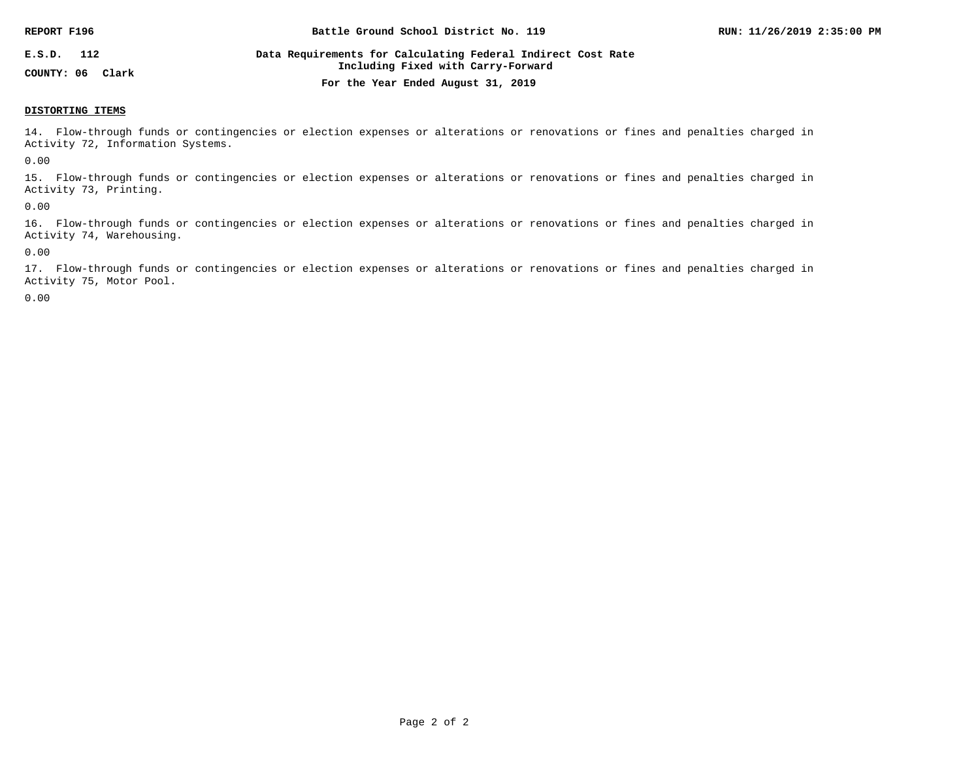| REPORT F196      | Battle Ground School District No. 119                                                              | RUN: 11/26/2019 2:35:00 PM |
|------------------|----------------------------------------------------------------------------------------------------|----------------------------|
| E.S.D.<br>112    | Data Requirements for Calculating Federal Indirect Cost Rate<br>Including Fixed with Carry-Forward |                            |
| COUNTY: 06 Clark | For the Year Ended August 31, 2019                                                                 |                            |

#### **DISTORTING ITEMS**

14. Flow-through funds or contingencies or election expenses or alterations or renovations or fines and penalties charged in Activity 72, Information Systems.

0.00

15. Flow-through funds or contingencies or election expenses or alterations or renovations or fines and penalties charged in Activity 73, Printing.

0.00

16. Flow-through funds or contingencies or election expenses or alterations or renovations or fines and penalties charged in Activity 74, Warehousing.

0.00

17. Flow-through funds or contingencies or election expenses or alterations or renovations or fines and penalties charged in Activity 75, Motor Pool.

0.00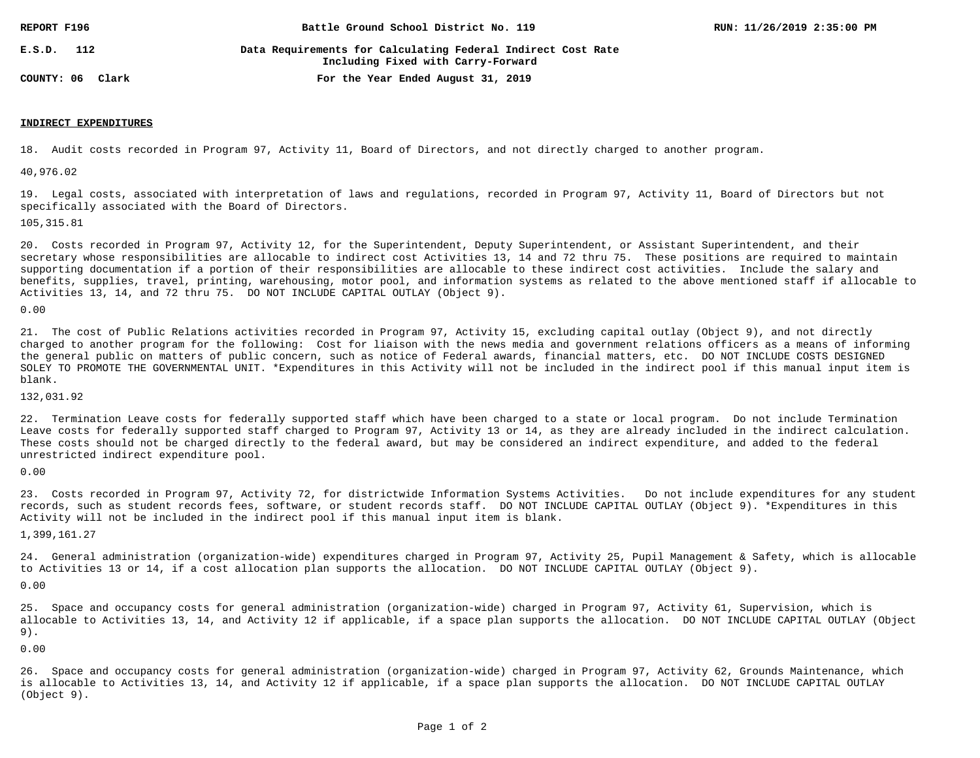| REPORT F196      | Battle Ground School District No. 119                                                              | RUN: 11/26/2019 2:35:00 PM |
|------------------|----------------------------------------------------------------------------------------------------|----------------------------|
| 112<br>E.S.D.    | Data Requirements for Calculating Federal Indirect Cost Rate<br>Including Fixed with Carry-Forward |                            |
| COUNTY: 06 Clark | For the Year Ended August 31, 2019                                                                 |                            |

#### **INDIRECT EXPENDITURES**

18. Audit costs recorded in Program 97, Activity 11, Board of Directors, and not directly charged to another program.

40,976.02

19. Legal costs, associated with interpretation of laws and regulations, recorded in Program 97, Activity 11, Board of Directors but not specifically associated with the Board of Directors.

105,315.81

20. Costs recorded in Program 97, Activity 12, for the Superintendent, Deputy Superintendent, or Assistant Superintendent, and their secretary whose responsibilities are allocable to indirect cost Activities 13, 14 and 72 thru 75. These positions are required to maintain supporting documentation if a portion of their responsibilities are allocable to these indirect cost activities. Include the salary and benefits, supplies, travel, printing, warehousing, motor pool, and information systems as related to the above mentioned staff if allocable to Activities 13, 14, and 72 thru 75. DO NOT INCLUDE CAPITAL OUTLAY (Object 9).

0.00

21. The cost of Public Relations activities recorded in Program 97, Activity 15, excluding capital outlay (Object 9), and not directly charged to another program for the following: Cost for liaison with the news media and government relations officers as a means of informing the general public on matters of public concern, such as notice of Federal awards, financial matters, etc. DO NOT INCLUDE COSTS DESIGNED SOLEY TO PROMOTE THE GOVERNMENTAL UNIT. \*Expenditures in this Activity will not be included in the indirect pool if this manual input item is blank.

132,031.92

22. Termination Leave costs for federally supported staff which have been charged to a state or local program. Do not include Termination Leave costs for federally supported staff charged to Program 97, Activity 13 or 14, as they are already included in the indirect calculation. These costs should not be charged directly to the federal award, but may be considered an indirect expenditure, and added to the federal unrestricted indirect expenditure pool.

0.00

23. Costs recorded in Program 97, Activity 72, for districtwide Information Systems Activities. Do not include expenditures for any student records, such as student records fees, software, or student records staff. DO NOT INCLUDE CAPITAL OUTLAY (Object 9). \*Expenditures in this Activity will not be included in the indirect pool if this manual input item is blank.

1,399,161.27

24. General administration (organization-wide) expenditures charged in Program 97, Activity 25, Pupil Management & Safety, which is allocable to Activities 13 or 14, if a cost allocation plan supports the allocation. DO NOT INCLUDE CAPITAL OUTLAY (Object 9).

0.00

25. Space and occupancy costs for general administration (organization-wide) charged in Program 97, Activity 61, Supervision, which is allocable to Activities 13, 14, and Activity 12 if applicable, if a space plan supports the allocation. DO NOT INCLUDE CAPITAL OUTLAY (Object 9).

0.00

26. Space and occupancy costs for general administration (organization-wide) charged in Program 97, Activity 62, Grounds Maintenance, which is allocable to Activities 13, 14, and Activity 12 if applicable, if a space plan supports the allocation. DO NOT INCLUDE CAPITAL OUTLAY (Object 9).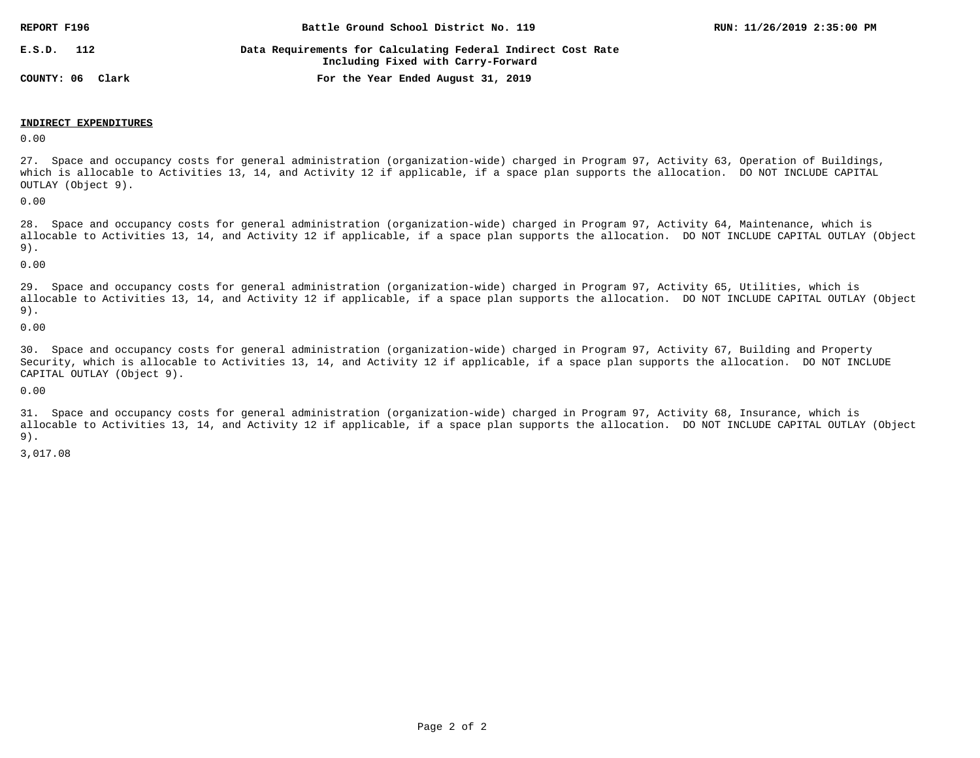| REPORT F196         | Battle Ground School District No. 119                                                              | RUN: 11/26/2019 2:35:00 PM |
|---------------------|----------------------------------------------------------------------------------------------------|----------------------------|
| E.S.D.<br>112       | Data Requirements for Calculating Federal Indirect Cost Rate<br>Including Fixed with Carry-Forward |                            |
| COUNTY: 06<br>Clark | For the Year Ended August 31, 2019                                                                 |                            |

#### **INDIRECT EXPENDITURES**

0.00

27. Space and occupancy costs for general administration (organization-wide) charged in Program 97, Activity 63, Operation of Buildings, which is allocable to Activities 13, 14, and Activity 12 if applicable, if a space plan supports the allocation. DO NOT INCLUDE CAPITAL OUTLAY (Object 9).

0.00

28. Space and occupancy costs for general administration (organization-wide) charged in Program 97, Activity 64, Maintenance, which is allocable to Activities 13, 14, and Activity 12 if applicable, if a space plan supports the allocation. DO NOT INCLUDE CAPITAL OUTLAY (Object 9).

0.00

29. Space and occupancy costs for general administration (organization-wide) charged in Program 97, Activity 65, Utilities, which is allocable to Activities 13, 14, and Activity 12 if applicable, if a space plan supports the allocation. DO NOT INCLUDE CAPITAL OUTLAY (Object 9).

0.00

30. Space and occupancy costs for general administration (organization-wide) charged in Program 97, Activity 67, Building and Property Security, which is allocable to Activities 13, 14, and Activity 12 if applicable, if a space plan supports the allocation. DO NOT INCLUDE CAPITAL OUTLAY (Object 9).

0.00

31. Space and occupancy costs for general administration (organization-wide) charged in Program 97, Activity 68, Insurance, which is allocable to Activities 13, 14, and Activity 12 if applicable, if a space plan supports the allocation. DO NOT INCLUDE CAPITAL OUTLAY (Object 9).

3,017.08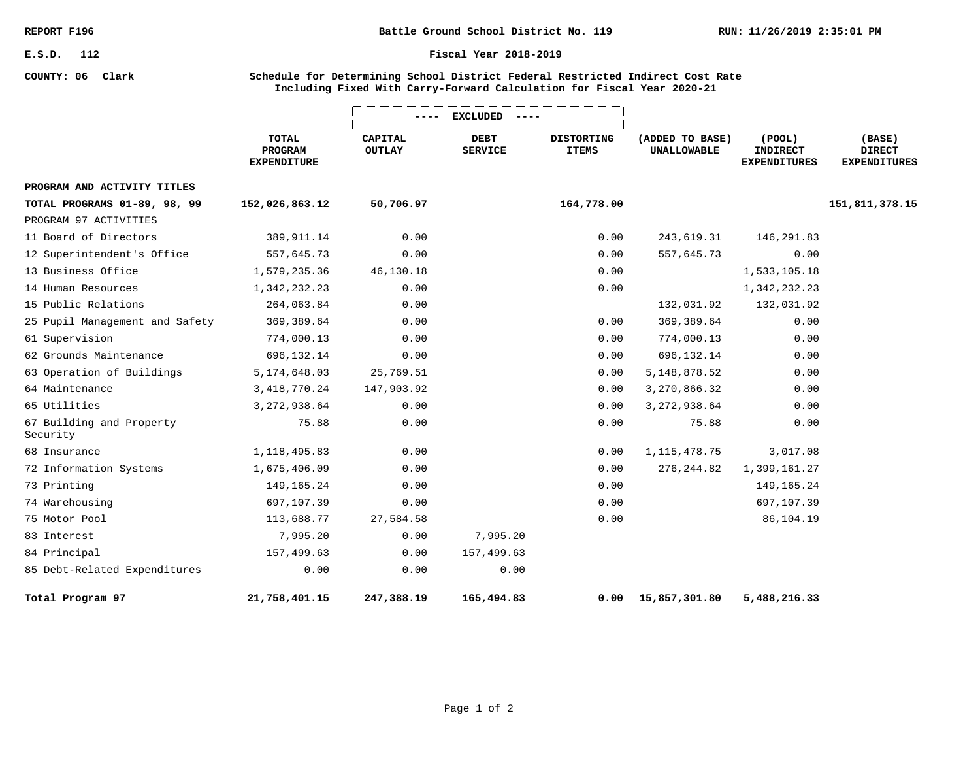**COUNTY: 06 Clark**

#### **Fiscal Year 2018-2019**

### **Schedule for Determining School District Federal Restricted Indirect Cost Rate Including Fixed With Carry-Forward Calculation for Fiscal Year 2020-21**

|                                      |                                               |                                 | <b>EXCLUDED</b>               |                                   |                                       |                                                        |                                                |
|--------------------------------------|-----------------------------------------------|---------------------------------|-------------------------------|-----------------------------------|---------------------------------------|--------------------------------------------------------|------------------------------------------------|
|                                      | <b>TOTAL</b><br>PROGRAM<br><b>EXPENDITURE</b> | <b>CAPITAL</b><br><b>OUTLAY</b> | <b>DEBT</b><br><b>SERVICE</b> | <b>DISTORTING</b><br><b>ITEMS</b> | (ADDED TO BASE)<br><b>UNALLOWABLE</b> | $($ POOL $)$<br><b>INDIRECT</b><br><b>EXPENDITURES</b> | (BASE)<br><b>DIRECT</b><br><b>EXPENDITURES</b> |
| PROGRAM AND ACTIVITY TITLES          |                                               |                                 |                               |                                   |                                       |                                                        |                                                |
| TOTAL PROGRAMS 01-89, 98, 99         | 152,026,863.12                                | 50,706.97                       |                               | 164,778.00                        |                                       |                                                        | 151,811,378.15                                 |
| PROGRAM 97 ACTIVITIES                |                                               |                                 |                               |                                   |                                       |                                                        |                                                |
| 11 Board of Directors                | 389,911.14                                    | 0.00                            |                               | 0.00                              | 243,619.31                            | 146,291.83                                             |                                                |
| 12 Superintendent's Office           | 557,645.73                                    | 0.00                            |                               | 0.00                              | 557,645.73                            | 0.00                                                   |                                                |
| 13 Business Office                   | 1,579,235.36                                  | 46,130.18                       |                               | 0.00                              |                                       | 1,533,105.18                                           |                                                |
| 14 Human Resources                   | 1,342,232.23                                  | 0.00                            |                               | 0.00                              |                                       | 1,342,232.23                                           |                                                |
| 15 Public Relations                  | 264,063.84                                    | 0.00                            |                               |                                   | 132,031.92                            | 132,031.92                                             |                                                |
| 25 Pupil Management and Safety       | 369, 389.64                                   | 0.00                            |                               | 0.00                              | 369, 389.64                           | 0.00                                                   |                                                |
| 61 Supervision                       | 774,000.13                                    | 0.00                            |                               | 0.00                              | 774,000.13                            | 0.00                                                   |                                                |
| 62 Grounds Maintenance               | 696,132.14                                    | 0.00                            |                               | 0.00                              | 696,132.14                            | 0.00                                                   |                                                |
| 63 Operation of Buildings            | 5, 174, 648.03                                | 25,769.51                       |                               | 0.00                              | 5, 148, 878.52                        | 0.00                                                   |                                                |
| 64 Maintenance                       | 3, 418, 770. 24                               | 147,903.92                      |                               | 0.00                              | 3,270,866.32                          | 0.00                                                   |                                                |
| 65 Utilities                         | 3, 272, 938.64                                | 0.00                            |                               | 0.00                              | 3, 272, 938.64                        | 0.00                                                   |                                                |
| 67 Building and Property<br>Security | 75.88                                         | 0.00                            |                               | 0.00                              | 75.88                                 | 0.00                                                   |                                                |
| 68 Insurance                         | 1, 118, 495.83                                | 0.00                            |                               | 0.00                              | 1, 115, 478. 75                       | 3,017.08                                               |                                                |
| 72 Information Systems               | 1,675,406.09                                  | 0.00                            |                               | 0.00                              | 276,244.82                            | 1,399,161.27                                           |                                                |
| 73 Printing                          | 149, 165. 24                                  | 0.00                            |                               | 0.00                              |                                       | 149, 165. 24                                           |                                                |
| 74 Warehousing                       | 697,107.39                                    | 0.00                            |                               | 0.00                              |                                       | 697,107.39                                             |                                                |
| 75 Motor Pool                        | 113,688.77                                    | 27,584.58                       |                               | 0.00                              |                                       | 86,104.19                                              |                                                |
| 83 Interest                          | 7,995.20                                      | 0.00                            | 7,995.20                      |                                   |                                       |                                                        |                                                |
| 84 Principal                         | 157,499.63                                    | 0.00                            | 157,499.63                    |                                   |                                       |                                                        |                                                |
| 85 Debt-Related Expenditures         | 0.00                                          | 0.00                            | 0.00                          |                                   |                                       |                                                        |                                                |
| Total Program 97                     | 21,758,401.15                                 | 247,388.19                      | 165,494.83                    | 0.00                              | 15,857,301.80                         | 5,488,216.33                                           |                                                |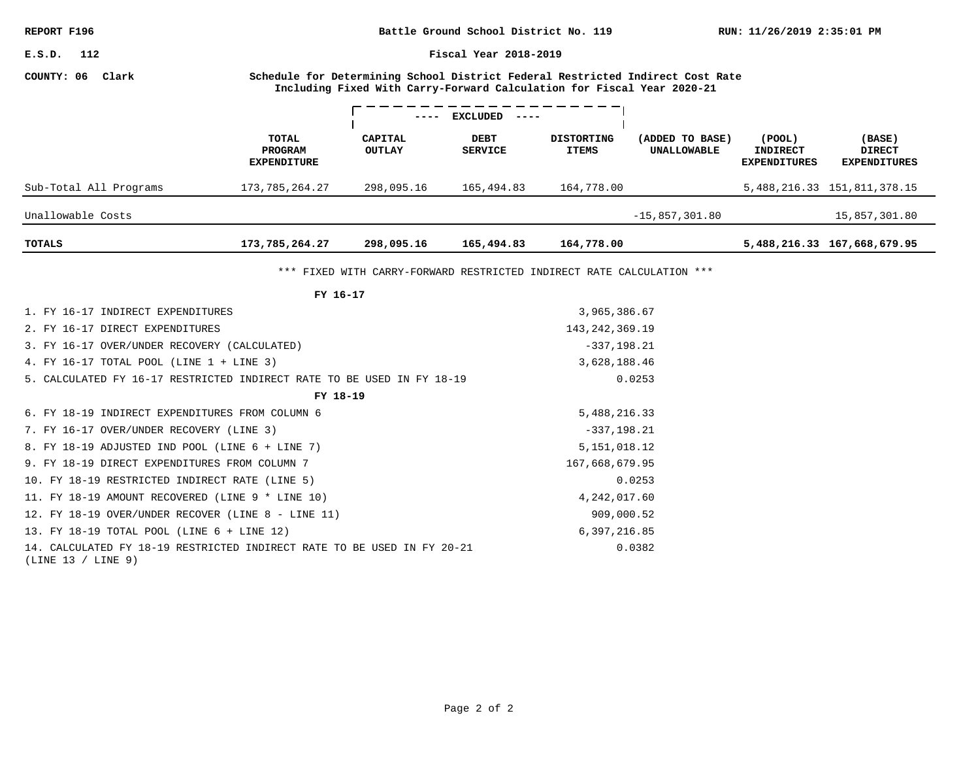**RUN: 11/26/2019 2:35:01 PM Battle Ground School District No. 119**

**Fiscal Year 2018-2019**

#### **COUNTY: 06 Clark**

**Schedule for Determining School District Federal Restricted Indirect Cost Rate Including Fixed With Carry-Forward Calculation for Fiscal Year 2020-21**

|                        |                                               | $ -$                     | <b>EXCLUDED</b><br>$- - - -$  |                                   |                                |                                                  |                                                |
|------------------------|-----------------------------------------------|--------------------------|-------------------------------|-----------------------------------|--------------------------------|--------------------------------------------------|------------------------------------------------|
|                        | TOTAL<br><b>PROGRAM</b><br><b>EXPENDITURE</b> | CAPITAL<br><b>OUTLAY</b> | <b>DEBT</b><br><b>SERVICE</b> | <b>DISTORTING</b><br><b>ITEMS</b> | (ADDED TO BASE)<br>UNALLOWABLE | (POOL)<br><b>INDIRECT</b><br><b>EXPENDITURES</b> | (BASE)<br><b>DIRECT</b><br><b>EXPENDITURES</b> |
| Sub-Total All Programs | 173,785,264.27                                | 298,095.16               | 165,494.83                    | 164,778.00                        |                                |                                                  | 5, 488, 216. 33 151, 811, 378. 15              |
| Unallowable Costs      |                                               |                          |                               |                                   | $-15,857,301.80$               |                                                  | 15,857,301.80                                  |
| TOTALS                 | 173,785,264.27                                | 298,095.16               | 165,494.83                    | 164,778.00                        |                                |                                                  | 5,488,216.33 167,668,679.95                    |

\*\*\* FIXED WITH CARRY-FORWARD RESTRICTED INDIRECT RATE CALCULATION \*\*\*

| FY 16-17                                                                                      |                   |  |  |  |  |  |
|-----------------------------------------------------------------------------------------------|-------------------|--|--|--|--|--|
| 1. FY 16-17 INDIRECT EXPENDITURES                                                             | 3,965,386.67      |  |  |  |  |  |
| 2. FY 16-17 DIRECT EXPENDITURES                                                               | 143, 242, 369. 19 |  |  |  |  |  |
| 3. FY 16-17 OVER/UNDER RECOVERY (CALCULATED)                                                  | $-337, 198.21$    |  |  |  |  |  |
| 4. FY 16-17 TOTAL POOL (LINE 1 + LINE 3)                                                      | 3,628,188.46      |  |  |  |  |  |
| 5. CALCULATED FY 16-17 RESTRICTED INDIRECT RATE TO BE USED IN FY 18-19                        | 0.0253            |  |  |  |  |  |
| FY 18-19                                                                                      |                   |  |  |  |  |  |
| 6. FY 18-19 INDIRECT EXPENDITURES FROM COLUMN 6                                               | 5,488,216.33      |  |  |  |  |  |
| 7. FY 16-17 OVER/UNDER RECOVERY (LINE 3)                                                      | $-337, 198.21$    |  |  |  |  |  |
| 8. FY 18-19 ADJUSTED IND POOL (LINE 6 + LINE 7)                                               | 5, 151, 018.12    |  |  |  |  |  |
| 9. FY 18-19 DIRECT EXPENDITURES FROM COLUMN 7                                                 | 167,668,679.95    |  |  |  |  |  |
| 10. FY 18-19 RESTRICTED INDIRECT RATE (LINE 5)                                                | 0.0253            |  |  |  |  |  |
| 11. FY 18-19 AMOUNT RECOVERED (LINE 9 * LINE 10)                                              | 4, 242, 017.60    |  |  |  |  |  |
| 12. FY 18-19 OVER/UNDER RECOVER (LINE 8 - LINE 11)                                            | 909,000.52        |  |  |  |  |  |
| 13. FY 18-19 TOTAL POOL (LINE 6 + LINE 12)                                                    | 6,397,216.85      |  |  |  |  |  |
| 14. CALCULATED FY 18-19 RESTRICTED INDIRECT RATE TO BE USED IN FY 20-21<br>(LINE 13 / LINE 9) | 0.0382            |  |  |  |  |  |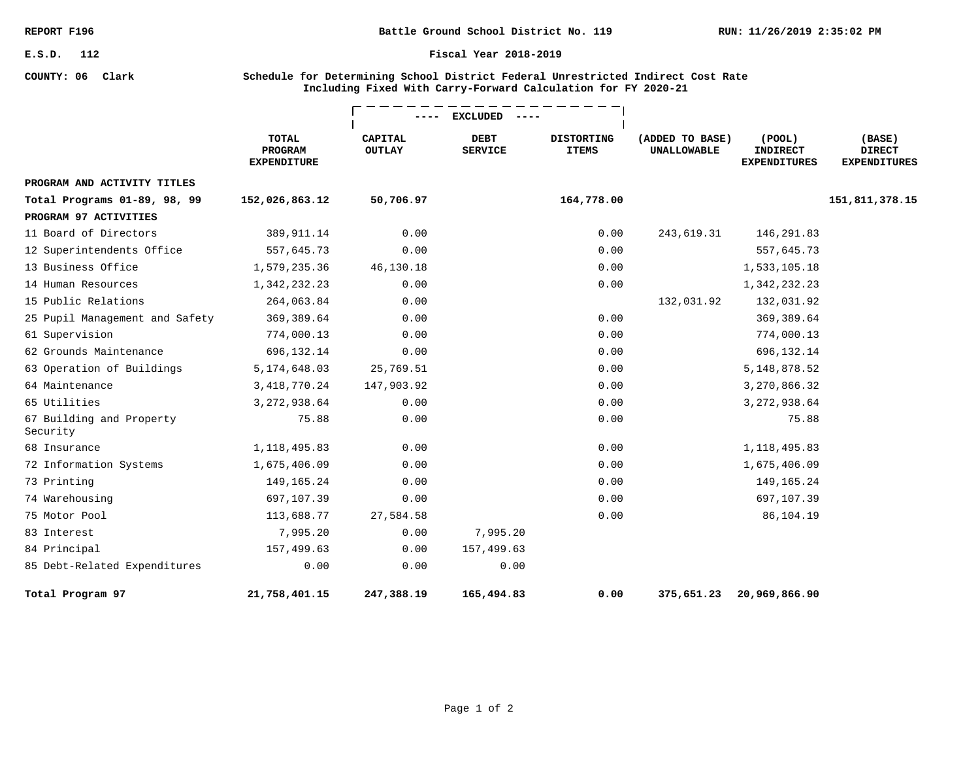**COUNTY: 06 Clark**

**Battle Ground School District No. 119**

#### **Fiscal Year 2018-2019**

### **Schedule for Determining School District Federal Unrestricted Indirect Cost Rate Including Fixed With Carry-Forward Calculation for FY 2020-21**

|                                      |                                               |                                 | <b>EXCLUDED</b>               |                                   |                                       |                                                        |                                                |
|--------------------------------------|-----------------------------------------------|---------------------------------|-------------------------------|-----------------------------------|---------------------------------------|--------------------------------------------------------|------------------------------------------------|
|                                      | <b>TOTAL</b><br>PROGRAM<br><b>EXPENDITURE</b> | <b>CAPITAL</b><br><b>OUTLAY</b> | <b>DEBT</b><br><b>SERVICE</b> | <b>DISTORTING</b><br><b>ITEMS</b> | (ADDED TO BASE)<br><b>UNALLOWABLE</b> | $($ POOL $)$<br><b>INDIRECT</b><br><b>EXPENDITURES</b> | (BASE)<br><b>DIRECT</b><br><b>EXPENDITURES</b> |
| PROGRAM AND ACTIVITY TITLES          |                                               |                                 |                               |                                   |                                       |                                                        |                                                |
| Total Programs 01-89, 98, 99         | 152,026,863.12                                | 50,706.97                       |                               | 164,778.00                        |                                       |                                                        | 151,811,378.15                                 |
| PROGRAM 97 ACTIVITIES                |                                               |                                 |                               |                                   |                                       |                                                        |                                                |
| 11 Board of Directors                | 389, 911.14                                   | 0.00                            |                               | 0.00                              | 243,619.31                            | 146,291.83                                             |                                                |
| 12 Superintendents Office            | 557,645.73                                    | 0.00                            |                               | 0.00                              |                                       | 557,645.73                                             |                                                |
| 13 Business Office                   | 1,579,235.36                                  | 46,130.18                       |                               | 0.00                              |                                       | 1,533,105.18                                           |                                                |
| 14 Human Resources                   | 1,342,232.23                                  | 0.00                            |                               | 0.00                              |                                       | 1,342,232.23                                           |                                                |
| 15 Public Relations                  | 264,063.84                                    | 0.00                            |                               |                                   | 132,031.92                            | 132,031.92                                             |                                                |
| 25 Pupil Management and Safety       | 369, 389.64                                   | 0.00                            |                               | 0.00                              |                                       | 369,389.64                                             |                                                |
| 61 Supervision                       | 774,000.13                                    | 0.00                            |                               | 0.00                              |                                       | 774,000.13                                             |                                                |
| 62 Grounds Maintenance               | 696,132.14                                    | 0.00                            |                               | 0.00                              |                                       | 696,132.14                                             |                                                |
| 63 Operation of Buildings            | 5, 174, 648.03                                | 25,769.51                       |                               | 0.00                              |                                       | 5, 148, 878.52                                         |                                                |
| 64 Maintenance                       | 3, 418, 770. 24                               | 147,903.92                      |                               | 0.00                              |                                       | 3,270,866.32                                           |                                                |
| 65 Utilities                         | 3, 272, 938.64                                | 0.00                            |                               | 0.00                              |                                       | 3, 272, 938.64                                         |                                                |
| 67 Building and Property<br>Security | 75.88                                         | 0.00                            |                               | 0.00                              |                                       | 75.88                                                  |                                                |
| 68 Insurance                         | 1, 118, 495.83                                | 0.00                            |                               | 0.00                              |                                       | 1, 118, 495.83                                         |                                                |
| 72 Information Systems               | 1,675,406.09                                  | 0.00                            |                               | 0.00                              |                                       | 1,675,406.09                                           |                                                |
| 73 Printing                          | 149,165.24                                    | 0.00                            |                               | 0.00                              |                                       | 149,165.24                                             |                                                |
| 74 Warehousing                       | 697,107.39                                    | 0.00                            |                               | 0.00                              |                                       | 697,107.39                                             |                                                |
| 75 Motor Pool                        | 113,688.77                                    | 27,584.58                       |                               | 0.00                              |                                       | 86,104.19                                              |                                                |
| 83 Interest                          | 7,995.20                                      | 0.00                            | 7,995.20                      |                                   |                                       |                                                        |                                                |
| 84 Principal                         | 157,499.63                                    | 0.00                            | 157,499.63                    |                                   |                                       |                                                        |                                                |
| 85 Debt-Related Expenditures         | 0.00                                          | 0.00                            | 0.00                          |                                   |                                       |                                                        |                                                |
| Total Program 97                     | 21,758,401.15                                 | 247,388.19                      | 165,494.83                    | 0.00                              | 375,651.23                            | 20,969,866.90                                          |                                                |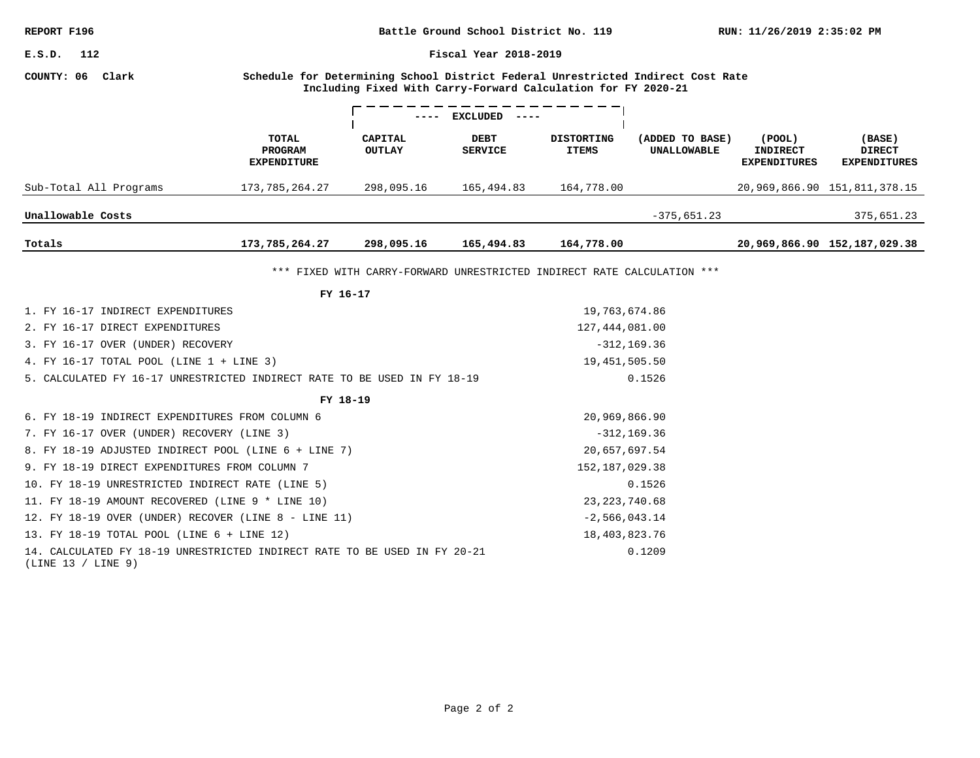| REPORT F196<br>Battle Ground School District No. 119                                                      |                                                                                                                                                                                                                                                                                                                                                                                                                                              |                                                                                                                                                 |                                                                                  | RUN: 11/26/2019 2:35:02 PM |                                                                                                                                                                                                                                                                                                                                                  |                                                                                            |  |  |
|-----------------------------------------------------------------------------------------------------------|----------------------------------------------------------------------------------------------------------------------------------------------------------------------------------------------------------------------------------------------------------------------------------------------------------------------------------------------------------------------------------------------------------------------------------------------|-------------------------------------------------------------------------------------------------------------------------------------------------|----------------------------------------------------------------------------------|----------------------------|--------------------------------------------------------------------------------------------------------------------------------------------------------------------------------------------------------------------------------------------------------------------------------------------------------------------------------------------------|--------------------------------------------------------------------------------------------|--|--|
| Fiscal Year 2018-2019<br>E.S.D. 112                                                                       |                                                                                                                                                                                                                                                                                                                                                                                                                                              |                                                                                                                                                 |                                                                                  |                            |                                                                                                                                                                                                                                                                                                                                                  |                                                                                            |  |  |
|                                                                                                           |                                                                                                                                                                                                                                                                                                                                                                                                                                              |                                                                                                                                                 |                                                                                  |                            |                                                                                                                                                                                                                                                                                                                                                  |                                                                                            |  |  |
| ---- EXCLUDED ----                                                                                        |                                                                                                                                                                                                                                                                                                                                                                                                                                              |                                                                                                                                                 |                                                                                  |                            |                                                                                                                                                                                                                                                                                                                                                  |                                                                                            |  |  |
| <b>PROGRAM</b><br><b>EXPENDITURE</b>                                                                      | <b>OUTLAY</b>                                                                                                                                                                                                                                                                                                                                                                                                                                | <b>SERVICE</b>                                                                                                                                  | <b>ITEMS</b>                                                                     | <b>UNALLOWABLE</b>         | <b>INDIRECT</b><br><b>EXPENDITURES</b>                                                                                                                                                                                                                                                                                                           | (BASE)<br><b>DIRECT</b><br><b>EXPENDITURES</b>                                             |  |  |
| 173,785,264.27                                                                                            | 298,095.16                                                                                                                                                                                                                                                                                                                                                                                                                                   | 165,494.83                                                                                                                                      | 164,778.00                                                                       |                            |                                                                                                                                                                                                                                                                                                                                                  | 20,969,866.90 151,811,378.15                                                               |  |  |
|                                                                                                           |                                                                                                                                                                                                                                                                                                                                                                                                                                              |                                                                                                                                                 |                                                                                  | $-375,651.23$              |                                                                                                                                                                                                                                                                                                                                                  | 375,651.23                                                                                 |  |  |
| 173,785,264.27                                                                                            | 298,095.16                                                                                                                                                                                                                                                                                                                                                                                                                                   | 165,494.83                                                                                                                                      | 164,778.00                                                                       |                            |                                                                                                                                                                                                                                                                                                                                                  | 20,969,866.90 152,187,029.38                                                               |  |  |
|                                                                                                           |                                                                                                                                                                                                                                                                                                                                                                                                                                              |                                                                                                                                                 |                                                                                  |                            |                                                                                                                                                                                                                                                                                                                                                  |                                                                                            |  |  |
|                                                                                                           |                                                                                                                                                                                                                                                                                                                                                                                                                                              |                                                                                                                                                 |                                                                                  |                            |                                                                                                                                                                                                                                                                                                                                                  |                                                                                            |  |  |
|                                                                                                           |                                                                                                                                                                                                                                                                                                                                                                                                                                              |                                                                                                                                                 |                                                                                  |                            |                                                                                                                                                                                                                                                                                                                                                  |                                                                                            |  |  |
|                                                                                                           |                                                                                                                                                                                                                                                                                                                                                                                                                                              |                                                                                                                                                 | 127,444,081.00                                                                   |                            |                                                                                                                                                                                                                                                                                                                                                  |                                                                                            |  |  |
|                                                                                                           |                                                                                                                                                                                                                                                                                                                                                                                                                                              |                                                                                                                                                 | $-312, 169.36$                                                                   |                            |                                                                                                                                                                                                                                                                                                                                                  |                                                                                            |  |  |
|                                                                                                           |                                                                                                                                                                                                                                                                                                                                                                                                                                              |                                                                                                                                                 |                                                                                  |                            |                                                                                                                                                                                                                                                                                                                                                  |                                                                                            |  |  |
|                                                                                                           |                                                                                                                                                                                                                                                                                                                                                                                                                                              |                                                                                                                                                 |                                                                                  |                            |                                                                                                                                                                                                                                                                                                                                                  |                                                                                            |  |  |
|                                                                                                           |                                                                                                                                                                                                                                                                                                                                                                                                                                              |                                                                                                                                                 |                                                                                  |                            |                                                                                                                                                                                                                                                                                                                                                  |                                                                                            |  |  |
|                                                                                                           |                                                                                                                                                                                                                                                                                                                                                                                                                                              |                                                                                                                                                 |                                                                                  |                            |                                                                                                                                                                                                                                                                                                                                                  |                                                                                            |  |  |
|                                                                                                           |                                                                                                                                                                                                                                                                                                                                                                                                                                              |                                                                                                                                                 |                                                                                  |                            |                                                                                                                                                                                                                                                                                                                                                  |                                                                                            |  |  |
|                                                                                                           |                                                                                                                                                                                                                                                                                                                                                                                                                                              |                                                                                                                                                 |                                                                                  |                            |                                                                                                                                                                                                                                                                                                                                                  |                                                                                            |  |  |
|                                                                                                           |                                                                                                                                                                                                                                                                                                                                                                                                                                              |                                                                                                                                                 |                                                                                  |                            |                                                                                                                                                                                                                                                                                                                                                  |                                                                                            |  |  |
|                                                                                                           |                                                                                                                                                                                                                                                                                                                                                                                                                                              |                                                                                                                                                 |                                                                                  |                            |                                                                                                                                                                                                                                                                                                                                                  |                                                                                            |  |  |
|                                                                                                           |                                                                                                                                                                                                                                                                                                                                                                                                                                              |                                                                                                                                                 |                                                                                  |                            |                                                                                                                                                                                                                                                                                                                                                  |                                                                                            |  |  |
|                                                                                                           |                                                                                                                                                                                                                                                                                                                                                                                                                                              |                                                                                                                                                 |                                                                                  |                            |                                                                                                                                                                                                                                                                                                                                                  |                                                                                            |  |  |
|                                                                                                           |                                                                                                                                                                                                                                                                                                                                                                                                                                              |                                                                                                                                                 |                                                                                  |                            |                                                                                                                                                                                                                                                                                                                                                  |                                                                                            |  |  |
| 14. CALCULATED FY 18-19 UNRESTRICTED INDIRECT RATE TO BE USED IN FY 20-21<br>0.1209<br>(LINE 13 / LINE 9) |                                                                                                                                                                                                                                                                                                                                                                                                                                              |                                                                                                                                                 |                                                                                  |                            |                                                                                                                                                                                                                                                                                                                                                  |                                                                                            |  |  |
|                                                                                                           |                                                                                                                                                                                                                                                                                                                                                                                                                                              |                                                                                                                                                 |                                                                                  |                            |                                                                                                                                                                                                                                                                                                                                                  |                                                                                            |  |  |
|                                                                                                           |                                                                                                                                                                                                                                                                                                                                                                                                                                              |                                                                                                                                                 |                                                                                  |                            |                                                                                                                                                                                                                                                                                                                                                  |                                                                                            |  |  |
|                                                                                                           | <b>TOTAL</b><br>1. FY 16-17 INDIRECT EXPENDITURES<br>3. FY 16-17 OVER (UNDER) RECOVERY<br>4. FY 16-17 TOTAL POOL (LINE $1 +$ LINE 3)<br>6. FY 18-19 INDIRECT EXPENDITURES FROM COLUMN 6<br>7. FY 16-17 OVER (UNDER) RECOVERY (LINE 3)<br>9. FY 18-19 DIRECT EXPENDITURES FROM COLUMN 7<br>10. FY 18-19 UNRESTRICTED INDIRECT RATE (LINE 5)<br>11. FY 18-19 AMOUNT RECOVERED (LINE 9 * LINE 10)<br>13. FY 18-19 TOTAL POOL (LINE 6 + LINE 12) | CAPITAL<br>FY 16-17<br>FY 18-19<br>8. FY 18-19 ADJUSTED INDIRECT POOL (LINE 6 + LINE 7)<br>12. FY 18-19 OVER (UNDER) RECOVER (LINE 8 - LINE 11) | DEBT<br>5. CALCULATED FY 16-17 UNRESTRICTED INDIRECT RATE TO BE USED IN FY 18-19 | <b>DISTORTING</b>          | Including Fixed With Carry-Forward Calculation for FY 2020-21<br>(ADDED TO BASE)<br>*** FIXED WITH CARRY-FORWARD UNRESTRICTED INDIRECT RATE CALCULATION ***<br>19,763,674.86<br>19,451,505.50<br>0.1526<br>20,969,866.90<br>$-312, 169.36$<br>20,657,697.54<br>152, 187, 029.38<br>0.1526<br>23, 223, 740.68<br>$-2,566,043.14$<br>18,403,823.76 | Schedule for Determining School District Federal Unrestricted Indirect Cost Rate<br>(POOL) |  |  |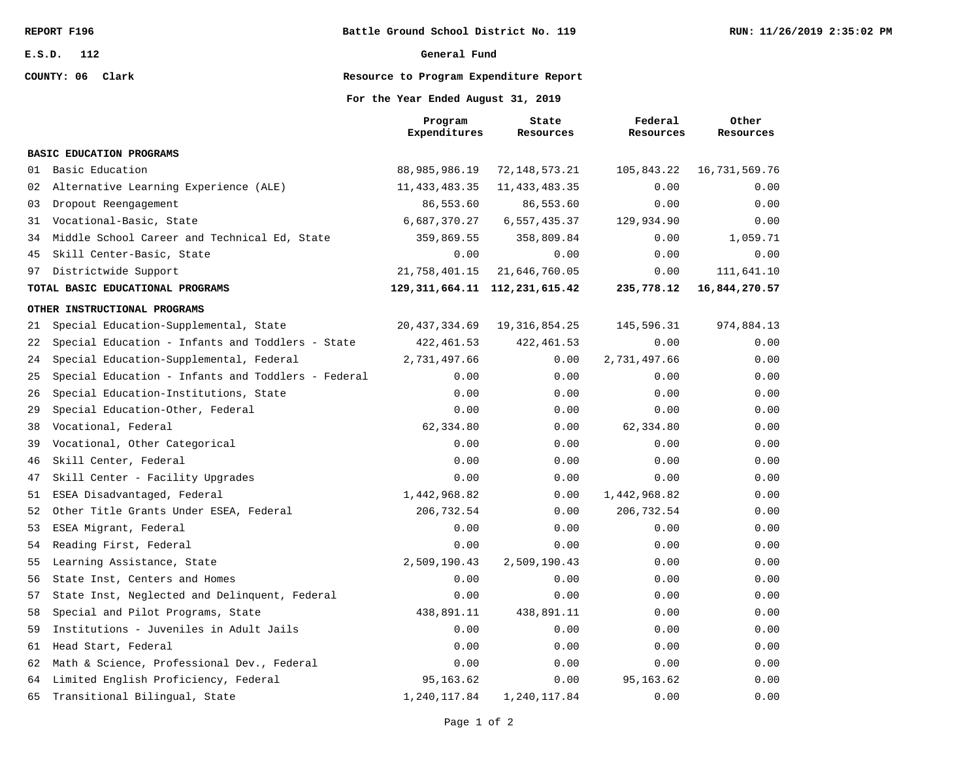**COUNTY: 06 Clark**

#### **General Fund**

### **Resource to Program Expenditure Report**

**For the Year Ended August 31, 2019**

|    |                                                    | Program<br>Expenditures             | State<br>Resources | Federal<br>Resources | Other<br>Resources |
|----|----------------------------------------------------|-------------------------------------|--------------------|----------------------|--------------------|
|    | BASIC EDUCATION PROGRAMS                           |                                     |                    |                      |                    |
| 01 | Basic Education                                    | 88,985,986.19                       | 72, 148, 573. 21   | 105,843.22           | 16,731,569.76      |
| 02 | Alternative Learning Experience (ALE)              | 11, 433, 483.35                     | 11, 433, 483.35    | 0.00                 | 0.00               |
| 03 | Dropout Reengagement                               | 86,553.60                           | 86,553.60          | 0.00                 | 0.00               |
| 31 | Vocational-Basic, State                            | 6,687,370.27                        | 6,557,435.37       | 129,934.90           | 0.00               |
| 34 | Middle School Career and Technical Ed, State       | 359,869.55                          | 358,809.84         | 0.00                 | 1,059.71           |
| 45 | Skill Center-Basic, State                          | 0.00                                | 0.00               | 0.00                 | 0.00               |
| 97 | Districtwide Support                               | 21,758,401.15                       | 21,646,760.05      | 0.00                 | 111,641.10         |
|    | TOTAL BASIC EDUCATIONAL PROGRAMS                   | 129, 311, 664. 11 112, 231, 615. 42 |                    | 235,778.12           | 16,844,270.57      |
|    | OTHER INSTRUCTIONAL PROGRAMS                       |                                     |                    |                      |                    |
| 21 | Special Education-Supplemental, State              | 20, 437, 334.69                     | 19, 316, 854.25    | 145,596.31           | 974,884.13         |
| 22 | Special Education - Infants and Toddlers - State   | 422, 461.53                         | 422, 461.53        | 0.00                 | 0.00               |
| 24 | Special Education-Supplemental, Federal            | 2,731,497.66                        | 0.00               | 2,731,497.66         | 0.00               |
| 25 | Special Education - Infants and Toddlers - Federal | 0.00                                | 0.00               | 0.00                 | 0.00               |
| 26 | Special Education-Institutions, State              | 0.00                                | 0.00               | 0.00                 | 0.00               |
| 29 | Special Education-Other, Federal                   | 0.00                                | 0.00               | 0.00                 | 0.00               |
| 38 | Vocational, Federal                                | 62,334.80                           | 0.00               | 62,334.80            | 0.00               |
| 39 | Vocational, Other Categorical                      | 0.00                                | 0.00               | 0.00                 | 0.00               |
| 46 | Skill Center, Federal                              | 0.00                                | 0.00               | 0.00                 | 0.00               |
| 47 | Skill Center - Facility Upgrades                   | 0.00                                | 0.00               | 0.00                 | 0.00               |
| 51 | ESEA Disadvantaged, Federal                        | 1,442,968.82                        | 0.00               | 1,442,968.82         | 0.00               |
| 52 | Other Title Grants Under ESEA, Federal             | 206,732.54                          | 0.00               | 206,732.54           | 0.00               |
| 53 | ESEA Migrant, Federal                              | 0.00                                | 0.00               | 0.00                 | 0.00               |
| 54 | Reading First, Federal                             | 0.00                                | 0.00               | 0.00                 | 0.00               |
| 55 | Learning Assistance, State                         | 2,509,190.43                        | 2,509,190.43       | 0.00                 | 0.00               |
| 56 | State Inst, Centers and Homes                      | 0.00                                | 0.00               | 0.00                 | 0.00               |
| 57 | State Inst, Neglected and Delinquent, Federal      | 0.00                                | 0.00               | 0.00                 | 0.00               |
| 58 | Special and Pilot Programs, State                  | 438,891.11                          | 438,891.11         | 0.00                 | 0.00               |
| 59 | Institutions - Juveniles in Adult Jails            | 0.00                                | 0.00               | 0.00                 | 0.00               |
| 61 | Head Start, Federal                                | 0.00                                | 0.00               | 0.00                 | 0.00               |
| 62 | Math & Science, Professional Dev., Federal         | 0.00                                | 0.00               | 0.00                 | 0.00               |
| 64 | Limited English Proficiency, Federal               | 95, 163.62                          | 0.00               | 95, 163.62           | 0.00               |
| 65 | Transitional Bilingual, State                      | 1,240,117.84                        | 1,240,117.84       | 0.00                 | 0.00               |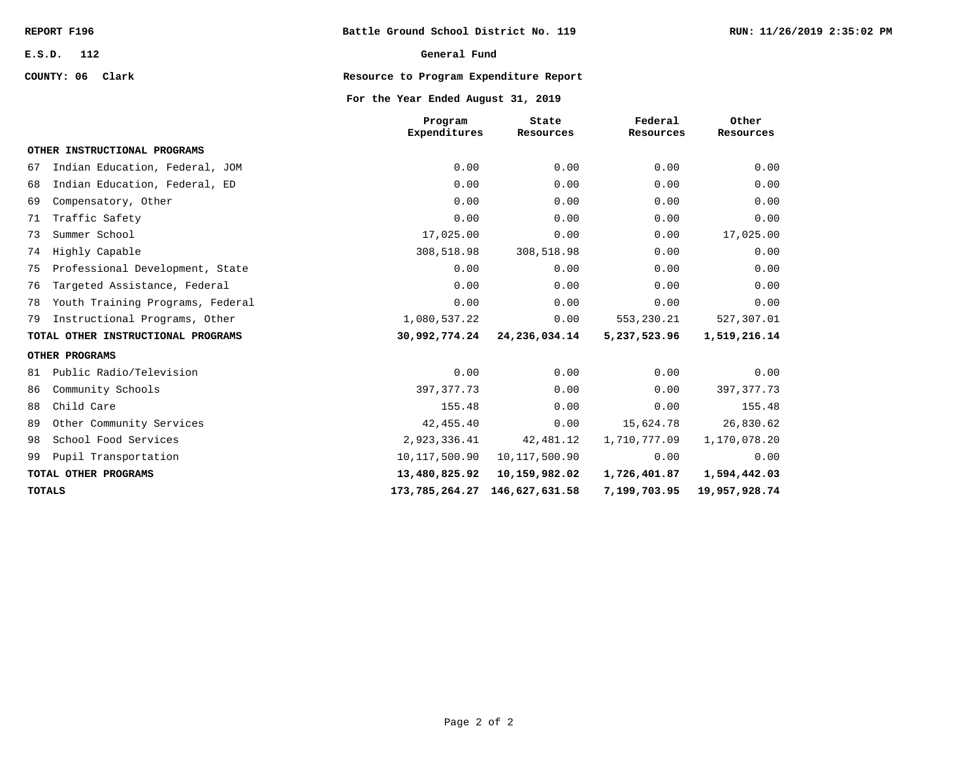**COUNTY: 06 Clark**

#### **General Fund**

### **Resource to Program Expenditure Report**

### **For the Year Ended August 31, 2019**

|    |                                    | Program<br>Expenditures | State<br>Resources | Federal<br>Resources | Other<br>Resources |
|----|------------------------------------|-------------------------|--------------------|----------------------|--------------------|
|    | OTHER INSTRUCTIONAL PROGRAMS       |                         |                    |                      |                    |
| 67 | Indian Education, Federal, JOM     | 0.00                    | 0.00               | 0.00                 | 0.00               |
| 68 | Indian Education, Federal, ED      | 0.00                    | 0.00               | 0.00                 | 0.00               |
| 69 | Compensatory, Other                | 0.00                    | 0.00               | 0.00                 | 0.00               |
| 71 | Traffic Safety                     | 0.00                    | 0.00               | 0.00                 | 0.00               |
| 73 | Summer School                      | 17,025.00               | 0.00               | 0.00                 | 17,025.00          |
| 74 | Highly Capable                     | 308,518.98              | 308,518.98         | 0.00                 | 0.00               |
| 75 | Professional Development, State    | 0.00                    | 0.00               | 0.00                 | 0.00               |
| 76 | Targeted Assistance, Federal       | 0.00                    | 0.00               | 0.00                 | 0.00               |
| 78 | Youth Training Programs, Federal   | 0.00                    | 0.00               | 0.00                 | 0.00               |
| 79 | Instructional Programs, Other      | 1,080,537.22            | 0.00               | 553,230.21           | 527,307.01         |
|    | TOTAL OTHER INSTRUCTIONAL PROGRAMS | 30,992,774.24           | 24,236,034.14      | 5,237,523.96         | 1,519,216.14       |
|    | OTHER PROGRAMS                     |                         |                    |                      |                    |
| 81 | Public Radio/Television            | 0.00                    | 0.00               | 0.00                 | 0.00               |
| 86 | Community Schools                  | 397, 377. 73            | 0.00               | 0.00                 | 397, 377. 73       |
| 88 | Child Care                         | 155.48                  | 0.00               | 0.00                 | 155.48             |
| 89 | Other Community Services           | 42, 455.40              | 0.00               | 15,624.78            | 26,830.62          |
| 98 | School Food Services               | 2,923,336.41            | 42,481.12          | 1,710,777.09         | 1,170,078.20       |
| 99 | Pupil Transportation               | 10, 117, 500.90         | 10, 117, 500.90    | 0.00                 | 0.00               |
|    | TOTAL OTHER PROGRAMS               | 13,480,825.92           | 10,159,982.02      | 1,726,401.87         | 1,594,442.03       |
|    | <b>TOTALS</b>                      | 173,785,264.27          | 146,627,631.58     | 7,199,703.95         | 19,957,928.74      |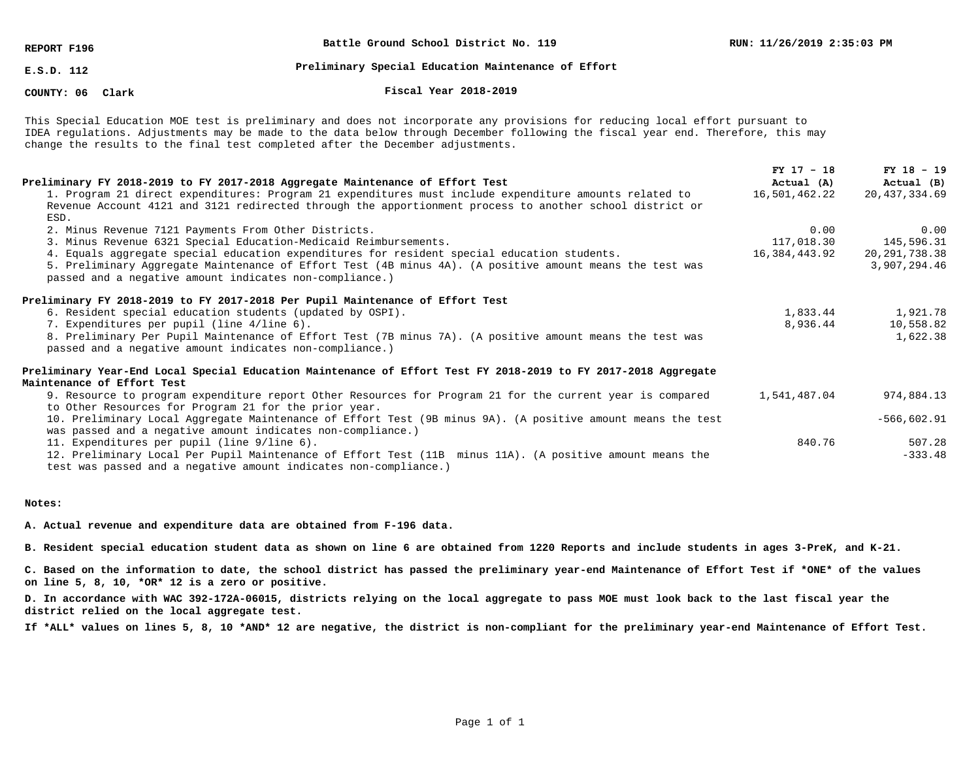**REPORT F196**

**Battle Ground School District No. 119**

**E.S.D. 112**

#### **Preliminary Special Education Maintenance of Effort**

### **COUNTY: 06**

#### **Clark Fiscal Year 2018-2019**

This Special Education MOE test is preliminary and does not incorporate any provisions for reducing local effort pursuant to IDEA regulations. Adjustments may be made to the data below through December following the fiscal year end. Therefore, this may change the results to the final test completed after the December adjustments.

|                                                                                                                | $FY$ 17 - 18  | $FY$ 18 - 19    |
|----------------------------------------------------------------------------------------------------------------|---------------|-----------------|
| Preliminary FY 2018-2019 to FY 2017-2018 Aggregate Maintenance of Effort Test                                  | Actual (A)    | Actual (B)      |
| 1. Program 21 direct expenditures: Program 21 expenditures must include expenditure amounts related to         | 16,501,462.22 | 20, 437, 334.69 |
| Revenue Account 4121 and 3121 redirected through the apportionment process to another school district or       |               |                 |
| ESD.                                                                                                           |               |                 |
| 2. Minus Revenue 7121 Payments From Other Districts.                                                           | 0.00          | 0.00            |
| 3. Minus Revenue 6321 Special Education-Medicaid Reimbursements.                                               | 117,018.30    | 145,596.31      |
| 4. Equals aggregate special education expenditures for resident special education students.                    | 16,384,443.92 | 20,291,738.38   |
| 5. Preliminary Aggregate Maintenance of Effort Test (4B minus 4A). (A positive amount means the test was       |               | 3,907,294.46    |
| passed and a negative amount indicates non-compliance.)                                                        |               |                 |
| Preliminary FY 2018-2019 to FY 2017-2018 Per Pupil Maintenance of Effort Test                                  |               |                 |
| 6. Resident special education students (updated by OSPI).                                                      | 1,833.44      | 1,921.78        |
| 7. Expenditures per pupil (line 4/line 6).                                                                     | 8,936.44      | 10,558.82       |
| 8. Preliminary Per Pupil Maintenance of Effort Test (7B minus 7A). (A positive amount means the test was       |               | 1,622.38        |
| passed and a negative amount indicates non-compliance.)                                                        |               |                 |
| Preliminary Year-End Local Special Education Maintenance of Effort Test FY 2018-2019 to FY 2017-2018 Aggregate |               |                 |
| Maintenance of Effort Test                                                                                     |               |                 |
| 9. Resource to program expenditure report Other Resources for Program 21 for the current year is compared      | 1,541,487.04  | 974,884.13      |
| to Other Resources for Program 21 for the prior year.                                                          |               |                 |
| 10. Preliminary Local Aggregate Maintenance of Effort Test (9B minus 9A). (A positive amount means the test    |               | $-566,602.91$   |
| was passed and a negative amount indicates non-compliance.)                                                    |               |                 |
| 11. Expenditures per pupil (line 9/line 6).                                                                    | 840.76        | 507.28          |
| 12. Preliminary Local Per Pupil Maintenance of Effort Test (11B minus 11A). (A positive amount means the       |               | $-333.48$       |
| test was passed and a negative amount indicates non-compliance.)                                               |               |                 |

#### **Notes:**

**A. Actual revenue and expenditure data are obtained from F-196 data.**

**B. Resident special education student data as shown on line 6 are obtained from 1220 Reports and include students in ages 3-PreK, and K-21.**

**C. Based on the information to date, the school district has passed the preliminary year-end Maintenance of Effort Test if \*ONE\* of the values on line 5, 8, 10, \*OR\* 12 is a zero or positive.**

**D. In accordance with WAC 392-172A-06015, districts relying on the local aggregate to pass MOE must look back to the last fiscal year the district relied on the local aggregate test.**

**If \*ALL\* values on lines 5, 8, 10 \*AND\* 12 are negative, the district is non-compliant for the preliminary year-end Maintenance of Effort Test.**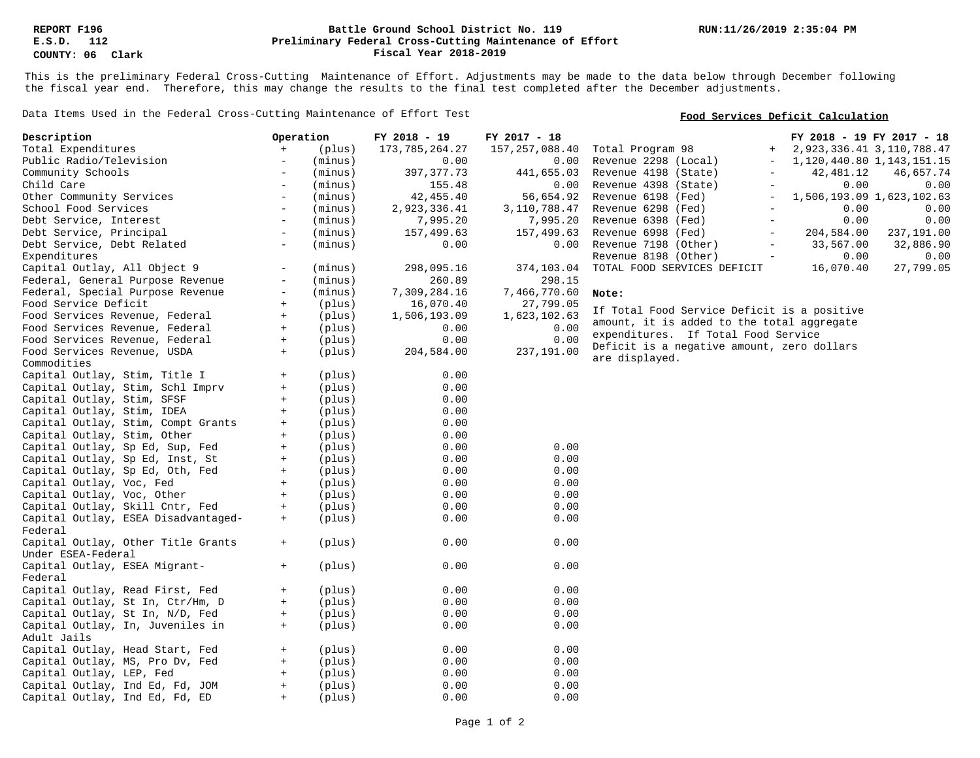### **Preliminary Federal Cross-Cutting Maintenance of Effort Battle Ground School District No. 119 Fiscal Year 2018-2019**

This is the preliminary Federal Cross-Cutting Maintenance of Effort. Adjustments may be made to the data below through December following the fiscal year end. Therefore, this may change the results to the final test completed after the December adjustments.

Data Items Used in the Federal Cross-Cutting Maintenance of Effort Test

### **Food Services Deficit Calculation**

| Description                         | Operation                |         | FY 2018 - 19      | FY 2017 - 18     |                                                  | FY 2018 - 19 FY 2017 - 18 |                               |
|-------------------------------------|--------------------------|---------|-------------------|------------------|--------------------------------------------------|---------------------------|-------------------------------|
| Total Expenditures                  | $+$                      | (plus)  | 173, 785, 264. 27 | 157, 257, 088.40 | Total Program 98<br>$+$                          |                           | 2, 923, 336.41 3, 110, 788.47 |
| Public Radio/Television             | $\overline{\phantom{a}}$ | (minus) | 0.00              | 0.00             | Revenue 2298 (Local)                             |                           | 1, 120, 440.80 1, 143, 151.15 |
| Community Schools                   | $\overline{\phantom{a}}$ | (minus) | 397, 377. 73      | 441,655.03       | Revenue 4198 (State)                             | 42,481.12                 | 46,657.74                     |
| Child Care                          | $\overline{\phantom{a}}$ | (minus) | 155.48            | 0.00             | Revenue 4398 (State)<br>$\overline{\phantom{m}}$ | 0.00                      | 0.00                          |
| Other Community Services            | $\overline{\phantom{0}}$ | (minus) | 42, 455.40        | 56,654.92        | Revenue 6198 (Fed)                               |                           | 1,506,193.09 1,623,102.63     |
| School Food Services                | $\overline{\phantom{0}}$ | (minus) | 2,923,336.41      | 3,110,788.47     | Revenue 6298 (Fed)<br>$\overline{\phantom{m}}$   | 0.00                      | 0.00                          |
| Debt Service, Interest              | $\overline{\phantom{a}}$ | (minus) | 7,995.20          | 7,995.20         | Revenue 6398 (Fed)                               | 0.00                      | 0.00                          |
| Debt Service, Principal             | $\sim$                   | (minus) | 157,499.63        | 157,499.63       | Revenue 6998 (Fed)<br>$\overline{\phantom{a}}$   | 204,584.00                | 237,191.00                    |
| Debt Service, Debt Related          | $\overline{\phantom{a}}$ | (minus) | 0.00              | 0.00             | Revenue 7198 (Other)                             | 33,567.00                 | 32,886.90                     |
| Expenditures                        |                          |         |                   |                  | Revenue 8198 (Other)<br>$\overline{\phantom{a}}$ | 0.00                      | 0.00                          |
| Capital Outlay, All Object 9        |                          | (minus) | 298,095.16        | 374,103.04       | TOTAL FOOD SERVICES DEFICIT                      | 16,070.40                 | 27,799.05                     |
| Federal, General Purpose Revenue    | $\overline{\phantom{a}}$ | (minus) | 260.89            | 298.15           |                                                  |                           |                               |
| Federal, Special Purpose Revenue    | $\overline{\phantom{a}}$ | (minus) | 7,309,284.16      | 7,466,770.60     | Note:                                            |                           |                               |
| Food Service Deficit                | $+$                      | (plus)  | 16,070.40         | 27,799.05        |                                                  |                           |                               |
| Food Services Revenue, Federal      | $+$                      | (plus)  | 1,506,193.09      | 1,623,102.63     | If Total Food Service Deficit is a positive      |                           |                               |
| Food Services Revenue, Federal      | $+$                      | (plus)  | 0.00              | 0.00             | amount, it is added to the total aggregate       |                           |                               |
| Food Services Revenue, Federal      | $+$                      | (plus)  | 0.00              | 0.00             | expenditures. If Total Food Service              |                           |                               |
| Food Services Revenue, USDA         | $+$                      | (plus)  | 204,584.00        | 237,191.00       | Deficit is a negative amount, zero dollars       |                           |                               |
| Commodities                         |                          |         |                   |                  | are displayed.                                   |                           |                               |
| Capital Outlay, Stim, Title I       | $+$                      | (plus)  | 0.00              |                  |                                                  |                           |                               |
| Capital Outlay, Stim, Schl Imprv    | $+$                      | (plus)  | 0.00              |                  |                                                  |                           |                               |
| Capital Outlay, Stim, SFSF          | $+$                      | (plus)  | 0.00              |                  |                                                  |                           |                               |
| Capital Outlay, Stim, IDEA          | $+$                      | (plus)  | 0.00              |                  |                                                  |                           |                               |
| Capital Outlay, Stim, Compt Grants  | $+$                      | (plus)  | 0.00              |                  |                                                  |                           |                               |
| Capital Outlay, Stim, Other         | $+$                      | (plus)  | 0.00              |                  |                                                  |                           |                               |
| Capital Outlay, Sp Ed, Sup, Fed     | $+$                      | (plus)  | 0.00              | 0.00             |                                                  |                           |                               |
| Capital Outlay, Sp Ed, Inst, St     | $+$                      | (plus)  | 0.00              | 0.00             |                                                  |                           |                               |
| Capital Outlay, Sp Ed, Oth, Fed     | $+$                      | (plus)  | 0.00              | 0.00             |                                                  |                           |                               |
| Capital Outlay, Voc, Fed            | $+$                      | (plus)  | 0.00              | 0.00             |                                                  |                           |                               |
| Capital Outlay, Voc, Other          | $+$                      | (plus)  | 0.00              | 0.00             |                                                  |                           |                               |
| Capital Outlay, Skill Cntr, Fed     | $+$                      | (plus)  | 0.00              | 0.00             |                                                  |                           |                               |
| Capital Outlay, ESEA Disadvantaged- | $+$                      | (plus)  | 0.00              | 0.00             |                                                  |                           |                               |
| Federal                             |                          |         |                   |                  |                                                  |                           |                               |
| Capital Outlay, Other Title Grants  | $+$                      | (plus)  | 0.00              | 0.00             |                                                  |                           |                               |
| Under ESEA-Federal                  |                          |         |                   |                  |                                                  |                           |                               |
| Capital Outlay, ESEA Migrant-       | $+$                      | (plus)  | 0.00              | 0.00             |                                                  |                           |                               |
| Federal                             |                          |         |                   |                  |                                                  |                           |                               |
| Capital Outlay, Read First, Fed     | $+$                      | (plus)  | 0.00              | 0.00             |                                                  |                           |                               |
| Capital Outlay, St In, Ctr/Hm, D    | $+$                      | (plus)  | 0.00              | 0.00             |                                                  |                           |                               |
| Capital Outlay, St In, N/D, Fed     | $+$                      | (plus)  | 0.00              | 0.00             |                                                  |                           |                               |
| Capital Outlay, In, Juveniles in    | $+$                      | (plus)  | 0.00              | 0.00             |                                                  |                           |                               |
| Adult Jails                         |                          |         |                   |                  |                                                  |                           |                               |
| Capital Outlay, Head Start, Fed     | $+$                      | (plus)  | 0.00              | 0.00             |                                                  |                           |                               |
| Capital Outlay, MS, Pro Dv, Fed     | $+$                      | (plus)  | 0.00              | 0.00             |                                                  |                           |                               |
| Capital Outlay, LEP, Fed            | $+$                      | (plus)  | 0.00              | 0.00             |                                                  |                           |                               |
| Capital Outlay, Ind Ed, Fd, JOM     | $+$                      | (plus)  | 0.00              | 0.00             |                                                  |                           |                               |
| Capital Outlay, Ind Ed, Fd, ED      | $+$                      | (plus)  | 0.00              | 0.00             |                                                  |                           |                               |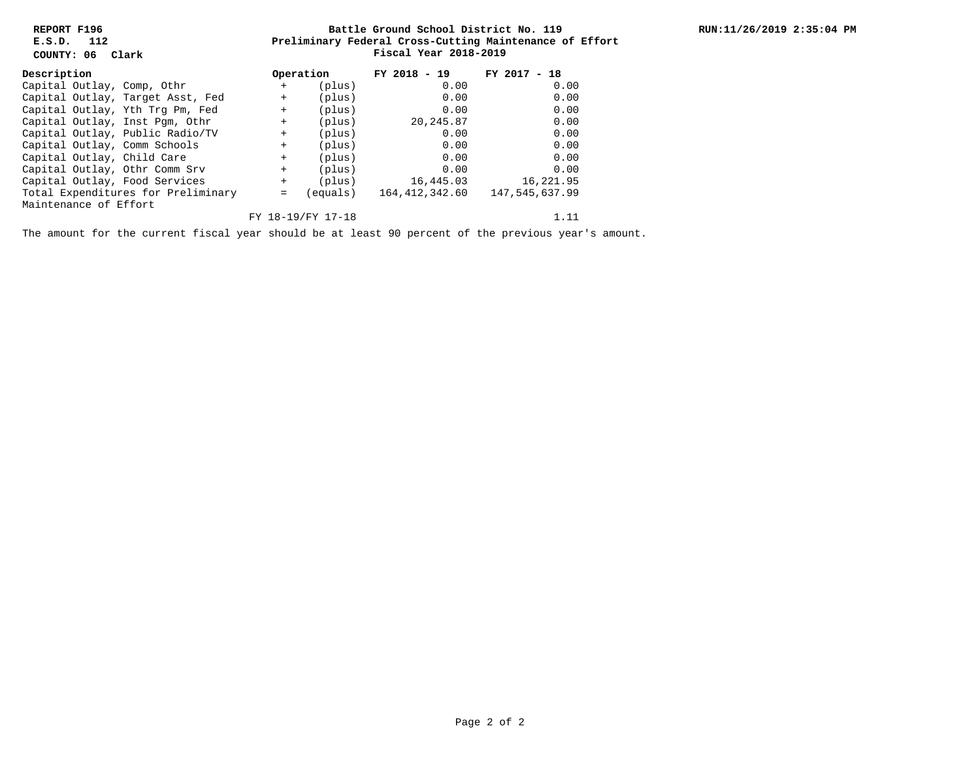**REPORT F196 E.S.D. 112**

**COUNTY: 06 Clark**

### **Preliminary Federal Cross-Cutting Maintenance of Effort Battle Ground School District No. 119 Fiscal Year 2018-2019**

| Description                        |  | Operation                        |         | FY 2018 - 19   | FY 2017<br>$-18$ |           |
|------------------------------------|--|----------------------------------|---------|----------------|------------------|-----------|
| Capital Outlay, Comp, Othr         |  |                                  | $+$     | (plus)         | 0.00             | 0.00      |
|                                    |  | Capital Outlay, Target Asst, Fed | $+$     | (plus)         | 0.00             | 0.00      |
|                                    |  | Capital Outlay, Yth Trg Pm, Fed  | $+$     | (plus)         | 0.00             | 0.00      |
|                                    |  | Capital Outlay, Inst Pqm, Othr   | $+$     | (plus)         | 20,245.87        | 0.00      |
|                                    |  | Capital Outlay, Public Radio/TV  | $+$     | (plus)         | 0.00             | 0.00      |
|                                    |  | Capital Outlay, Comm Schools     | $+$     | (plus)         | 0.00             | 0.00      |
| Capital Outlay, Child Care         |  |                                  | $+$     | (plus)         | 0.00             | 0.00      |
|                                    |  | Capital Outlay, Othr Comm Srv    | $+$     | (plus)         | 0.00             | 0.00      |
|                                    |  | Capital Outlay, Food Services    | $+$     | (plus)         | 16,445.03        | 16,221.95 |
| Total Expenditures for Preliminary |  | $=$                              | equals) | 164,412,342.60 | 147,545,637.99   |           |
| Maintenance of Effort              |  |                                  |         |                |                  |           |
| FY 18-19/FY 17-18                  |  |                                  |         |                | 1.11             |           |

The amount for the current fiscal year should be at least 90 percent of the previous year's amount.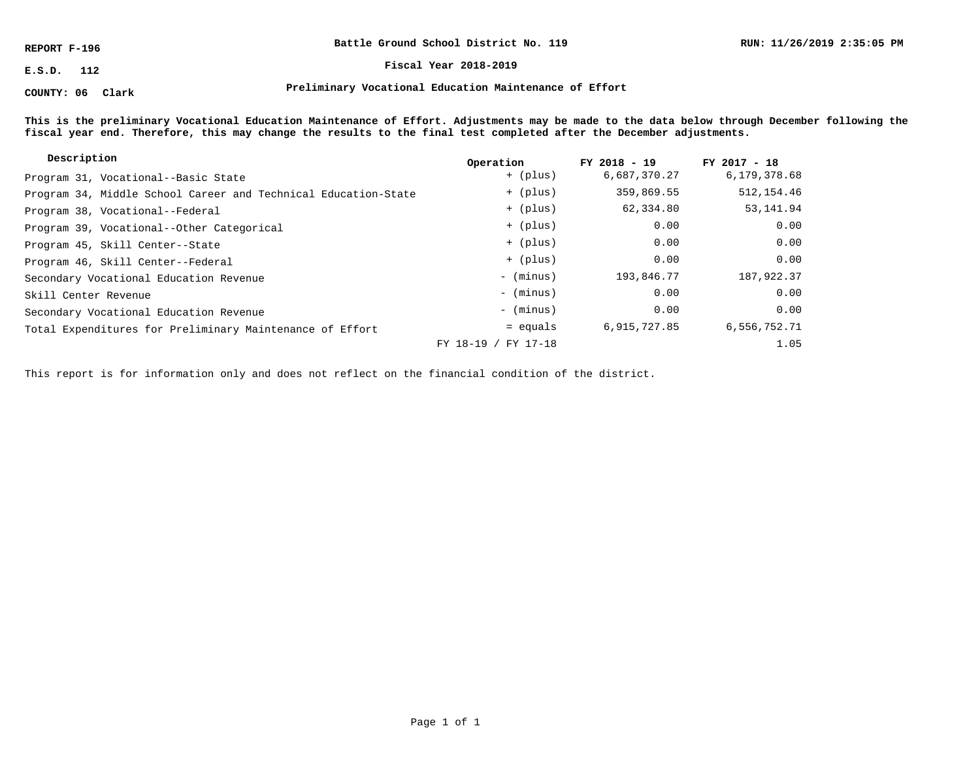**REPORT F-196**

**COUNTY: 06 Clark**

**Battle Ground School District No. 119**

**E.S.D. 112 Fiscal Year 2018-2019**

**Preliminary Vocational Education Maintenance of Effort**

**This is the preliminary Vocational Education Maintenance of Effort. Adjustments may be made to the data below through December following the fiscal year end. Therefore, this may change the results to the final test completed after the December adjustments.**

| Description                                                    | Operation                | $FY$ 2018 - 19 | $FY$ 2017 - 18 |
|----------------------------------------------------------------|--------------------------|----------------|----------------|
| Program 31, Vocational--Basic State                            | + (plus)                 | 6,687,370.27   | 6,179,378.68   |
| Program 34, Middle School Career and Technical Education-State | + (plus)                 | 359,869.55     | 512, 154.46    |
| Program 38, Vocational--Federal                                | + (plus)                 | 62,334.80      | 53,141.94      |
| Program 39, Vocational--Other Categorical                      | + (plus)                 | 0.00           | 0.00           |
| Program 45, Skill Center--State                                | + (plus)                 | 0.00           | 0.00           |
| Program 46, Skill Center--Federal                              | + (plus)                 | 0.00           | 0.00           |
| Secondary Vocational Education Revenue                         | - (minus)                | 193,846.77     | 187,922.37     |
| Skill Center Revenue                                           | - (minus)                | 0.00           | 0.00           |
| Secondary Vocational Education Revenue                         | - (minus)                | 0.00           | 0.00           |
| Total Expenditures for Preliminary Maintenance of Effort       | = equals                 | 6,915,727.85   | 6,556,752.71   |
|                                                                | FY 17-18<br>$FY$ 18-19 / |                | 1.05           |

This report is for information only and does not reflect on the financial condition of the district.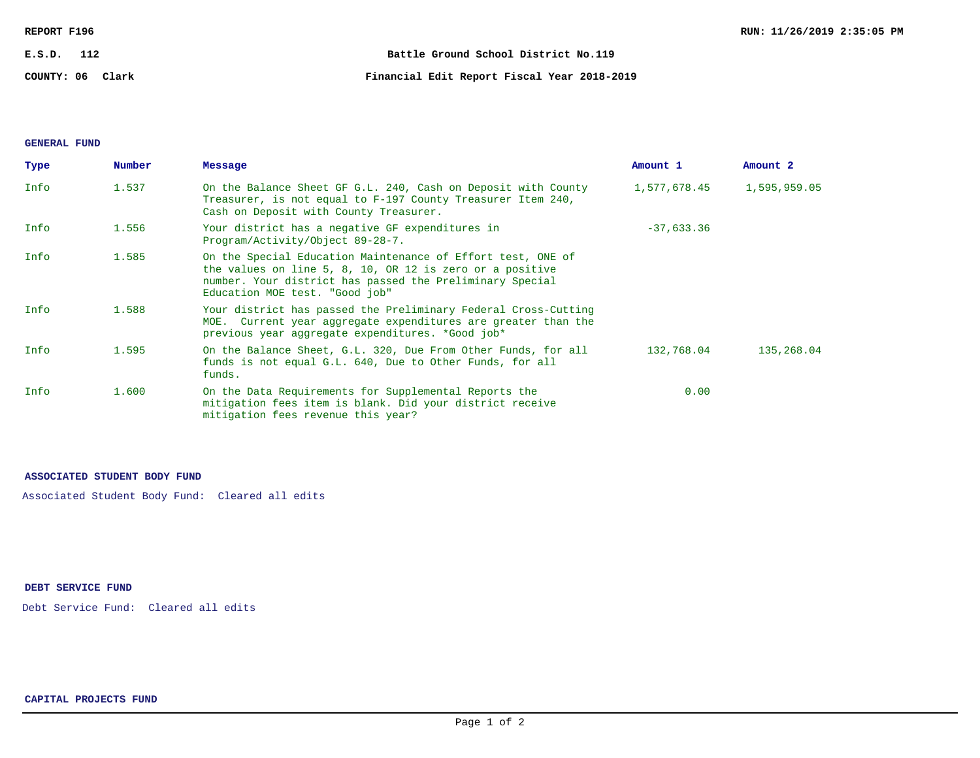| REPORT F196      | RUN: 11/26/2019 2:35:05 PM                  |
|------------------|---------------------------------------------|
| E.S.D.<br>- 112  | Battle Ground School District No.119        |
| COUNTY: 06 Clark | Financial Edit Report Fiscal Year 2018-2019 |

# **GENERAL FUND**

| Type | Number | Message                                                                                                                                                                                                               | Amount 1     | Amount 2     |
|------|--------|-----------------------------------------------------------------------------------------------------------------------------------------------------------------------------------------------------------------------|--------------|--------------|
| Info | 1.537  | On the Balance Sheet GF G.L. 240, Cash on Deposit with County<br>Treasurer, is not equal to F-197 County Treasurer Item 240,<br>Cash on Deposit with County Treasurer.                                                | 1,577,678.45 | 1,595,959.05 |
| Info | 1.556  | Your district has a negative GF expenditures in<br>Program/Activity/Object 89-28-7.                                                                                                                                   | $-37,633.36$ |              |
| Info | 1.585  | On the Special Education Maintenance of Effort test, ONE of<br>the values on line 5, 8, 10, OR 12 is zero or a positive<br>number. Your district has passed the Preliminary Special<br>Education MOE test. "Good job" |              |              |
| Info | 1.588  | Your district has passed the Preliminary Federal Cross-Cutting<br>MOE. Current year aggregate expenditures are greater than the<br>previous year aggregate expenditures. *Good job*                                   |              |              |
| Info | 1.595  | On the Balance Sheet, G.L. 320, Due From Other Funds, for all<br>funds is not equal G.L. 640, Due to Other Funds, for all<br>funds.                                                                                   | 132,768.04   | 135,268.04   |
| Info | 1.600  | On the Data Requirements for Supplemental Reports the<br>mitigation fees item is blank. Did your district receive<br>mitigation fees revenue this year?                                                               | 0.00         |              |

## **ASSOCIATED STUDENT BODY FUND**

Associated Student Body Fund: Cleared all edits

# **DEBT SERVICE FUND**

Debt Service Fund: Cleared all edits